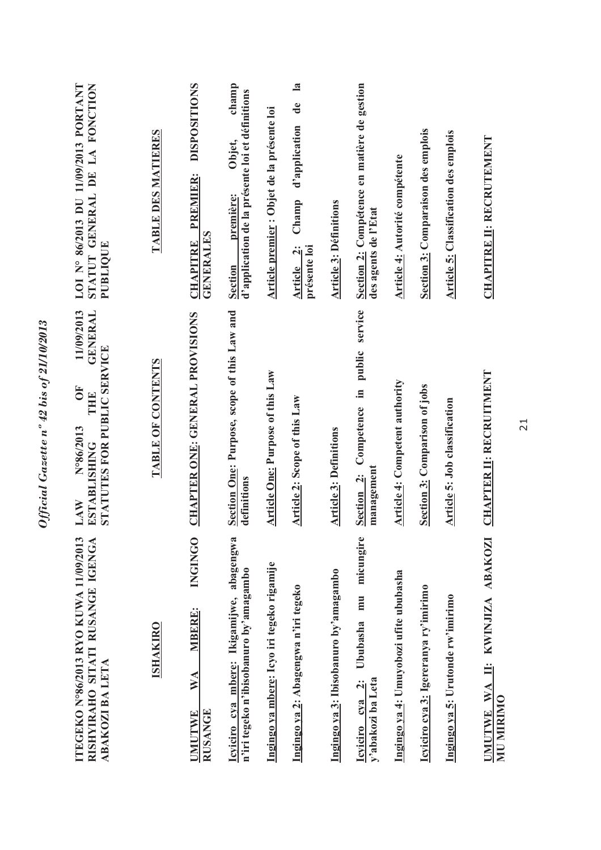| LOI N° 86/2013 DU 11/09/2013 PORTANT<br>STATUT GENERAL DE LA FONCTION<br><b>PUBLIQUE</b><br>11/09/2013<br><b>GENERAL</b> | TABLE DES MATIERES | <b>DISPOSITIONS</b><br><b>PREMIER:</b><br><b>GENERALES</b><br><b>CHAPITRE</b> | champ<br>d'application de la présente loi et définitions<br>Objet,<br>première:<br><b>Section</b> | Article premier : Objet de la présente loi | $\mathbf{a}$<br>de<br>d'application<br>Champ<br>présente loi<br>Article 2: | <b>Article 3: Définitions</b>         | Section 2: Compétence en matière de gestion<br>des agents de l'Etat                               | <b>Article 4: Autorité compétente</b>  | Section 3: Comparaison des emplois    | <b>Article 5: Classification des emplois</b> | CHAPITRE II: RECRUTEMENT                               |
|--------------------------------------------------------------------------------------------------------------------------|--------------------|-------------------------------------------------------------------------------|---------------------------------------------------------------------------------------------------|--------------------------------------------|----------------------------------------------------------------------------|---------------------------------------|---------------------------------------------------------------------------------------------------|----------------------------------------|---------------------------------------|----------------------------------------------|--------------------------------------------------------|
| <b>STATUTES FOR PUBLIC SERVICE</b><br><b>FO</b><br>THE<br>N°86/2013<br><b>ESTABLISHING</b><br>LAW                        | TABLE OF CONTENTS  | CHAPTER ONE: GENERAL PROVISIONS                                               | Section One: Purpose, scope of this Law and<br>definitions                                        | <b>Article One: Purpose of this Law</b>    | Article 2: Scope of this Law                                               | <b>Article 3: Definitions</b>         | Competence in public service<br>management<br>Section <sub>2</sub> :                              | <b>Article 4: Competent authority</b>  | <b>Section 3: Comparison of jobs</b>  | <b>Article 5: Job classification</b>         | <b>CHAPTER II: RECRUITMENT</b>                         |
| ITEGEKO N°86/2013 RYO KUWA 11/09/2013<br>RISHYIRAHO SITATI RUSANGE IGENGA<br>ABAKOZI BA LETA                             | <b>ISHAKIRO</b>    | <b>INGINGO</b><br><b>MBERE:</b><br>WA<br><b>RUSANGE</b><br><b>JMUTWE</b>      | Icyiciro cya mbere: Ikigamijwe, abagengwa<br>n'iri tegeko n'ibisobanuro by'amagambo               | Ingingo ya mbere: Icyo iri tegeko rigamije | Ingingo ya 2: Abagengwa n'iri tegeko                                       | Ingingo ya 3: Ibisobanuro by'amagambo | micungire<br>mu<br>Ububasha<br>y'abakozi ba Leta<br>$\ddot{\mathbf{c}}$<br>cya<br><b>Icviciro</b> | Ingingo ya 4: Umuyobozi ufite ububasha | Icyiciro cya 3: Igereranya ry'imirimo | Ingingo ya 5: Urutonde rw'imirimo            | II: KWINJIZA ABAKOZI<br>UMUTWE WA<br><b>MIN MIRIMO</b> |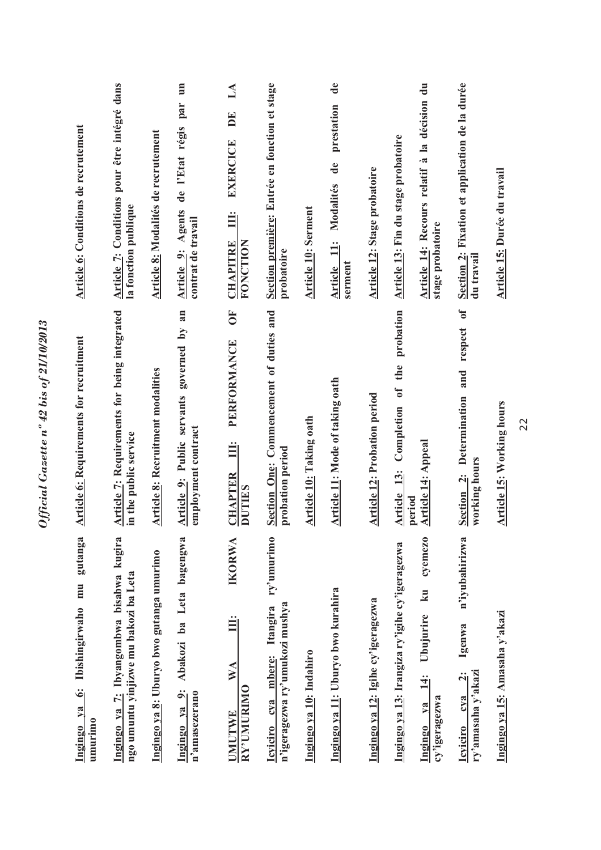| <b>Article 6: Conditions de recrutement</b>           | Article 7: Conditions pour être intégré dans<br>la fonction publique              | Article 8: Modalités de recrutement      | par<br>de l'Etat régis<br>Article 9: Agents<br>contrat de travail | DE<br><b>EXERCICE</b><br>Ë<br><b>CHAPITRE</b><br>FONCTION<br><b>FO</b><br>PERFORMANCE | Section première: Entrée en fonction et stage<br>probatoire                     | <b>Article 10: Serment</b>     | prestation<br>$\mathbf{d}\mathbf{e}$<br>Modalités<br>$\ddot{=}$<br>serment<br><b>Article</b> | <b>Article 12: Stage probatoire</b> | Article 14: Recours relatif à la décision du<br>Article 13: Fin du stage probatoire<br>stage probatoire<br>probation<br>the       | Section 2: Fixation et application de la durée<br>du travail<br>respect of<br>and               | Article 15: Durée du travail     |
|-------------------------------------------------------|-----------------------------------------------------------------------------------|------------------------------------------|-------------------------------------------------------------------|---------------------------------------------------------------------------------------|---------------------------------------------------------------------------------|--------------------------------|----------------------------------------------------------------------------------------------|-------------------------------------|-----------------------------------------------------------------------------------------------------------------------------------|-------------------------------------------------------------------------------------------------|----------------------------------|
| <b>Article 6: Requirements for recruitment</b>        | <b>Article 7: Requirements for being integrated</b><br>in the public service      | <b>Article 8: Recruitment modalities</b> | Article 9: Public servants governed by an<br>employment contract  | Ë<br><b>CHAPTER</b><br><b>DUTIES</b>                                                  | Section One: Commencement of duties and<br>probation period                     | <b>Article 10: Taking oath</b> | Article 11: Mode of taking oath                                                              | <b>Article 12: Probation period</b> | Article 13: Completion of<br><b>Article 14: Appeal</b><br>period                                                                  | Section 2: Determination<br>working hours                                                       | <b>Article 15: Working hours</b> |
| gutanga<br>Ingingo ya 6: Ibishingirwaho mu<br>umurimo | Ingingo ya 7: Ibyangombwa bisabwa kugira<br>ngo umuntu yinjizwe mu bakozi ba Leta | Ingingo ya 8: Uburyo bwo gutanga umurimo | Abakozi ba Leta bagengwa<br>Ingingo ya 9:<br>n'amasezerano        | <b>IKORWA</b><br>Ë<br>$\mathbb{W} \mathbb{A}$<br>RY'UMURIMO<br>UMUTWE                 | ry'umurimo<br>n'igeragezwa ry'umukozi mushya<br>Itangira<br>Icyiciro cya mbere: | Ingingo ya 10: Indahiro        | Ingingo ya 11: Uburyo bwo kurahira                                                           | Ingingo ya 12: Igihe cy'igeragezwa  | cyemezo<br>Ingingo ya 13: Irangiza ry'igihe cy'igeragezwa<br>ku<br>Ubujurire<br>$\frac{4}{11}$<br>cy'igeragezwa<br>$1$<br>Ingingo | n'iyubahirizwa<br>Igenwa<br>ry'amasaha y'akazi<br>$\ddot{\mathbf{a}}$<br>cya<br><b>Icviciro</b> | Ingingo ya 15: Amasaha y'akazi   |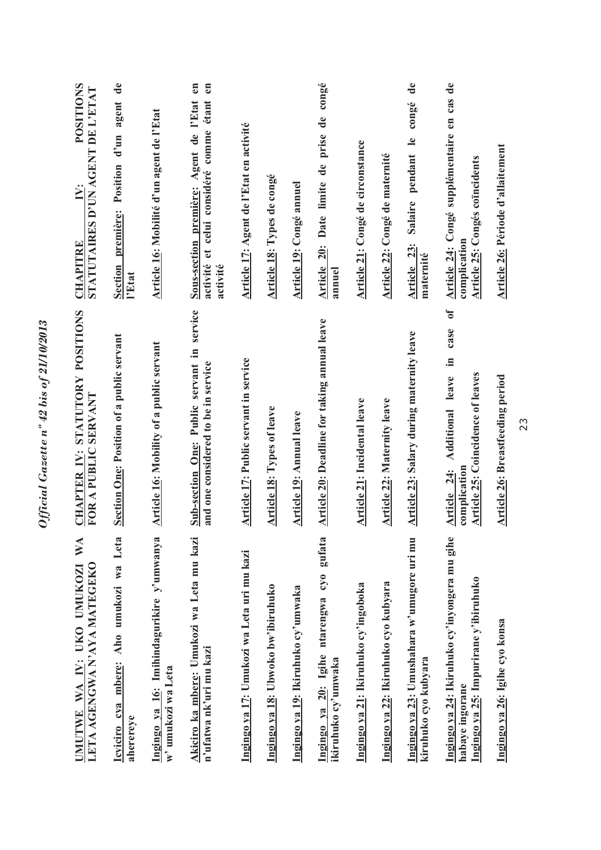| WA<br>LETA AGENGWA N'AYA MATEGEKO<br>UMUTWE WA IY: UKO UMUKOZI                                            | STATUTORY POSITIONS<br>FOR A PUBLIC SERVANT<br>CHAPTER IV:                                                                         | <b>POSITIONS</b><br>STATUTAIRES D'UN AGENT DE L'ETAT<br>$\mathbf{V}$ :<br><b>CHAPITRE</b>                                        |
|-----------------------------------------------------------------------------------------------------------|------------------------------------------------------------------------------------------------------------------------------------|----------------------------------------------------------------------------------------------------------------------------------|
| Icyiciro cya mbere: Aho umukozi wa Leta<br>aherereye                                                      | Section One: Position of a public servant                                                                                          | $\mathbf{d}\mathbf{e}$<br>d'un agent<br>Section première: Position<br>l'Etat                                                     |
| Ingingo ya 16: Imihindagurikire y'umwanya<br>w'umukozi wa Leta                                            | <b>Article 16: Mobility of a public servant</b>                                                                                    | Article 16: Mobilité d'un agent de l'Etat                                                                                        |
| Akiciro ka mbere: Umukozi wa Leta mu kazi<br>n'ufatwa nk'uri mu kazi                                      | Sub-section One: Public servant in service<br>and one considered to be in service                                                  | $\epsilon$ n<br>$\epsilon$ n<br>et celui considéré comme étant<br>Sous-section première: Agent de l'Etat<br>activité<br>activité |
| Ingingo ya 17: Umukozi wa Leta uri mu kazi                                                                | Article 17: Public servant in service                                                                                              | Article 17: Agent de l'Etat en activité                                                                                          |
| Ingingo ya 18: Ubwoko bw'ibiruhuko                                                                        | Article 18: Types of leave                                                                                                         | Article 18: Types de congé                                                                                                       |
| Ingingo ya 19: Ikiruhuko cy'umwaka                                                                        | Article 19: Annual leave                                                                                                           | Article 19: Congé annuel                                                                                                         |
| Ingingo ya 20: Igihe ntarengwa cyo gufata<br>ikiruhuko cy'umwaka                                          | Article 20: Deadline for taking annual leave                                                                                       | Article 20: Date limite de prise de congé<br>annuel                                                                              |
| Ingingo ya 21: Ikiruhuko cy'ingoboka                                                                      | <b>Article 21: Incidental leave</b>                                                                                                | Article 21: Congé de circonstance                                                                                                |
| Ingingo ya 22: Ikiruhuko cyo kubyara                                                                      | Article 22: Maternity leave                                                                                                        | Article 22: Congé de maternité                                                                                                   |
| Ingingo ya 23: Umushahara w'umugore uri mu<br>kiruhuko cyo kubyara                                        | Article 23: Salary during maternity leave                                                                                          | $\mathbf{d}\mathbf{e}$<br>congé<br>pendant le<br><b>Salaire</b><br>Article 23:<br>maternité                                      |
| Ingingo ya 24: Ikiruhuko cy'inyongera mu gihe<br>Ingingo ya 25: Impurirane y'ibiruhuko<br>habaye ingorane | $\mathfrak{h}$<br>case<br>.a<br><b>Article 25: Coincidence of leaves</b><br><b>Additional</b> leave<br>complication<br>Article 24: | Article 24: Congé supplémentaire en cas de<br><b>Article 25: Congés coïncidents</b><br>complication                              |
| Ingingo ya 26: Igihe cyo konsa                                                                            | <b>Article 26: Breastfeeding period</b>                                                                                            | Article 26: Période d'allaitement                                                                                                |
|                                                                                                           |                                                                                                                                    |                                                                                                                                  |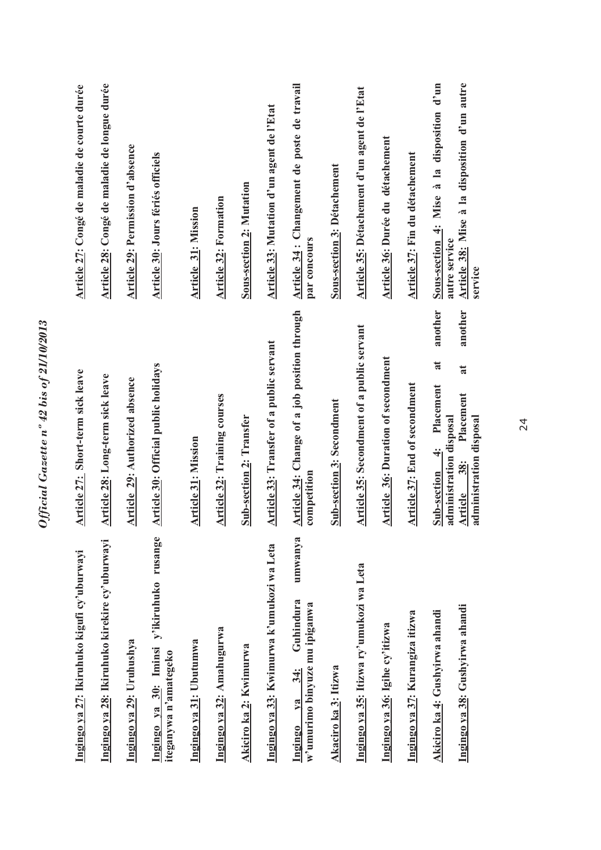| Ingingo ya 27: Ikiruhuko kigufi cy'uburwayi                                                 | Article 27: Short-term sick leave                                                            | Article 27: Congé de maladie de courte durée                   |
|---------------------------------------------------------------------------------------------|----------------------------------------------------------------------------------------------|----------------------------------------------------------------|
| Ingingo ya 28: Ikiruhuko kirekire cy'uburwayi                                               | Article 28: Long-term sick leave                                                             | Article 28: Congé de maladie de longue durée                   |
| Ingingo ya 29: Uruhushya                                                                    | Article 29: Authorized absence                                                               | Article 29: Permission d'absence                               |
| Ingingo ya 30: Iminsi y'ikiruhuko rusange<br>iteganywa n'amategeko                          | Article 30: Official public holidays                                                         | Article 30: Jours fériés officiels                             |
| Ingingo ya 31: Ubutumwa                                                                     | Article 31: Mission                                                                          | <b>Article 31: Mission</b>                                     |
| Ingingo ya 32: Amahugurwa                                                                   | <b>Article 32: Training courses</b>                                                          | <b>Article 32: Formation</b>                                   |
| Akiciro ka 2: Kwimurwa                                                                      | <b>Sub-section 2: Transfer</b>                                                               | <b>Sous-section 2: Mutation</b>                                |
| Ingingo ya 33: Kwimurwa k'umukozi wa Leta                                                   | Article 33: Transfer of a public servant                                                     | Article 33: Mutation d'un agent de l'Etat                      |
| umwanya<br>Guhindura<br>w'umurimo binyuze mu ipiganwa<br>$34$ :<br>$v\mathbf{a}$<br>Ingingo | Article 34: Change of a job position through<br>competition                                  | Article 34 : Changement de poste de travail<br>par concours    |
| Akaciro ka 3: Itizwa                                                                        | <b>Sub-section 3: Secondment</b>                                                             | <b>Sous-section 3: Détachement</b>                             |
| Ingingo ya 35: Itizwa ry'umukozi wa Leta                                                    | Article 35: Secondment of a public servant                                                   | Article 35: Détachement d'un agent de l'Etat                   |
| Ingingo ya 36: Igihe cy'itizwa                                                              | Article 36: Duration of secondment                                                           | Article 36: Durée du détachement                               |
| Ingingo ya 37: Kurangiza itizwa                                                             | <b>Article 37: End of secondment</b>                                                         | Article 37: Fin du détachement                                 |
| Akiciro ka 4: Gushyirwa ahandi                                                              | another<br>at<br>Placement<br>administration disposal<br>$\ddot{ }$<br>Sub-section           | à la disposition d'un<br>Sous-section 4: Mise<br>autre service |
| Ingingo ya 38: Gushyirwa ahandi                                                             | another<br>$\overline{\mathbf{a}}$<br>Placement<br>administration disposal<br>38:<br>Article | Article 38: Mise à la disposition d'un autre<br>service        |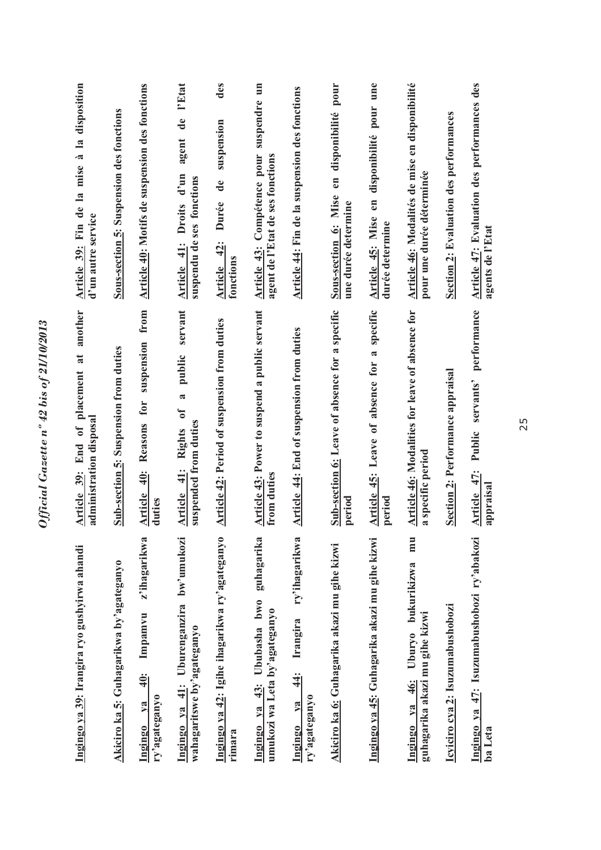| Ingingo ya 39: Irangira ryo gushyirwa ahandi                                     | another<br>Article 39: End of placement at<br>administration disposal                                       | Article 39: Fin de la mise à la disposition<br>d'un autre service             |
|----------------------------------------------------------------------------------|-------------------------------------------------------------------------------------------------------------|-------------------------------------------------------------------------------|
| Akiciro ka 5: Guhagarikwa by'agateganyo                                          | Sub-section 5: Suspension from duties                                                                       | Sous-section 5: Suspension des fonctions                                      |
| z'ihagarikwa<br>Impamvu<br>$\frac{40}{3}$<br>ry'agateganyo<br>ya<br>Ingingo      | suspension from<br>Reasons for<br>$\ddot{=}$<br><b>Article</b><br>duties                                    | Article 40: Motifs de suspension des fonctions                                |
| Ingingo ya 41: Uburenganzira bw'umukozi<br>wahagaritswe by'agateganyo            | public servant<br>$\mathbf{\tilde{z}}$<br>$\sigma$<br>suspended from duties<br><b>Rights</b><br>Article 41: | l'Etat<br>agent de<br>Article 41: Droits d'un<br>suspendu de ses fonctions    |
| Ingingo ya 42: Igihe ihagarikwa ry'agateganyo<br>rimara                          | <b>Article 42: Period of suspension from duties</b>                                                         | des<br>suspension<br>$\ddot{\textbf{d}}$<br>Durée<br>Article 42:<br>fonctions |
| guhagarika<br>Ububasha bwo<br>umukozi wa Leta by'agateganyo<br>43:<br>Ingingo ya | Article 43: Power to suspend a public servant<br>from duties                                                | Article 43: Compétence pour suspendre un<br>agent de l'Etat de ses fonctions  |
| ry'ihagarikwa<br>Irangira<br>$\ddot{4}$<br>ry'agateganyo<br>V2<br>Ingingo        | Article 44: End of suspension from duties                                                                   | Article 44: Fin de la suspension des fonctions                                |
| Akiciro ka 6: Guhagarika akazi mu gihe kizwi                                     | Sub-section 6: Leave of absence for a specific<br>period                                                    | en disponibilité pour<br>Sous-section 6: Mise<br>une durée determine          |
| Ingingo ya 45: Guhagarika akazi mu gihe kizwi                                    | Article 45: Leave of absence for a specific<br>period                                                       | Article 45: Mise en disponibilité pour une<br>durée determine                 |
| mu<br>46: Uburyo bukurikizwa<br>guhagarika akazi mu gihe kizwi<br>Ingingo va     | Article 46: Modalities for leave of absence for<br>a specific period                                        | Article 46: Modalités de mise en disponibilité<br>pour une durée déterminée   |
| Icyiciro cya 2: Isuzumabushobozi                                                 | Section 2: Performance appraisal                                                                            | Section 2: Evaluation des performances                                        |
| Ingingo ya 47: Isuzumabushobozi ry'abakozi<br>ba Leta                            | performance<br>servants'<br>Public<br>Article 47:<br>appraisal                                              | Article 47: Evaluation des performances des<br>agents de l'Etat               |
|                                                                                  |                                                                                                             |                                                                               |

Official Gazette nº 42 bis of 21/10/2013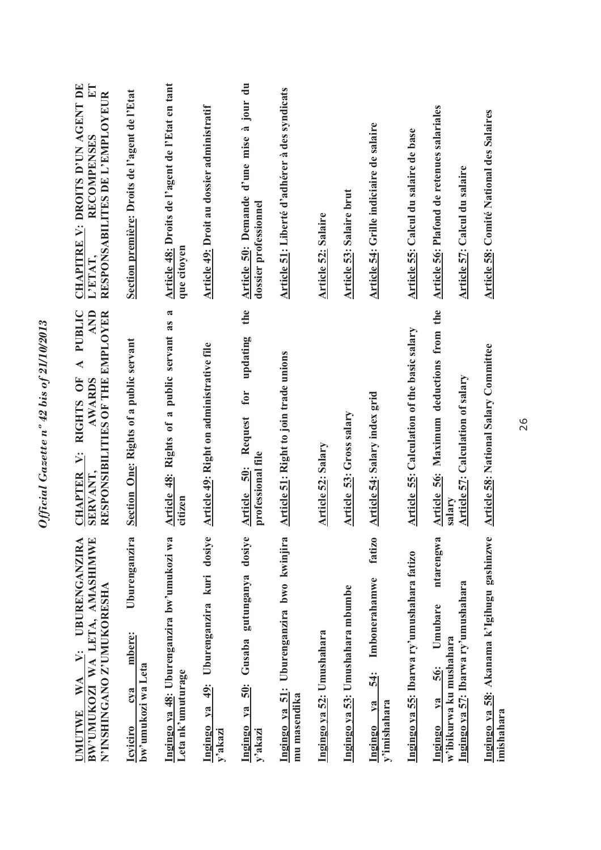| BW'UMUKOZI WA LETA, AMASHIMWE<br><b>UBURENGANZIRA</b><br>N'INSHINGANO Z'UMUKORESHA<br>Ÿ<br>WA<br><b>JMUTWE</b>  | A PUBLIC<br><b>AND</b><br>RESPONSIBILITIES OF THE EMPLOYER<br>RIGHTS OF<br><b>AWARDS</b><br><b>CHAPTER V:</b><br><b>SERVANT</b> | CHAPITRE V: DROITS D'UN AGENT DE<br>ET<br>RESPONSABILITES DE L'EMPLOYEUR<br><b>RECOMPENSES</b><br><b>TRTET.</b> |
|-----------------------------------------------------------------------------------------------------------------|---------------------------------------------------------------------------------------------------------------------------------|-----------------------------------------------------------------------------------------------------------------|
| Uburenganzira<br>mbere:<br>bw'umukozi wa Leta<br>cva<br><b>Icyiciro</b>                                         | Section One: Rights of a public servant                                                                                         | Section première: Droits de l'agent de l'Etat                                                                   |
| Ingingo ya 48: Uburenganzira bw'umukozi wa<br>Leta nk'umuturage                                                 | Article 48: Rights of a public servant as a<br>citizen                                                                          | Article 48: Droits de l'agent de l'Etat en tant<br>que citoyen                                                  |
| Uburenganzira kuri dosiye<br>49:<br>Ingingo ya<br>y'akazi                                                       | Article 49: Right on administrative file                                                                                        | Article 49: Droit au dossier administratif                                                                      |
| dosiye<br>gutunganya<br>Gusaba<br>50:<br>Ingingo ya<br>y'akazi                                                  | the<br>updating<br>for<br>Request<br>professional file<br>50:<br><b>Article</b>                                                 | Article 50: Demande d'une mise à jour du<br>dossier professionnel                                               |
| Uburenganzira bwo kwinjira<br>Ingingo ya 51:<br>mu masendika                                                    | Article 51: Right to join trade unions                                                                                          | Article 51: Liberté d'adhérer à des syndicats                                                                   |
| Ingingo ya 52: Umushahara                                                                                       | <b>Article 52: Salary</b>                                                                                                       | <b>Article 52: Salaire</b>                                                                                      |
| Ingingo ya 53: Umushahara mbumbe                                                                                | Article 53: Gross salary                                                                                                        | <b>Article 53: Salaire brut</b>                                                                                 |
| fatizo<br>Imbonerahamwe<br>54:<br>y'imishahara<br>$1$<br>Ingingo                                                | Article 54: Salary index grid                                                                                                   | Article 54: Grille indiciaire de salaire                                                                        |
| Ingingo ya 55: Ibarwa ry'umushahara fatizo                                                                      | <b>Article 55: Calculation of the basic salary</b>                                                                              | Article 55: Calcul du salaire de base                                                                           |
| ntarengwa<br>Ingingo ya 57: Ibarwa ry'umushahara<br>Umubare<br>w'ibikurwa ku mushahara<br>56:<br>$1$<br>Ingingo | Article 56: Maximum deductions from the<br>Article 57: Calculation of salary<br>salary                                          | Article 56: Plafond de retenues salariales<br>Article 57: Calcul du salaire                                     |
| Ingingo ya 58: Akanama k'Igihugu gashinzwe<br>imishahara                                                        | Article 58: National Salary Committee                                                                                           | Article 58: Comité National des Salaires                                                                        |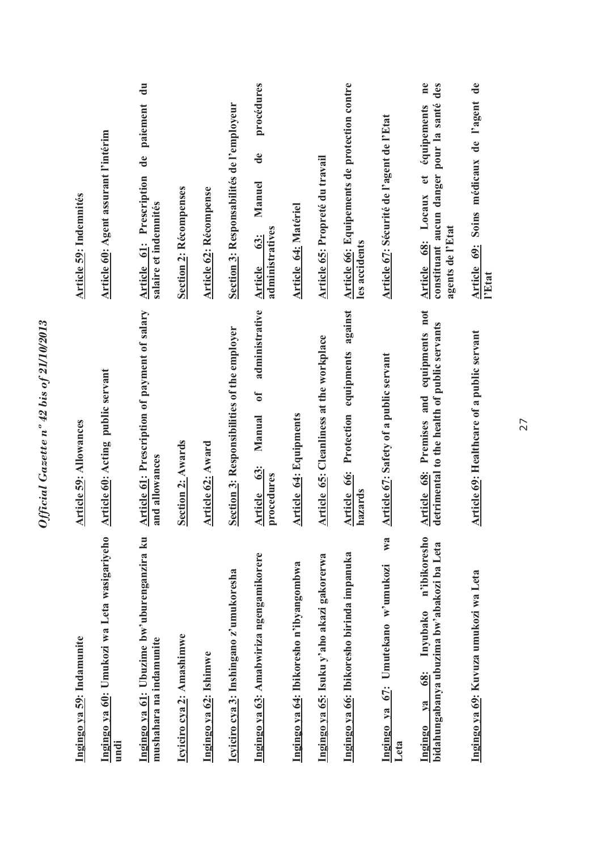| Ingingo ya 60: Umukozi wa Leta wasigariyeho<br>Ingingo ya 59: Indamunite<br>undi              | Article 60: Acting public servant<br><b>Article 59: Allowances</b>                      | Article 60: Agent assurant l'intérim<br>Article 59: Indemnités                                                                     |
|-----------------------------------------------------------------------------------------------|-----------------------------------------------------------------------------------------|------------------------------------------------------------------------------------------------------------------------------------|
| Ingingo ya 61: Ubuzime bw'uburenganzira ku<br>mushahara na indamunite                         | Article 61: Prescription of payment of salary<br>and allowances                         | $\ddot{a}$<br>paiement<br>$\mathbf{d}\mathbf{e}$<br>Article 61: Prescription<br>salaire et indemnités                              |
| Icyiciro cya 2: Amashimwe                                                                     | Section 2: Awards                                                                       | <b>Section 2: Récompenses</b>                                                                                                      |
| Ingingo ya 62: Ishimwe                                                                        | Article 62: Award                                                                       | Article 62: Récompense                                                                                                             |
| Icyiciro cya 3: Inshingano z'umukoresha                                                       | Section 3: Responsibilities of the employer                                             | Section 3: Responsabilités de l'employeur                                                                                          |
| Ingingo ya 63: Amabwiriza ngengamikorere                                                      | administrative<br>ð<br>Manual<br>63:<br>procedures<br>Article                           | procédures<br>$\mathbf{d}\mathbf{e}$<br>Manuel<br>administratives<br><b>63:</b><br>Article                                         |
| Ingingo ya 64: Ibikoresho n'ibyangombwa                                                       | Article 64: Equipments                                                                  | Article 64: Matériel                                                                                                               |
| Ingingo ya 65: Isuku y'aho akazi gakorerwa                                                    | Article 65: Cleanliness at the workplace                                                | Article 65: Propreté du travail                                                                                                    |
| Ingingo ya 66: Ibikoresho birinda impanuka                                                    | against<br>Article 66: Protection equipments<br>hazards                                 | Article 66: Equipements de protection contre<br>les accidents                                                                      |
| W <sub>3</sub><br>Ingingo ya 67: Umutekano w'umukozi<br>Leta                                  | Article 67: Safety of a public servant                                                  | Article 67: Sécurité de l'agent de l'Etat                                                                                          |
| n'ibikoresho<br>bidahungabanya ubuzima bw'abakozi ba Leta<br>Inyubako<br>68:<br>ya<br>Ingingo | Article 68: Premises and equipments not<br>detrimental to the health of public servants | $n$ e<br>des<br>constituant aucun danger pour la santé<br>équipements<br>et<br>Locaux<br>agents de l'Etat<br>68:<br><b>Article</b> |
| Ingingo ya 69: Kuvuza umukozi wa Leta                                                         | Article 69: Healthcare of a public servant                                              | Soins médicaux de l'agent de<br>Article 69:<br>l'Etat                                                                              |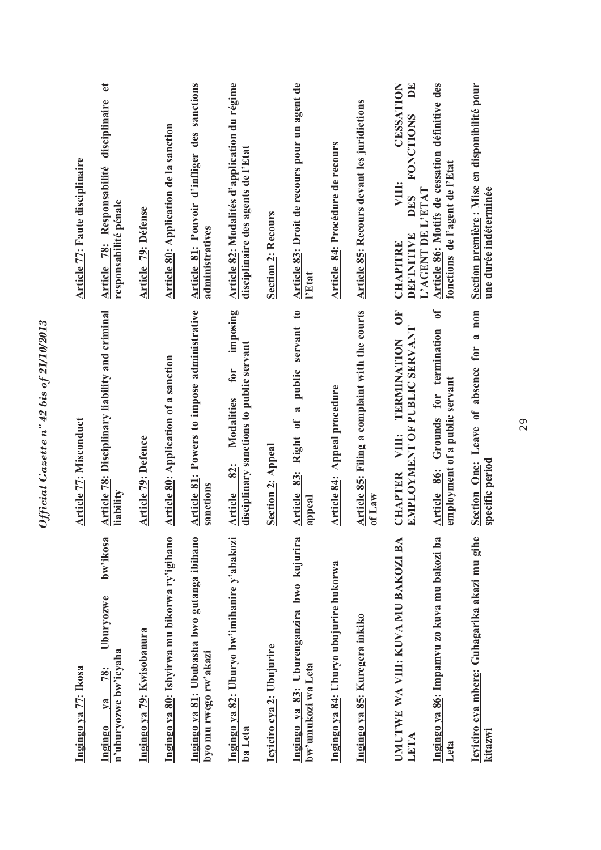| Article 77: Faute disciplinaire | disciplinaire<br>Responsabilité<br>responsabilité pénale<br>Article 78:<br>Article 78: Disciplinary liability and criminal | <b>Article 79: Défense</b> | Article 80: Application de la sanction        | Article 81: Pouvoir d'infliger des sanctions<br>administratives<br><b>Article 81: Powers to impose administrative</b> | Article 82: Modalités d'application du régime<br>disciplinaire des agents de l'Etat<br>imposing<br>for<br><b>Modalities</b> | <b>Section 2: Recours</b> | Article 83: Droit de recours pour un agent de<br>l'Etat<br>$\mathfrak{g}$<br>servant<br>a public | Article 84: Procédure de recours        | <b>Article 85: Recours devant les juridictions</b><br>Article 85: Filing a complaint with the courts | CESSATION<br><b>FONCTIONS</b><br>VIII:<br><b>PAGENT DE L'ETAT</b><br>DES<br>DEFINITIVE<br><b>CHAPITRE</b><br>$\overline{0}$<br>EMPLOYMENT OF PUBLIC SERVANT<br>TERMINATION | Article 86: Motifs de cessation définitive des<br>fonctions de l'agent de l'Etat<br>ð<br>for termination | Section première : Mise en disponibilité pour<br>une durée indéterminée<br>a non |
|---------------------------------|----------------------------------------------------------------------------------------------------------------------------|----------------------------|-----------------------------------------------|-----------------------------------------------------------------------------------------------------------------------|-----------------------------------------------------------------------------------------------------------------------------|---------------------------|--------------------------------------------------------------------------------------------------|-----------------------------------------|------------------------------------------------------------------------------------------------------|----------------------------------------------------------------------------------------------------------------------------------------------------------------------------|----------------------------------------------------------------------------------------------------------|----------------------------------------------------------------------------------|
| <b>Article 77: Misconduct</b>   | liability                                                                                                                  | <b>Article 79: Defence</b> | <b>Article 80: Application of a sanction</b>  | sanctions                                                                                                             | disciplinary sanctions to public servant<br>82:<br><b>Article</b>                                                           | <b>Section 2: Appeal</b>  | Right of<br>83:<br>Article<br>appeal                                                             | Article 84: Appeal procedure            | of Law                                                                                               | VIII:<br><b>CHAPTER</b>                                                                                                                                                    | employment of a public servant<br>Grounds<br>Article 86:                                                 | Section One: Leave of absence for<br>specific period                             |
|                                 | bw'ikosa<br>Uburyozwe                                                                                                      |                            |                                               |                                                                                                                       |                                                                                                                             |                           |                                                                                                  |                                         |                                                                                                      |                                                                                                                                                                            |                                                                                                          |                                                                                  |
| Ingingo ya 77: Ikosa            | n'uburyozwe bw'icyaha<br>78:<br>$Y$ a<br>Ingingo                                                                           | Ingingo ya 79: Kwisobanura | Ingingo ya 80: Ishyirwa mu bikorwa ry'igihano | Ingingo ya 81: Ububasha bwo gutanga ibihano<br>byo mu rwego rw'akazi                                                  | Ingingo ya 82: Uburyo bw'imihanire y'abakozi<br>ba Leta                                                                     | Icyiciro cya 2: Ubujurire | Ingingo ya 83: Uburenganzira bwo kujurira<br>bw'umukozi wa Leta                                  | Ingingo ya 84: Uburyo ubujurire bukorwa | Ingingo ya 85: Kuregera inkiko                                                                       | UMUTWE WA VIII: KUVA MU BAKOZI BA<br>LETA                                                                                                                                  | Ingingo ya 86: Impamvu zo kuva mu bakozi ba<br>Leta                                                      | Icyiciro cya mbere: Guhagarika akazi mu gihe<br>kitazwi                          |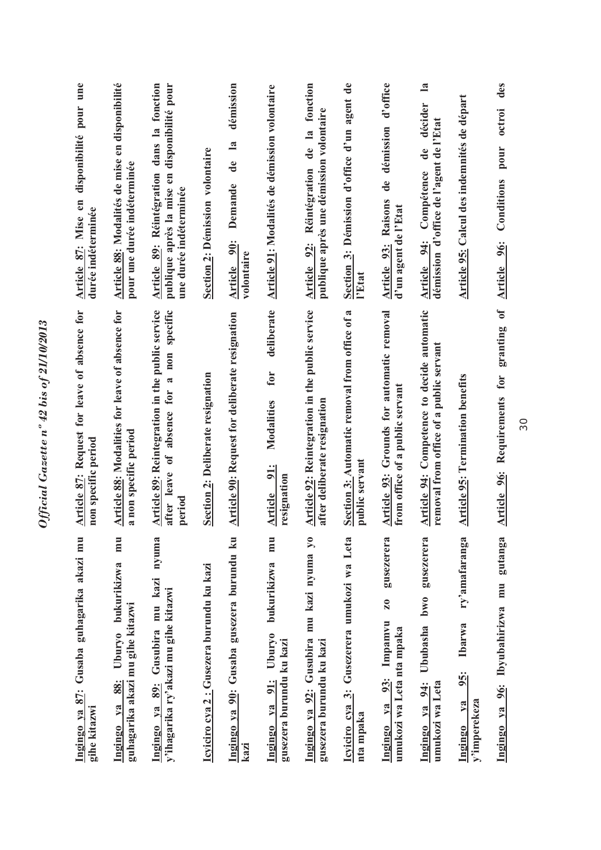| Ingingo ya 87: Gusaba guhagarika akazi mu<br>gihe kitazwi                                              | <b>Article 87:</b> Request for leave of absence for<br>non specific period                                            | disponibilité pour une<br>Article 87: Mise en<br>durée indéterminée                                                        |
|--------------------------------------------------------------------------------------------------------|-----------------------------------------------------------------------------------------------------------------------|----------------------------------------------------------------------------------------------------------------------------|
| mu<br>bukurikizwa<br>guhagarika akazi mu gihe kitazwi<br>Ubury <sub>0</sub><br>88:<br>$Y$ a<br>Ingingo | Article 88: Modalities for leave of absence for<br>a non specific period                                              | Article 88: Modalités de mise en disponibilité<br>pour une durée indéterminée                                              |
| nyuma<br>mu kazi<br>y'ihagarika ry'akazi mu gihe kitazwi<br>Ingingo ya 89: Gusubira                    | Article 89: Reintegration in the public service<br>specific<br>$n$ on<br>ಷ<br>absence for<br>after leave of<br>period | dans la fonction<br>disponibilité pour<br>Article 89: Réintégration<br>publique après la mise en<br>une durée indéterminée |
| Icyiciro cya 2: Gusezera burundu ku kazi                                                               | Section 2: Deliberate resignation                                                                                     | Section 2: Démission volontaire                                                                                            |
| Ingingo ya 90: Gusaba gusezera burundu ku<br>kazi                                                      | <b>Article 90: Request for deliberate resignation</b>                                                                 | démission<br>$\mathbf{a}$<br>de<br>Demande<br>90:<br>volontaire<br>Article                                                 |
| mu<br>bukurikizwa<br>Ubury <sub>0</sub><br>gusezera burundu ku kazi<br>Ingingo ya 91:                  | deliberate<br>for<br>Modalities<br>Article 91:<br>resignation                                                         | Article 91: Modalités de démission volontaire                                                                              |
| mu kazi nyuma yo<br>Ingingo ya 92: Gusubira<br>gusezera burundu ku kazi                                | Article 92: Reintegration in the public service<br>after deliberate resignation                                       | de la fonction<br>publique après une démission volontaire<br>Article 92: Réintégration                                     |
| Icyiciro cya 3: Gusezerera umukozi wa Leta<br>nta mpaka                                                | Section 3: Automatic removal from office of a<br>public servant                                                       | Section 3: Démission d'office d'un agent de<br>l'Etat                                                                      |
| gusezerera<br>$\mathbf{z}_{0}$<br>Impamvu<br>umukozi wa Leta nta mpaka<br>93:<br>$va$<br>Ingingo       | Article 93: Grounds for automatic removal<br>from office of a public servant                                          | d'office<br>démission<br>de<br>Raisons<br>d'un agent de l'Etat<br>Article 93:                                              |
| gusezerera<br>Ububasha bwo<br>umukozi wa Leta<br>94:<br>Ingingo ya                                     | Article 94: Competence to decide automatic<br>removal from office of a public servant                                 | $\mathbf{a}$<br>décider<br>démission d'office de l'agent de l'Etat<br>de<br>Compétence<br>Article 94:                      |
| ry'amafaranga<br>Ibarwa<br>95:<br>y'imperekeza<br>$1$<br>Ingingo                                       | <b>Article 95: Termination benefits</b>                                                                               | Article 95: Calcul des indemnités de départ                                                                                |
| gutanga<br>Ibyubahirizwa mu<br>96:<br>Ingingo ya                                                       | $\mathbf{d}$<br>granting<br>for<br>Article 96: Requirements                                                           | des<br>octroi<br>pour<br>Conditions<br>Article 96:                                                                         |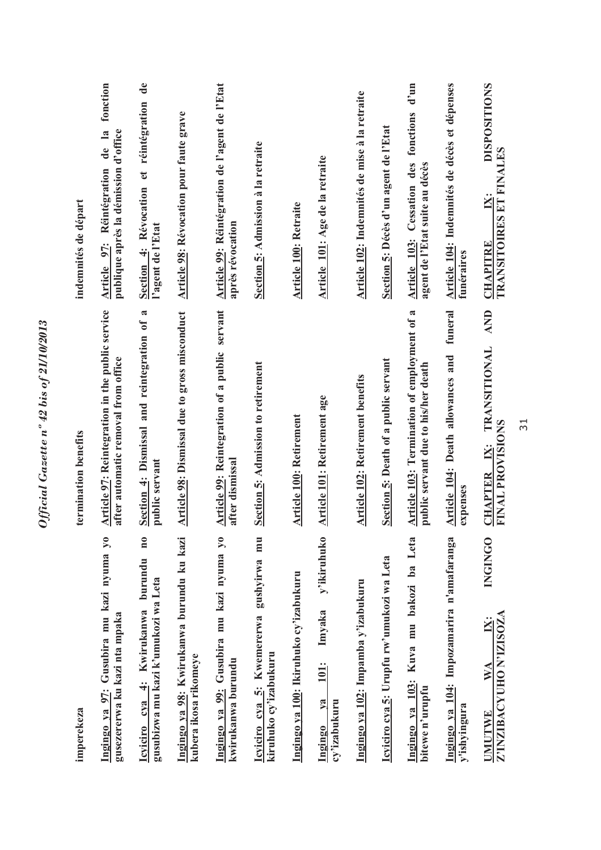| imperekeza                                                                                  | termination benefits                                                                      | indemnités de départ                                                                      |
|---------------------------------------------------------------------------------------------|-------------------------------------------------------------------------------------------|-------------------------------------------------------------------------------------------|
| Ingingo ya 97: Gusubira mu kazi nyuma yo<br>gusezererwa ku kazi nta mpaka                   | Article 97: Reintegration in the public service<br>after automatic removal from office    | fonction<br>de la<br>publique après la démission d'office<br>Réintégration<br>Article 97: |
| $\mathbf{n}$ 0<br>Icyiciro cya 4: Kwirukanwa burundu<br>gusubizwa mu kazi k'umukozi wa Leta | Section 4: Dismissal and reintegration of a<br>public servant                             | Section 4: Révocation et réintégration de<br>l'agent de l'Etat                            |
| Ingingo ya 98: Kwirukanwa burundu ku kazi<br>kubera ikosa rikomeye                          | Article 98: Dismissal due to gross misconduct                                             | <b>Article 98: Révocation pour faute grave</b>                                            |
| Ingingo ya 99: Gusubira mu kazi nyuma yo<br>kwirukanwa burundu                              | Article 99: Reintegration of a public servant<br>after dismissal                          | Article 99: Réintégration de l'agent de l'Etat<br>après révocation                        |
| Icyiciro cya 5: Kwemererwa gushyirwa mu<br>kiruhuko cy'izabukuru                            | <b>Section 5: Admission to retirement</b>                                                 | Section 5: Admission à la retraite                                                        |
| Ingingo ya 100: Ikiruhuko cy'izabukuru                                                      | <b>Article 100: Retirement</b>                                                            | <b>Article 100: Retraite</b>                                                              |
| y'ikiruhuko<br>Imyaka<br>101:<br>$1$<br>cy'izabukuru<br>Ingingo                             | Article 101: Retirement age                                                               | Article 101: Age de la retraite                                                           |
| Ingingo ya 102: Impamba y'izabukuru                                                         | Article 102: Retirement benefits                                                          | Article 102: Indemnités de mise à la retraite                                             |
| Icyiciro cya 5: Urupfu rw'umukozi wa Leta                                                   | Section 5: Death of a public servant                                                      | Section 5: Décès d'un agent de l'Etat                                                     |
| 103: Kuva mu bakozi ba Leta<br>bitewe n'uruptu<br>Ingingo ya                                | <b>Article 103: Termination of employment of a</b><br>public servant due to his/her death | Article 103: Cessation des fonctions d'un<br>agent de l'Etat suite au décès               |
| Ingingo ya 104: Impozamarira n'amafaranga<br>y'ishyingura                                   | funeral<br>Article 104: Death allowances and<br>expenses                                  | Article 104: Indemnités de décès et dépenses<br>funéraires                                |
| <b>INGINGO</b><br>Z'INZIBACYUHO N'IZISOZA<br>$\mathbf{W} \mathbf{A}$<br>UMUTWE              | <b>AND</b><br><b>TRANSITIONAL</b><br><b>FINAL PROVISIONS</b><br>CHAPTER IX:               | <b>DISPOSITIONS</b><br><b>TRANSITOIRES ET FINALES</b><br>ΙX:<br><b>CHAPITRE</b>           |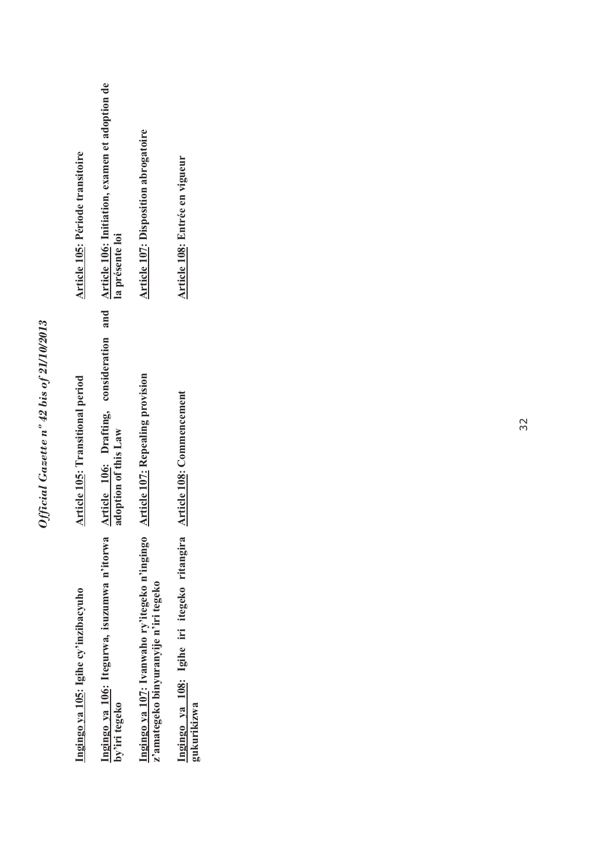| Article 105: Période transitoire     | and Article 106: Initiation, examen et adoption de<br>la présente loi | <b>Article 107: Disposition abrogatoire</b>                                            | Article 108: Entrée en vigueur                             |
|--------------------------------------|-----------------------------------------------------------------------|----------------------------------------------------------------------------------------|------------------------------------------------------------|
| Article 105: Transitional period     | Article 106: Drafting, consideration<br>adoption of this Law          | <b>Article 107: Repealing provision</b>                                                | Article 108: Commencement                                  |
| Ingingo ya 105: Igihe cy'inzibacyuho | Ingingo ya 106: Itegurwa, isuzumwa n'itorwa<br>by'iri tegeko          | Ingingo ya 107: Ivanwaho ry'itegeko n'ingingo<br>z'amategeko binyuranyije n'iri tegeko | Ingingo ya 108: Igihe iri itegeko ritangira<br>gukurikizwa |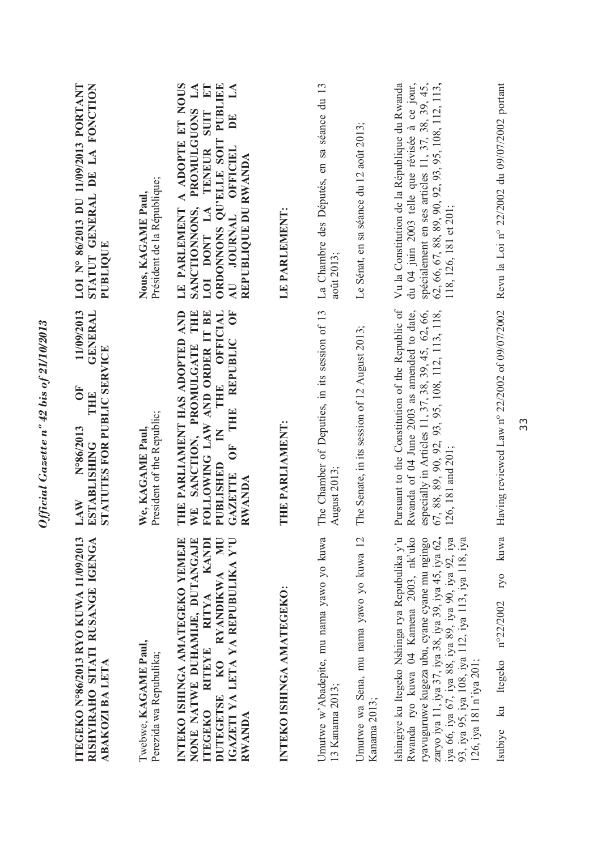| ITEGEKO N°86/2013 RYO KUWA 11/09/2013<br>RISHYIRAHO SITATI RUSANGE IGENGA<br>ABAKOZI BA LETA                                                                                                                                                                                                                                                 | 11/09/2013<br><b>GENERAL</b><br>STATUTES FOR PUBLIC SERVICE<br>ðF<br>THE.<br>N°86/2013<br><b>ESTABLISHING</b><br>$\mathbf{LAN}$                                                                                                  | STATUT GENERAL DE LA FONCTION<br>LOI N° 86/2013 DU 11/09/2013 PORTANT<br>PUBLIOUE                                                                                                                                                                                             |
|----------------------------------------------------------------------------------------------------------------------------------------------------------------------------------------------------------------------------------------------------------------------------------------------------------------------------------------------|----------------------------------------------------------------------------------------------------------------------------------------------------------------------------------------------------------------------------------|-------------------------------------------------------------------------------------------------------------------------------------------------------------------------------------------------------------------------------------------------------------------------------|
| Twebwe, KAGAME Paul,<br>Perezida wa Repubulika;                                                                                                                                                                                                                                                                                              | President of the Republic;<br>We, KAGAME Paul                                                                                                                                                                                    | Président de la République;<br>Nous, KAGAME Paul,                                                                                                                                                                                                                             |
| RYANDIKWA MU<br>INTEKO ISHINGA AMATEGEKO YEMEJE<br>NONE NATWE DUHAMIJE, DUTANGAJE<br>KANDI<br>IGAZETI YA LETA YA REPUBULIKA Y'U<br>RITEYE RITYA<br>DUTEGETSE KO<br>ITEGEKO<br><b>RWANDA</b>                                                                                                                                                  | WE SANCTION, PROMULGATE THE<br>OFFICIAL<br>ð<br>THE PARLIAMENT HAS ADOPTED AND<br>FOLLOWING LAW AND ORDER IT BE<br>REPUBLIC<br>THE<br>THE<br>$\mathbf{K}$<br>$\overline{\bf{5}}$<br>PUBLISHED<br><b>GAZETTE</b><br><b>RWANDA</b> | A ADOPTE ET NOUS<br>PUBLIEE<br>$L\mathbf{A}$<br>$E$ T<br>$\mathbb{A}$<br>PROMULGUONS<br><b>SUIT</b><br>$\mathbf{D}^{\mathbf{E}}$<br>ORDONNONS QU'ELLE SOIT<br>TENEUR<br><b>OFFICIEL</b><br>REPUBLIQUE DU RWANDA<br>LOI DONT LA<br>SANCTIONNONS,<br>LE PARLEMENT<br>AU JOURNAL |
| INTEKO ISHINGA AMATEGEKO:                                                                                                                                                                                                                                                                                                                    | THE PARLIAMENT:                                                                                                                                                                                                                  | LE PARLEMENT:                                                                                                                                                                                                                                                                 |
| Umutwe w'Abadepite, mu nama yawo yo kuwa<br>13 Kanama 2013;                                                                                                                                                                                                                                                                                  | The Chamber of Deputies, in its session of 13<br>August 2013;                                                                                                                                                                    | La Chambre des Députés, en sa séance du 13<br>août 2013;                                                                                                                                                                                                                      |
| Umutwe wa Sena, mu nama yawo yo kuwa 12<br>Kanama 2013;                                                                                                                                                                                                                                                                                      | The Senate, in its session of 12 August 2013;                                                                                                                                                                                    | Le Sénat, en sa séance du 12 août 2013;                                                                                                                                                                                                                                       |
| Ishingiye ku Itegeko Nshinga rya Repubulika y'u<br>zaryo iya 11, iya 37, iya 38, iya 39, iya 45, iya 62,<br>Rwanda ryo kuwa 04 Kamena 2003, nk'uko<br>ryavuguruwe kugeza ubu, cyane cyane mu ngingo<br>iya 66, iya 67, iya 88, iya 89, iya 90, iya 92, iya<br>93, iya 95, iya 108, iya 112, iya 113, iya 118, iya<br>126, iya 181 n'iya 201; | Pursuant to the Constitution of the Republic of<br>Rwanda of 04 June 2003 as amended to date,<br>especially in Articles 11, 37, 38, 39, 45, 62, 66,<br>67, 88, 89, 90, 92, 93, 95, 108, 112, 113, 118,<br>126, 181 and 201;      | du 04 juin 2003 telle que révisée à ce jour,<br>Vu la Constitution de la République du Rwanda<br>spécialement en ses articles 11, 37, 38, 39, 45,<br>62, 66, 67, 88, 89, 90, 92, 93, 95, 108, 112, 113,<br>118, 126, 181 et 201;                                              |
| kuwa<br>ryo<br>n°22/2002<br>Itegeko<br>$\overline{\mathbf{a}}$<br>Isubiye                                                                                                                                                                                                                                                                    | Having reviewed Law n° 22/2002 of 09/07/2002                                                                                                                                                                                     | Revu la Loi nº 22/2002 du 09/07/2002 portant                                                                                                                                                                                                                                  |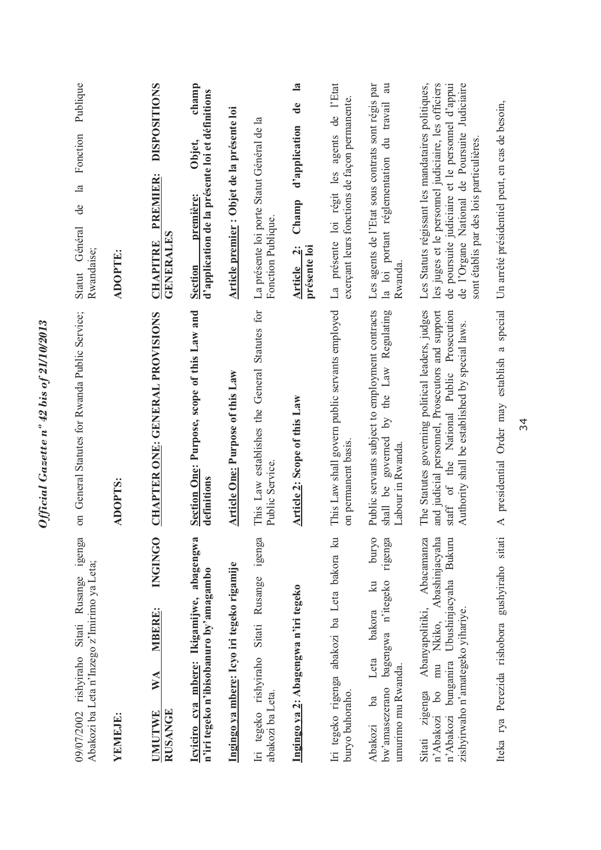| 09/07/2002 rishyiraho Sitati Rusange igenga<br>Abakozi ba Leta n'Inzego z'Imirimo ya Leta;                                                                                                     | on General Statutes for Rwanda Public Service;                                                                                                                                                     | Publique<br>Fonction<br>$\mathbb{E}$<br>de<br>Statut Général<br>Rwandaise;                                                                                                                                                                              |
|------------------------------------------------------------------------------------------------------------------------------------------------------------------------------------------------|----------------------------------------------------------------------------------------------------------------------------------------------------------------------------------------------------|---------------------------------------------------------------------------------------------------------------------------------------------------------------------------------------------------------------------------------------------------------|
| YEMEJE:                                                                                                                                                                                        | ADOPTS:                                                                                                                                                                                            | <b>ADOPTE:</b>                                                                                                                                                                                                                                          |
| INGINGO<br>MBERE:<br>WA<br><b>RUSANGE</b><br><b>UMUTWE</b>                                                                                                                                     | CHAPTER ONE: GENERAL PROVISIONS                                                                                                                                                                    | <b>DISPOSITIONS</b><br><b>PREMIER:</b><br><b>GENERALES</b><br><b>CHAPITRE</b>                                                                                                                                                                           |
| Icyiciro cya mbere: Ikigamijwe, abagengwa<br>n'iri tegeko n'ibisobanuro by'amagambo                                                                                                            | Section One: Purpose, scope of this Law and<br>definitions                                                                                                                                         | champ<br>d'application de la présente loi et définitions<br>Objet,<br>première:<br><b>Section</b>                                                                                                                                                       |
| Ingingo ya mbere: Icyo iri tegeko rigamije                                                                                                                                                     | Article One: Purpose of this Law                                                                                                                                                                   | Article premier : Objet de la présente loi                                                                                                                                                                                                              |
| igenga<br>Iri tegeko rishyiraho Sitati Rusange<br>abakozi ba Leta.                                                                                                                             | This Law establishes the General Statutes for<br>Public Service.                                                                                                                                   | La présente loi porte Statut Général de la<br>Fonction Publique.                                                                                                                                                                                        |
| Ingingo ya 2: Abagengwa n'iri tegeko                                                                                                                                                           | Article 2: Scope of this Law                                                                                                                                                                       | $\mathbf{a}$<br>de<br>d'application<br>Champ<br>présente loi<br>Article 2:                                                                                                                                                                              |
| Iri tegeko rigenga abakozi ba Leta bakora ku<br>buryo buhoraho.                                                                                                                                | This Law shall govern public servants employed<br>on permanent basis.                                                                                                                              | La présente loi régit les agents de l'Etat<br>exerçant leurs fonctions de façon permanente.                                                                                                                                                             |
| <b>buryo</b><br>rigenga<br>bw'amasezerano bagengwa n'itegeko<br>$k$ u<br>bakora<br>Leta<br>umurimo mu Rwanda.<br>b <sub>a</sub><br>Abakozi                                                     | Public servants subject to employment contracts<br>the Law Regulating<br>shall be governed by<br>Labour in Rwanda                                                                                  | Les agents de l'Etat sous contrats sont régis par<br>au<br>du travail<br>la loi portant réglementation<br>Rwanda                                                                                                                                        |
| Abanyapolitiki, Abacamanza<br>Abashinjacyaha<br>n'Abakozi bunganira Ubushinjacyaha Bukuru<br>zishyirwaho n'amategeko yihariye.<br>Nkiko,<br>$b$ <sup>0</sup> mu<br>Sitati zigenga<br>n'Abakozi | The Statutes governing political leaders, judges<br>and judicial personnel, Prosecutors and support<br>staff of the National Public Prosecution<br>Authority shall be established by special laws. | Les Statuts régissant les mandataires politiques,<br>les juges et le personnel judiciaire, les officiers<br>de poursuite judiciaire et le personnel d'appui<br>de l'Organe National de Poursuite Judiciaire<br>sont établis par des lois particulières. |
| Iteka rya Perezida rishobora gushyiraho sitati                                                                                                                                                 | A presidential Order may establish a special                                                                                                                                                       | Un arrêté présidentiel peut, en cas de besoin,                                                                                                                                                                                                          |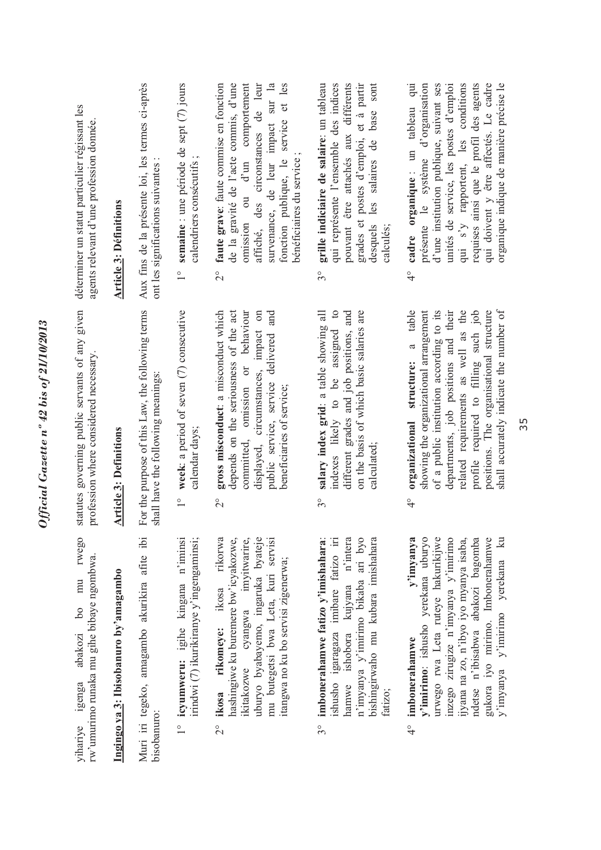| déterminer un statut particulier régissant les<br>agents relevant d'une profession donnée.       | <b>Article 3: Définitions</b>         | Aux fins de la présente loi, les termes ci-après<br>ont les significations suivantes : | 1° semaine : une période de sept (7) jours<br>calendriers consécutifs;           | affiché, des circonstances de leur<br>survenance, de leur impact sur la<br>fonction publique, le service et les<br>de la gravité de l'acte commis, d'une<br>omission ou d'un comportement<br>$2^{\circ}$ faute grave: faute commise en fonction<br>bénéficiaires du service; | grades et postes d'emploi, et à partir<br>pouvant être attachés aux différents<br>desquels les salaires de base sont<br>grille indiciaire de salaire: un tableau<br>qui représente l'ensemble des indices<br>calculés;<br>$3^{\circ}$ | unités de service, les postes d'emploi<br>qui s'y rapportent, les conditions<br>requises ainsi que le profil des agents<br>qui doivent y être affectés. Le cadre<br>4° cadre organique: un tableau qui<br>d'une institution publique, suivant ses<br>organique indique de manière précise le<br>présente le système d'organisation                    |
|--------------------------------------------------------------------------------------------------|---------------------------------------|----------------------------------------------------------------------------------------|----------------------------------------------------------------------------------|------------------------------------------------------------------------------------------------------------------------------------------------------------------------------------------------------------------------------------------------------------------------------|---------------------------------------------------------------------------------------------------------------------------------------------------------------------------------------------------------------------------------------|-------------------------------------------------------------------------------------------------------------------------------------------------------------------------------------------------------------------------------------------------------------------------------------------------------------------------------------------------------|
| statutes governing public servants of any given<br>profession where considered necessary.        | <b>Article 3: Definitions</b>         | For the purpose of this Law, the following terms<br>shall have the following meanings: | 1° week: a period of seven (7) consecutive<br>calendar days;                     | gross misconduct: a misconduct which<br>displayed, circumstances, impact on<br>depends on the seriousness of the act<br>committed, omission or behaviour<br>public service, service delivered and<br>beneficiaries of service;<br>$\frac{1}{2}$                              | salary index grid: a table showing all<br>indexes likely to be assigned to<br>different grades and job positions, and<br>on the basis of which basic salaries are<br>calculated;<br>$3^{\circ}$                                       | shall accurately indicate the number of<br>organizational structure: a table<br>showing the organizational arrangement<br>of a public institution according to its<br>departments, job positions and their<br>related requirements as well as the<br>profile required to filling such job<br>positions. The organisational structure<br>$\frac{1}{4}$ |
| rwego<br>rw'umurimo runaka mu gihe bibaye ngombwa.<br>mu<br>$^{6}$<br>abakozi<br>yihariye igenga | Ingingo ya 3: Ibisobanuro by'amagambo | Muri iri tegeko, amagambo akurikira afite ibi<br>bisobanuro:                           | 1° icyumweru: igihe kingana n'iminsi<br>irindwi (7) ikurikiranye y'ingengaminsi; | uburyo byabayemo, ingaruka byateje<br>rikorwa<br>hashingiwe ku buremere bw'icyakozwe,<br>ikitakozwe cyangwa imyitwarire,<br>mu butegetsi bwa Leta, kuri servisi<br>itangwa no ku bo servisi zigenerwa;<br>ikosa rikomeye: ikosa<br>$\frac{1}{2}$                             | imbonerahamwe fatizo y'imishahara:<br>ishusho igaragaza imibare fatizo iri<br>ishobora kujyana n'intera<br>n'imyanya y'imirimo bikaba ari byo<br>bishingirwaho mu kubara imishahara<br>hamwe<br>fatızo;<br>30                         | y'imirimo: ishusho yerekana uburyo<br>urwego rwa Leta ruteye hakurikijwe<br>y'imyanya<br>inzego zirugize n'imyanya y'imirimo<br>ndetse n'ibisabwa abakozi bagomba<br>y'imyanya y'imirimo yerekana ku<br>ijyana na zo, n'ibyo iyo myanya isaba,<br>gukora iyo mirimo. Imbonerahamwe<br>imbonerahamwe<br>$\frac{1}{4}$                                  |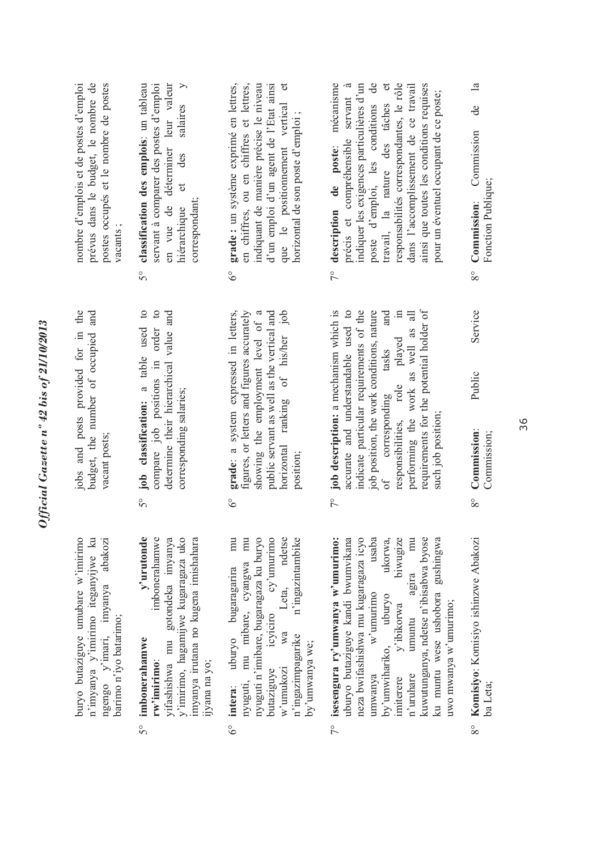| nombre d'emplois et de postes d'emploi<br>prévus dans le budget, le nombre de<br>postes occupés et le nombre de postes<br>vacants;<br>jobs and posts provided for in the | déterminer leur valeur<br>classification des emplois: un tableau<br>servant à comparer des postes d'emploi<br>$\geq$<br>salaires<br>des<br>$\sigma$<br>correspondant;<br>en vue de<br>hiérarchique<br>50               | que le positionnement vertical et<br>grade : un système exprimé en lettres,<br>en chiffres, ou en chiffres et lettres,<br>d'un emploi d'un agent de l'Etat ainsi<br>indiquant de manière précise le niveau<br>horizontal de son poste d'emploi ;<br>$6^\circ$             | 7° description de poste: mécanisme<br>travail, la nature des tâches et<br>responsabilités correspondantes, le rôle<br>poste d'emploi, les conditions de<br>précis et compréhensible servant à<br>indiquer les exigences particulières d'un<br>dans l'accomplissement de ce travail<br>ainsi que toutes les conditions requises<br>pour un éventuel occupant de ce poste;<br>and<br>$\equiv$<br>played<br>tasks | $\mathbf{a}$<br>$\ddot{d}$<br>Commission<br>Fonction Publique;<br>8° Commission:<br>Service |
|--------------------------------------------------------------------------------------------------------------------------------------------------------------------------|------------------------------------------------------------------------------------------------------------------------------------------------------------------------------------------------------------------------|---------------------------------------------------------------------------------------------------------------------------------------------------------------------------------------------------------------------------------------------------------------------------|----------------------------------------------------------------------------------------------------------------------------------------------------------------------------------------------------------------------------------------------------------------------------------------------------------------------------------------------------------------------------------------------------------------|---------------------------------------------------------------------------------------------|
| budget, the number of occupied and<br>vacant posts;                                                                                                                      | job classification: a table used to<br>compare job positions in order to<br>determine their hierarchical value and<br>corresponding salaries;<br>50                                                                    | grade: a system expressed in letters,<br>public servant as well as the vertical and<br>horizontal ranking of his/her job<br>figures, or letters and figures accurately<br>showing the employment level of a<br>position;<br>$6^\circ$                                     | 7° job description: a mechanism which is<br>requirements for the potential holder of<br>accurate and understandable used to<br>indicate particular requirements of the<br>job position, the work conditions, nature<br>performing the work as well as all<br>responsibilities, role<br>corresponding<br>such job position;<br>$\circ$ f                                                                        | Public<br>Commission:<br>Commission;<br>$8^{\circ}$                                         |
| n'imyanya y'imirimo iteganyijwe ku<br>buryo butaziguye umubare w'imirimo<br>abakozi<br>ngengo y'imari, imyanya<br>barimo n'iyo batarimo;                                 | y'urutonde<br>imbonerahamwe<br>y'imirimo, hagamijwe kugaragaza uko<br>vifashishwa mu gotondeka imyanya<br>imyanya irutana no kugena imishahara<br>imbonerahamwe<br>rw'imirimo:<br>ijyana na yo;<br>$\tilde{5}^{\circ}$ | cy'unurimo<br>mu<br>ndetse<br>nyuguti n'imibare, bugaragaza ku buryo<br>mu<br>n'ingazintambike<br>nyuguti, mu mibare, cyangwa<br>uburyo bugaragarira<br>Leta,<br>icyiciro<br>wa<br>n'ingazimpagarike<br>by'umwanya we;<br>w'umukozi<br>butaziguye<br>intera:<br>$6^\circ$ | isesengura ry'umwanya w'umurimo:<br>ukorwa,<br>biwugize<br>mu<br>uburyo butaziguye kandi bwumvikana<br>usaba<br>kuwutunganya, ndetse n'ibisabwa byose<br>gushingwa<br>neza bwifashishwa mu kugaragaza icyo<br>agira<br>ku muntu wese ushobora<br>$w$ 'umurimo<br>npuryo<br>uwo mwanya w'umurimo;<br>y'ibikorwa<br>umuntu<br>by'umwihariko,<br>n'uruhare<br>umwanya<br>imiterere<br>$\sqrt{2}$                  | 8° Komisiyo: Komisiyo ishinzwe Abakozi<br>ba Leta;                                          |

 $5^{\circ}$ 

 $6^{\circ}$ 

 $7^{\circ}$ 

Official Gazette nº 42 bis of 21/10/2013

 $8^{\circ}$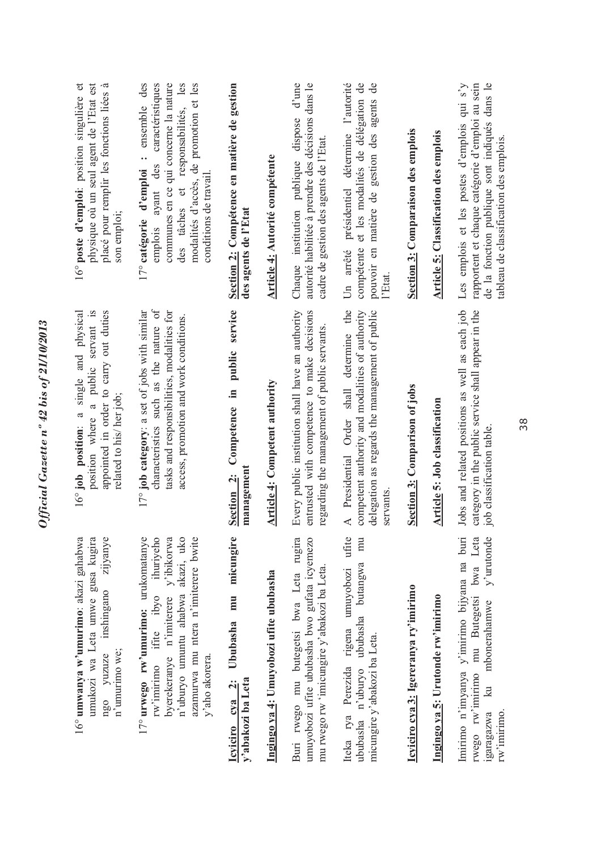| ihuriyeho<br>17° urwego rw'umurimo: urukomatanye<br>n'uburyo umuntu ahabwa akazi, uko<br>umukozi wa Leta umwe gusa kugira<br>zijyanye<br>byerekeranye n'imiterere y'ibikorwa<br>azamurwa mu ntera n'imiterere bwite<br>16° umwanya w'umurimo: akazi gahabwa<br>rw'imirimo ifite ibyo<br>inshingano<br>n'umurimo we;<br>ngo yuzuze | characteristics such as the nature of<br>position where a public servant is<br>appointed in order to carry out duties<br>17° job category: a set of jobs with similar<br>tasks and responsibilities, modalities for<br>single and physical<br>access, promotion and work conditions.<br>related to his/ her job;<br>$\mathfrak{a}$<br>16° job position: | physique où un seul agent de l'Etat est<br>16° poste d'emploi: position singulière et<br>ensemble des<br>caractéristiques<br>communes en ce qui concerne la nature<br>des tâches et responsabilités, les<br>modalités d'accès, de promotion et les<br>placé pour remplir les fonctions liées à<br>$\ddot{\phantom{0}}$<br>des<br>17° catégorie d'emploi<br>ayant<br>son emploi;<br>emplois |
|-----------------------------------------------------------------------------------------------------------------------------------------------------------------------------------------------------------------------------------------------------------------------------------------------------------------------------------|---------------------------------------------------------------------------------------------------------------------------------------------------------------------------------------------------------------------------------------------------------------------------------------------------------------------------------------------------------|--------------------------------------------------------------------------------------------------------------------------------------------------------------------------------------------------------------------------------------------------------------------------------------------------------------------------------------------------------------------------------------------|
| Ububasha mu micungire<br>y'aho akorera.<br>leviciro eya 2:<br>y'abakozi ba Leta                                                                                                                                                                                                                                                   | Competence in public service<br>management<br>Section 2:                                                                                                                                                                                                                                                                                                | Section 2: Compétence en matière de gestion<br>conditions de travail<br>des agents de l'Etat                                                                                                                                                                                                                                                                                               |
| Ingingo ya 4: Umuyobozi ufite ububasha                                                                                                                                                                                                                                                                                            | <b>Article 4: Competent authority</b>                                                                                                                                                                                                                                                                                                                   | Article 4: Autorité compétente                                                                                                                                                                                                                                                                                                                                                             |
| Buri rwego mu butegetsi bwa Leta rugira<br>umuyobozi ufite ububasha bwo gufata icyemezo<br>mu rwego rw 'imicungire y'abakozi ba Leta.                                                                                                                                                                                             | Every public institution shall have an authority<br>entrusted with competence to make decisions<br>regarding the management of public servants.                                                                                                                                                                                                         | d'une<br>autorité habilitée à prendre des décisions dans le<br>Chaque institution publique dispose<br>cadre de gestion des agents de l'Etat.                                                                                                                                                                                                                                               |
| Iteka rya Perezida rigena umuyobozi ufite<br>mu<br>ububasha n'uburyo ububasha butangwa<br>micungire y'abakozi ba Leta.                                                                                                                                                                                                            | Presidential Order shall determine the<br>competent authority and modalities of authority<br>delegation as regards the management of public<br>servants<br>$\prec$                                                                                                                                                                                      | Un arrêté présidentiel détermine l'autorité<br>compétente et les modalités de délégation de<br>pouvoir en matière de gestion des agents de<br>l'Etat.                                                                                                                                                                                                                                      |
| Icyiciro cya 3: Igereranya ry'imirimo                                                                                                                                                                                                                                                                                             | Section 3: Comparison of jobs                                                                                                                                                                                                                                                                                                                           | Section 3: Comparaison des emplois                                                                                                                                                                                                                                                                                                                                                         |
| Ingingo ya 5: Urutonde rw'imirimo                                                                                                                                                                                                                                                                                                 | Article 5: Job classification                                                                                                                                                                                                                                                                                                                           | <b>Article 5:</b> Classification des emplois                                                                                                                                                                                                                                                                                                                                               |
| Imirimo n'imyanya y'imirimo bijyana na buri<br>bwa Leta<br>$y'$ urutonde<br>mu Butegetsi<br>mbonerahamwe<br>rwego rw'imirimo<br>$\overline{\mathbb{R}}$<br>rw'imirimo.<br>1garagazwa                                                                                                                                              | Jobs and related positions as well as each job<br>category in the public service shall appear in the<br>job classification table.                                                                                                                                                                                                                       | Les emplois et les postes d'emplois qui s'y<br>rapportent et chaque catégorie d'emploi au sein<br>de la fonction publique sont indiqués dans le<br>tableau de classification des emplois                                                                                                                                                                                                   |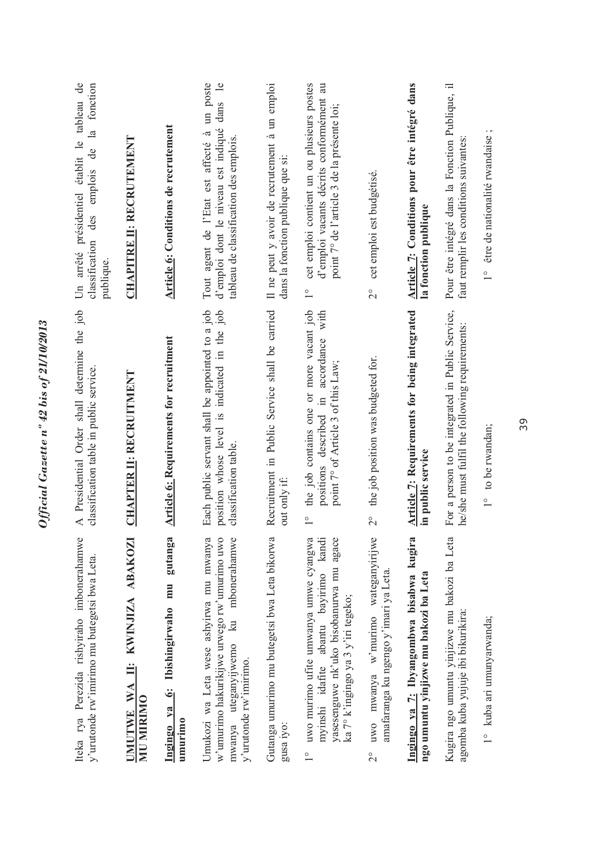| Iteka rya Perezida rishyiraho imbonerahamwe<br>y'urutonde rw'imirimo mu butegetsi bwa Leta.                                                                                                      | A Presidential Order shall determine the job<br>classification table in public service.                                                                      | Un arrêté présidentiel établit le tableau de<br>de la fonction<br>des emplois<br>classification<br>publique.                                                            |
|--------------------------------------------------------------------------------------------------------------------------------------------------------------------------------------------------|--------------------------------------------------------------------------------------------------------------------------------------------------------------|-------------------------------------------------------------------------------------------------------------------------------------------------------------------------|
| II: KWINJIZA ABAKOZI<br>UMUTWE WA<br><b>MIN MIRIMO</b>                                                                                                                                           | <b>CHAPTER II: RECRUITMENT</b>                                                                                                                               | <b>CHAPITRE II: RECRUTEMENT</b>                                                                                                                                         |
| gutanga<br>6: Ibishingirwaho mu<br>Ingingo ya<br>umurimo                                                                                                                                         | <b>Article 6: Requirements for recruitment</b>                                                                                                               | Article 6: Conditions de recrutement                                                                                                                                    |
| Umukozi wa Leta wese ashyirwa mu mwanya<br>w'umurimo hakurikijwe urwego rw'umurimo uwo<br>mbonerahamwe<br>$\mathbb{R}$<br>mwanya uteganyijwemo<br>y'urutonde rw'imirimo.                         | Each public servant shall be appointed to a job<br>position whose level is indicated in the job<br>classification table.                                     | Tout agent de l'Etat est affecté à un poste<br>$\overline{e}$<br>dans<br>d'emploi dont le niveau est indiqué<br>tableau de classification des emplois.                  |
| Gutanga umurimo mu butegetsi bwa Leta bikorwa<br>gusa iyo:                                                                                                                                       | Recruitment in Public Service shall be carried<br>out only if:                                                                                               | Il ne peut y avoir de recrutement à un emploi<br>dans la fonction publique que si:                                                                                      |
| yasesenguwe nk'uko bisobanurwa mu agace<br>uwo murimo ufite umwanya umwe cyangwa<br>myinshi idafite abantu bayirimo kandi<br>ka 7° k'ingingo ya 3 y'iri tegeko;<br>$\overset{\circ}{\phantom{}}$ | the job contains one or more vacant job<br>accordance with<br>point 7° of Article 3 of this Law;<br>positions described in<br>$\overset{\circ}{\phantom{0}}$ | cet emploi contient un ou plusieurs postes<br>d'emploi vacants décrits conformément au<br>point 7° de l'article 3 de la présente loi;<br>$\overset{\circ}{\phantom{0}}$ |
| uwo mwanya w'murimo wateganyirijwe<br>amafaranga ku ngengo y'imari ya Leta.<br>$\overline{2}^{\circ}$                                                                                            | the job position was budgeted for.<br>$\frac{1}{2}$                                                                                                          | cet emploi est budgétisé.<br>$\overline{C}$                                                                                                                             |
| Ingingo ya 7: Ibyangombwa bisabwa kugira<br>ngo umuntu yinjizwe mu bakozi ba Leta                                                                                                                | <b>Article 7: Requirements for being integrated</b><br>in public service                                                                                     | Article 7: Conditions pour être intégré dans<br>la fonction publique                                                                                                    |
| Kugira ngo umuntu yinjizwe mu bakozi ba Leta<br>agomba kuba yujuje ibi bikurikira:                                                                                                               | For a person to be integrated in Public Service,<br>he/she must fulfil the following requirements:                                                           | Pour être intégré dans la Fonction Publique, il<br>faut remplir les conditions suivantes:                                                                               |
| 1° kuba ari umunyarwanda;                                                                                                                                                                        | $1^{\circ}$ to be rwandan;                                                                                                                                   | 1° être de nationalité rwandaise;                                                                                                                                       |
|                                                                                                                                                                                                  |                                                                                                                                                              |                                                                                                                                                                         |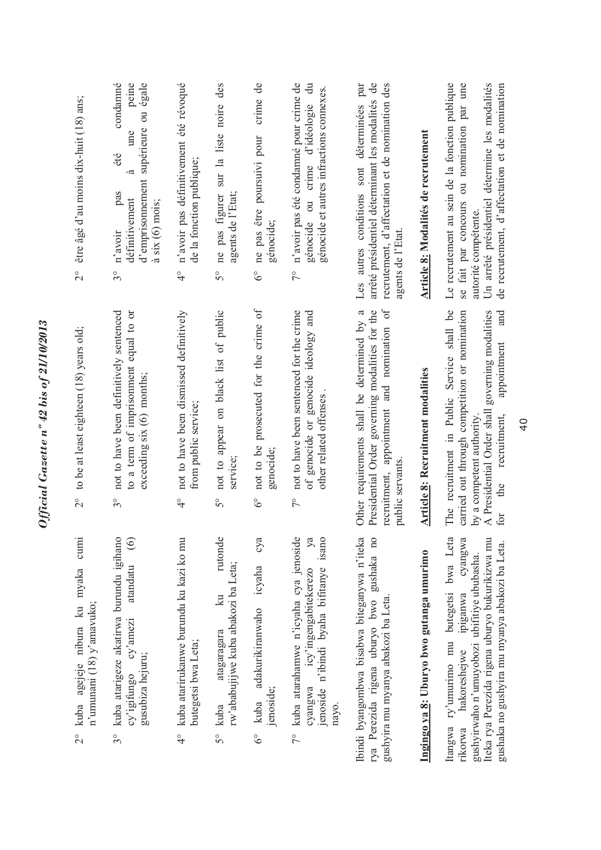| kuba agejeje nibura ku myaka cumi<br>n'umunani (18) y'amavuko;<br>$\frac{1}{2}$<br>$3^{\circ}$                                                                                                                                              | $2^{\circ}$ to be at least eighteen (18) years old;                                                                                                                                                                                | être âgé d'au moins dix-huit (18) ans;<br>$\overset{\circ}{\sim}$                                                                                                                                                        |
|---------------------------------------------------------------------------------------------------------------------------------------------------------------------------------------------------------------------------------------------|------------------------------------------------------------------------------------------------------------------------------------------------------------------------------------------------------------------------------------|--------------------------------------------------------------------------------------------------------------------------------------------------------------------------------------------------------------------------|
| kuba atarigeze akatirwa burundu igihano<br>$\odot$<br>atandatu<br>cy'amezi<br>gusubiza hejuru;<br>cy'igifungo                                                                                                                               | not to have been definitively sentenced<br>to a term of imprisonment equal to or<br>exceeding six (6) months;<br>$3^{\circ}$                                                                                                       | condamné<br>peine<br>d'emprisonnement supérieure ou égale<br>une<br>été<br>-ದ<br>pas<br>définitivement<br>$\lambda$ six (6) mois;<br>n'avoir<br>$3^{\circ}$                                                              |
| kuba atarirukanwe burundu ku kazi ko mu<br>butegetsi bwa Leta;                                                                                                                                                                              | not to have been dismissed definitively<br>from public service;<br>$\frac{1}{4}$                                                                                                                                                   | n'avoir pas définitivement été révoqué<br>de la fonction publique;<br>$\frac{1}{4}$                                                                                                                                      |
| rutonde<br>rw'ababujijwe kuba abakozi ba Leta;<br>$\overline{\mathbf{z}}$<br>atagaragara<br>kuba                                                                                                                                            | not to appear on black list of public<br>service;<br>50                                                                                                                                                                            | des<br>sur la liste noire<br>ne pas figurer<br>agents de l'Etat;<br>$\overline{5}^{\circ}$                                                                                                                               |
| суа<br>adakurikiranwaho icyaha<br>jenoside;<br>kuba                                                                                                                                                                                         | not to be prosecuted for the crime of<br>genocide;<br>$\delta^{\circ}$                                                                                                                                                             | crime de<br>ne pas être poursuivi pour<br>génocide;<br>$\delta^{\circ}$                                                                                                                                                  |
| kuba atarahamwe n'icyaha cya jenoside<br>jenoside n'ibindi byaha bifitanye isano<br>ya<br>cyangwa icy'ingengabitekerezo<br>nayo.                                                                                                            | not to have been sentenced for the crime<br>of genocide or genocide ideology and<br>other related offenses<br>$\frac{1}{2}$                                                                                                        | n'avoir pas été condamné pour crime de<br>$\ddot{a}$<br>génocide et autres infractions connexes.<br>génocide ou crime d'idéologie<br>$7^{\circ}$                                                                         |
| Ibindi byangombwa bisabwa biteganywa n'iteka<br>rya Perezida rigena uburyo bwo gushaka no<br>gushyira mu myanya abakozi ba Leta.                                                                                                            | recruitment, appointment and nomination of<br>Presidential Order governing modalities for the<br>Other requirements shall be determined by a<br>public servants.                                                                   | Les autres conditions sont déterminées par<br>arrêté présidentiel déterminant les modalités de<br>recrutement, d'affectation et de nomination des<br>agents de l'Etat.                                                   |
| Ingingo ya 8: Uburyo bwo gutanga umurimo                                                                                                                                                                                                    | Article 8: Recruitment modalities                                                                                                                                                                                                  | Article 8: Modalités de recrutement                                                                                                                                                                                      |
| Itangwa ry'umurimo mu butegetsi bwa Leta<br>cyangwa<br>Iteka rya Perezida rigena uburyo bukurikizwa mu<br>gushaka no gushyira mu myanya abakozi ba Leta.<br>gushyirwaho n'umuyobozi ubifitiye ububasha.<br>hakoreshejwe ipiganwa<br>rikorwa | The recruitment in Public Service shall be<br>governing modalities<br>carried out through competition or nomination<br>and<br>appointment<br>A Presidential Order shall<br>recruitment,<br>by a competent authority.<br>the<br>for | Le recrutement au sein de la fonction publique<br>se fait par concours ou nomination par une<br>Un arrêté présidentiel détermine les modalités<br>de recrutement, d'affectation et de nomination<br>autorité compétente. |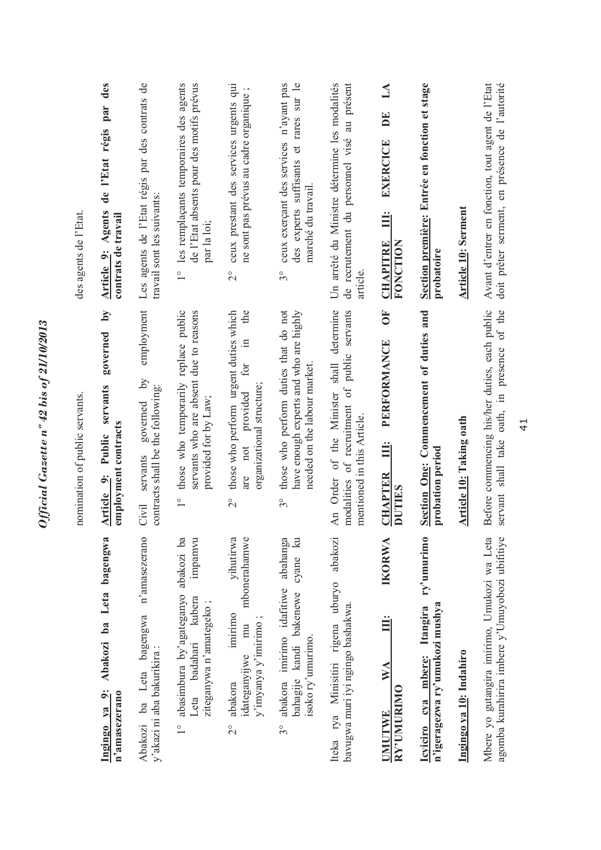| des agents de l'Etat.<br>nomination of public servants. | de l'Etat régis par des<br>Agents<br>contrats de travail<br>Article 9:<br>$\tilde{M}$<br>governed<br>servants<br>employment contracts<br>Public<br>$\ddot{\circ}$<br><b>Article</b> | Les agents de l'Etat régis par des contrats de<br>travail sont les suivants:<br>employment<br>governed by<br>contracts shall be the following:<br>servants<br>Civil | 1° les remplaçants temporaires des agents<br>de l'Etat absents pour des motifs prévus<br>par la loi;<br>those who temporarily replace public<br>servants who are absent due to reasons<br>provided for by Law;<br>$\overline{1}^{\circ}$ | ceux prestant des services urgents qui<br>ne sont pas prévus au cadre organique;<br>$\overline{2}^{\circ}$<br>the<br>those who perform urgent duties which<br>$\Xi$<br>for<br>organizational structure;<br>provided<br>not<br>are<br>$\frac{1}{2}$ | ceux exerçant des services n'ayant pas<br>des experts suffisants et rares sur le<br>marché du travail.<br>$3^{\circ}$<br>those who perform duties that do not<br>have enough experts and who are highly<br>needed on the labour market.<br>$3^{\circ}$ | Un arrêté du Ministre détermine les modalités<br>au présent<br>de recrutement du personnel visé<br>article.<br>An Order of the Minister shall determine<br>modalities of recruitment of public servants<br>mentioned in this Article. | DE<br><b>EXERCICE</b><br>$\ddot{\Xi}$<br><b>CHAPITRE</b><br>FONCTION<br>5<br>PERFORMANCE<br>Ë<br><b>CHAPTER</b><br><b>DUTTIES</b> | Section première: Entrée en fonction et stage<br>probatoire<br>Section One: Commencement of duties and<br>probation period | <b>Article 10: Serment</b><br><b>Article 10: Taking oath</b> | Avant d'entrer en fonction, tout agent de l'Etat<br>Before commencing his/her duties, each public |
|---------------------------------------------------------|-------------------------------------------------------------------------------------------------------------------------------------------------------------------------------------|---------------------------------------------------------------------------------------------------------------------------------------------------------------------|------------------------------------------------------------------------------------------------------------------------------------------------------------------------------------------------------------------------------------------|----------------------------------------------------------------------------------------------------------------------------------------------------------------------------------------------------------------------------------------------------|--------------------------------------------------------------------------------------------------------------------------------------------------------------------------------------------------------------------------------------------------------|---------------------------------------------------------------------------------------------------------------------------------------------------------------------------------------------------------------------------------------|-----------------------------------------------------------------------------------------------------------------------------------|----------------------------------------------------------------------------------------------------------------------------|--------------------------------------------------------------|---------------------------------------------------------------------------------------------------|
|                                                         | Abakozi ba Leta bagengwa<br>Ingingo ya 9:<br>n'amasezerano                                                                                                                          | n'amasezerano<br>Abakozi ba Leta bagengwa<br>y'akazi ni aba bakurikira :                                                                                            | abasimbura by'agateganyo abakozi ba<br>impamvu<br>Leta badahari kubera<br>ziteganywa n'amategeko;<br>$\frac{1}{1}$                                                                                                                       | mbonerahamwe<br>yihutirwa<br>imirimo<br>y'imyanya y'imirimo;<br>mu<br>idateganyijwe<br>abakora<br>$\frac{1}{2}$                                                                                                                                    | abahanga<br>cyane ku<br>abakora imirimo idafitiwe<br>bahagije kandi bakenewe<br>isoko ry'umurimo.<br>$3^{\circ}$                                                                                                                                       | abakozi<br>Iteka rya Minisitiri rigena uburyo<br>bavugwa muri iyi ngingo bashakwa.                                                                                                                                                    | <b>IKORWA</b><br>$\mathbf{W}\mathbf{A}$<br>RY'UMURIMO<br><b>UMUTWE</b>                                                            | ry'umurimo<br>n'igeragezwa ry'umukozi mushya<br>Icyiciro cya mbere: Itangira                                               | Ingingo ya 10: Indahiro                                      | Mbere yo gutangira imirimo, Umukozi wa Leta                                                       |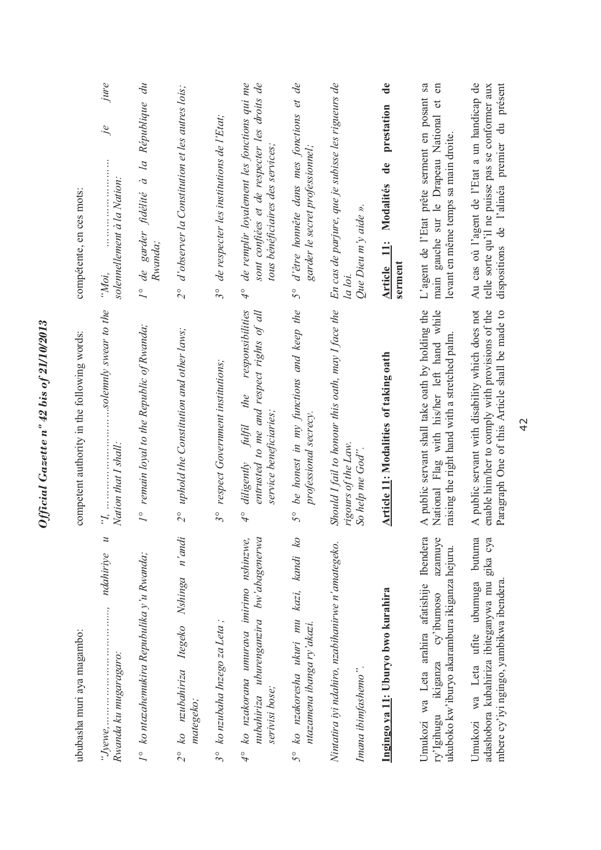| ububasha muri aya magambo:                                                                                                                   | competent authority in the following words:                                                                                                          | compétente, en ces mots:                                                                                                                        |
|----------------------------------------------------------------------------------------------------------------------------------------------|------------------------------------------------------------------------------------------------------------------------------------------------------|-------------------------------------------------------------------------------------------------------------------------------------------------|
| $\overline{z}$<br>ndahiriye<br>$``Jyewe, … … … … … … … … … … … … … … … … … … … … …$<br>Rwanda ku mugaragaro:                                 | solemnly swear to the<br>Nation that I shall:                                                                                                        | jure<br>$j_{\ell}$<br>solennellement à la Nation:<br>"Moi,                                                                                      |
| 1° ko ntazahemukira Repubulika y'u Rwanda;                                                                                                   | remain loyal to the Republic of Rwanda;<br>$\overline{I}$                                                                                            | de garder fidélité à la République du<br>Rwanda;<br>$\overline{I}$                                                                              |
| ko nzubahiriza Itegeko Nshinga n'andi<br>mategeko;<br>$\frac{1}{2}$                                                                          | $2^{\circ}$ uphold the Constitution and other laws;                                                                                                  | d'observer la Constitution et les autres lois;<br>$\tilde{c}$                                                                                   |
| ko nzubaha Inzego za Leta ;<br>$3^\circ$                                                                                                     | respect Government institutions;<br>$3^{\circ}$                                                                                                      | de respecter les institutions de l'Etat;<br>$3^{\circ}$                                                                                         |
| nubahiriza uburenganzira bw'abagenerwa<br>ko nzakorana umurava imirimo nshinzwe,<br>serivisi bose;<br>$\sigma$                               | responsibilities<br>entrusted to me and respect rights of all<br>the<br>service beneficiaries;<br>$\it f\rm{iffl}$<br>diligently<br>$\varphi$        | de remplir loyalement les fonctions qui me<br>sont confiées et de respecter les droits de<br>tous bénéficiaires des services;<br>$\varphi$      |
| ko nzakoresha ukuri mu kazi, kandi ko<br>ntazamena ibanga ry'akazi.<br>50                                                                    | be honest in my functions and keep the<br>professional secrecy.<br>$5^{\circ}$                                                                       | d'être honnête dans mes fonctions et de<br>garder le secret professionnel;<br>$5^{\circ}$                                                       |
| Nintatira iyi ndahiro, nzabihanirwe n'amategeko.<br>Imana ibimfashemo".                                                                      | Should I fail to honour this oath, may I face the<br>rigours of the Law.<br>So help me God".                                                         | En cas de parjure, que je subisse les rigueurs de<br>Que Dieu m'y aide ».<br>la loi.                                                            |
| Ingingo ya 11: Uburyo bwo kurahira                                                                                                           | Article 11: Modalities of taking oath                                                                                                                | $\mathbf{d}\mathbf{e}$<br>prestation<br>de<br>Modalités<br>Article 11:<br>serment                                                               |
| Ibendera<br>azamuye<br>ukuboko kw'iburyo akarambura ikiganza hejuru.<br>Umukozi wa Leta arahira afatishije<br>ry'lgihugu ikiganza cy'ibumoso | A public servant shall take oath by holding the<br>National Flag with his/her left hand while<br>raising the right hand with a stretched palm.       | sa<br>en<br>L'agent de l'Etat prête serment en posant<br>$\sigma$<br>main gauche sur le Drapeau National<br>levant en même temps sa main droite |
| butuma<br>adashobora kubahiriza ibiteganywa mu gika cya<br>mbere cy'iyi ngingo, yambikwa ibendera.<br>Umukozi wa Leta ufite ubumuga          | A public servant with disability which does not<br>enable him/her to comply with provisions of the<br>Paragraph One of this Article shall be made to | Au cas où l'agent de l'Etat a un handicap de<br>dispositions de l'alinéa premier du présent<br>telle sorte qu'il ne puisse pas se conformer aux |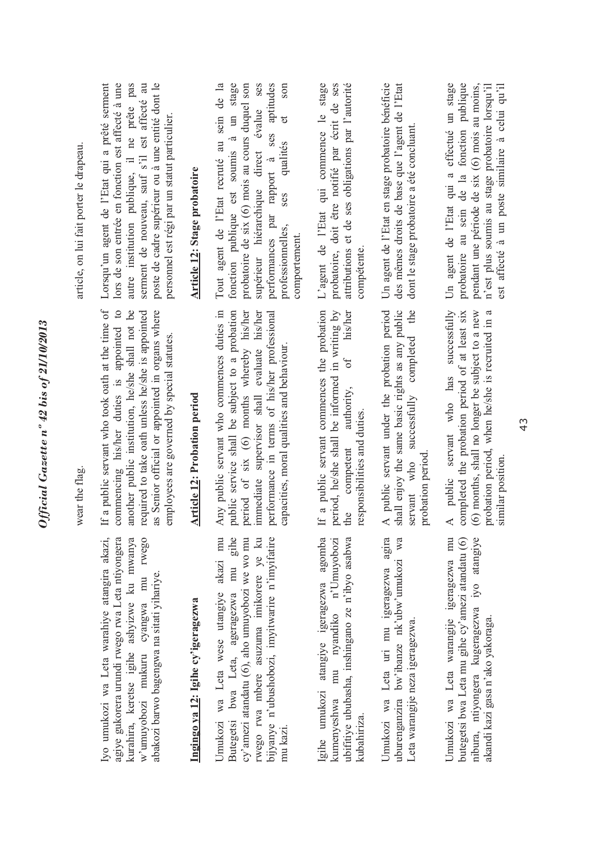| 610001107<br>i                      |
|-------------------------------------|
|                                     |
| ∍                                   |
| 0                                   |
| è                                   |
|                                     |
| G                                   |
|                                     |
|                                     |
| $\mathbf{z}$                        |
|                                     |
|                                     |
|                                     |
|                                     |
| $2 + 1 + 2$                         |
|                                     |
|                                     |
|                                     |
|                                     |
|                                     |
|                                     |
|                                     |
| $\cap$ $\ell$ $\ell_{\rm max}$<br>١ |

wear the flag. wear the flag.

agiye gukorera urundi rwego rwa Leta ntiyongera kurahira, keretse igihe ashyizwe ku mwanya Iyo umukozi wa Leta warahiye atangira akazi, agiye gukorera urundi rwego rwa Leta ntiyongera kurahira, keretse igihe ashyizwe ku mwanya w'umuyobozi mukuru cyangwa mu rwego w'umuyobozi mukuru cyangwa mu rwego yo umukozi wa Leta warahiye atangira akazi, abakozi barwo bagengwa na sitati yihariye. abakozi barwo bagengwa na sitati yihariye.

### Ingingo ya 12: Igihe cy'igeragezwa **Ingingo ya 12: Igihe cy'igeragezwa**

Jmukozi wa Leta wese utangiye akazi mu bwa Leta, ageragezwa mu gihe cy'amezi atandatu (6), aho umuyobozi we wo mu rwego rwa mbere asuzuma imikorere ye ku bijyanye n'ubushobozi, imyitwarire n'imyifatire Umukozi wa Leta wese utangiye akazi mu Butegetsi bwa Leta, ageragezwa mu gihe cy'amezi atandatu (6), aho umuyobozi we wo mu rwego rwa mbere asuzuma imikorere ye ku bijyanye n'ubushobozi, imyitwarire n'imyifatire Butegetsi mu kazi. gihe umukozi atangiye igeragezwa agomba mu nyandiko n'Umuyobozi ubifitiye ububasha, inshingano ze n'ibyo asabwa Igihe umukozi atangiye igeragezwa agomba kumenyeshwa mu nyandiko n'Umuyobozi ubifitiye ububasha, inshingano ze n'ibyo asabwa sumenyeshwa kubahiriza. Jmukozi wa Leta uri mu igeragezwa agira uburenganzira bw'ibanze nk'ubw'umukozi wa Umukozi wa Leta uri mu igeragezwa agira uburenganzira bw'ibanze nk'ubw'umukozi wa Leta warangije neza igeragezwa. Leta warangije neza igeragezwa.

butegetsi bwa Leta mu gihe cy'amezi atandatu (6) nibura, ntiyongera kugeragezwa iyo atangiye Jmukozi wa Leta warangije igeragezwa mu Umukozi wa Leta warangije igeragezwa mu butegetsi bwa Leta mu gihe cy'amezi atandatu (6) nibura, ntiyongera kugeragezwa iyo atangiye akandi kazi gasa n'ako yakoraga. ikandi kazi gasa n'ako yakoraga.

If a public servant who took oath at the time of commencing his/her duties is appointed to as Senior official or appointed in organs where If a public servant who took oath at the time of commencing his/her duties is appointed to another public institution, he/she shall not be another public institution, he/she shall not be required to take oath unless he/she is appointed required to take oath unless he/she is appointed as Senior official or appointed in organs where employees are governed by special statutes. employees are governed by special statutes.

### **Article 12: Probation period Article 12: Probation period**

Any public servant who commences duties in Any public servant who commences duties in public service shall be subject to a probation public service shall be subject to a probation period of six (6) months whereby his/her period of six (6) months whereby his/her immediate supervisor shall evaluate his/her immediate supervisor shall evaluate his/her performance in terms of his/her professional performance in terms of his/her professional capacities, moral qualities and behaviour. capacities, moral qualities and behaviour. If a public servant commences the probation If a public servant commences the probation period, he/she shall be informed in writing by period, he/she shall be informed in writing by the competent authority, of his/her the competent authority, of his/her responsibilities and duties. responsibilities and duties. A public servant under the probation period shall enjoy the same basic rights as any public A public servant under the probation period shall enjoy the same basic rights as any public servant who successfully completed the servant who successfully completed the probation period. probation period.

A public servant who has successfully probation period, when he/she is recruited in a A public servant who has successfully completed the probation period of at least six completed the probation period of at least six (6) months, shall no longer be subject to a new (6) months, shall no longer be subject to a new probation period, when he/she is recruited in a similar position. similar position.

article, on lui fait porter le drapeau. article, on lui fait porter le drapeau.

pas Lorsqu'un agent de l'Etat qui a prêté serment Lorsqu'un agent de l'Etat qui a prêté serment lors de son entrée en fonction est affecté à une autre institution publique, il ne prête pas serment de nouveau, sauf s'il est affecté au serment de nouveau, sauf s'il est affecté au poste de cadre supérieur ou à une entité dont le poste de cadre supérieur ou à une entité dont le lors de son entrée en fonction est affecté à une autre institution publique, il ne prête personnel est régi par un statut particulier. personnel est régi par un statut particulier.

### **Article 12: Stage probatoire**  Article 12: Stage probatoire

Tout agent de l'Etat recruté au sein de la fonction publique est soumis à un stage probatoire de six (6) mois au cours duquel son probatoire de six (6) mois au cours duquel son supérieur hiérarchique direct évalue ses supérieur hiérarchique direct évalue ses performances par rapport à ses aptitudes son professionnelles, ses qualités et son Tout agent de l'Etat recruté au sein de la fonction publique est soumis à un stage performances par rapport à ses aptitudes qualités ses professionnelles, comportement. comportement.

L'agent de l'Etat qui commence le stage probatoire, doit être notifié par écrit de ses probatoire, doit être notifié par écrit de ses attributions et de ses obligations par l'autorité L'agent de l'Etat qui commence le stage attributions et de ses obligations par l'autorité compétente. compétente.

Un agent de l'Etat en stage probatoire bénéficie Un agent de l'Etat en stage probatoire bénéficie des mêmes droits de base que l'agent de l'Etat des mêmes droits de base que l'agent de l'Etat dont le stage probatoire a été concluant. dont le stage probatoire a été concluant.

Un agent de l'Etat qui a effectué un stage probatoire au sein de la fonction publique probatoire au sein de la fonction publique pendant une période de six (6) mois au moins, n'est plus soumis au stage probatoire lorsqu'il est affecté à un poste similaire à celui qu'il pendant une période de six (6) mois au moins, n'est plus soumis au stage probatoire lorsqu'il est affecté à un poste similaire à celui qu'il Un agent de l'Etat qui a effectué un stage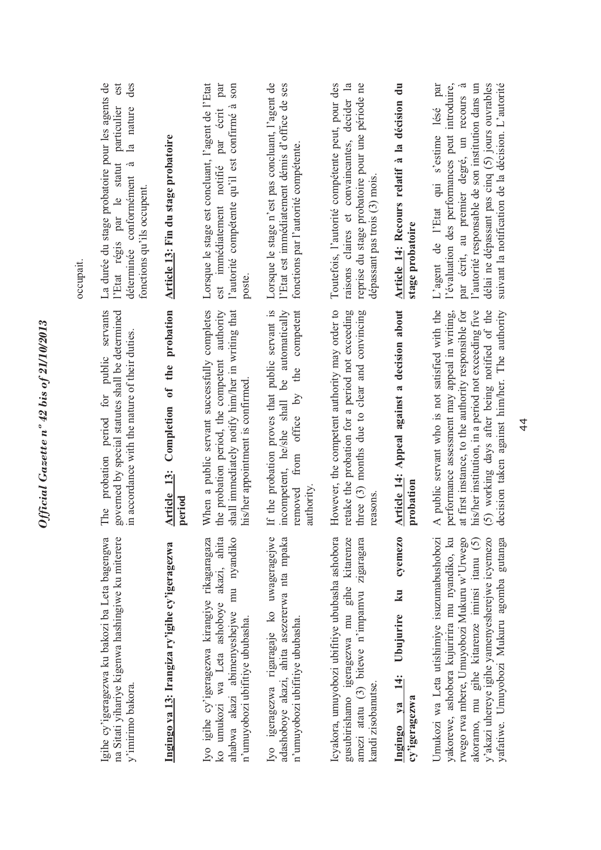|                                                                                                                                                                                                                                                                                          |                                                                                                                                                                                                                                                                                                                | occupait.                                                                                                                                                                                                                                                                                             |
|------------------------------------------------------------------------------------------------------------------------------------------------------------------------------------------------------------------------------------------------------------------------------------------|----------------------------------------------------------------------------------------------------------------------------------------------------------------------------------------------------------------------------------------------------------------------------------------------------------------|-------------------------------------------------------------------------------------------------------------------------------------------------------------------------------------------------------------------------------------------------------------------------------------------------------|
| na Sitati yihariye kigenwa hashingiwe ku miterere<br>Igihe cy'igeragezwa ku bakozi ba Leta bagengwa<br>y'imirimo bakora.                                                                                                                                                                 | The probation period for public servants<br>governed by special statutes shall be determined<br>in accordance with the nature of their duties.                                                                                                                                                                 | La durée du stage probatoire pour les agents de<br>est<br>des<br>particulier<br>la nature<br>l'Etat régis par le statut<br>$\tilde{\epsilon}$<br>déterminée conformément<br>fonctions qu'ils occupent.                                                                                                |
| Ingingo ya 13: Irangiza ry'igihe cy'igeragezwa                                                                                                                                                                                                                                           | Article 13: Completion of the probation<br>period                                                                                                                                                                                                                                                              | Article 13: Fin du stage probatoire                                                                                                                                                                                                                                                                   |
| Iyo igihe cy'igeragezwa kirangiye rikagaragaza<br>ko umukozi wa Leta ashoboye akazi, ahita<br>ahabwa akazi abimenyeshejwe mu nyandiko<br>n'umuyobozi ubifitiye ububasha.                                                                                                                 | When a public servant successfully completes<br>shall immediately notify him/her in writing that<br>authority<br>the probation period, the competent<br>his/her appointment is confirmed                                                                                                                       | Lorsque le stage est concluant, l'agent de l'Etat<br>par<br>l'autorité compétente qu'il est confirmé à son<br>notifié par écrit<br>est immédiatement<br>poste.                                                                                                                                        |
| adashoboye akazi, ahita asezererwa nta mpaka<br>Iyo igeragezwa rigaragaje ko uwageragejwe<br>n'umuyobozi ubifitiye ububasha.                                                                                                                                                             | If the probation proves that public servant is<br>competent<br>be automatically<br>the<br>removed from office by<br>incompetent, he/she shall<br>authority                                                                                                                                                     | Lorsque le stage n'est pas concluant, l'agent de<br>l'Etat est immédiatement démis d'office de ses<br>fonctions par l'autorité compétente.                                                                                                                                                            |
| Icyakora, umuyobozi ubifitiye ububasha ashobora<br>amezi atatu (3) bitewe n'impamvu zigaragara<br>gusubirishamo igeragezwa mu gihe kitarenze<br>kandi zisobanutse.                                                                                                                       | However, the competent authority may order to<br>retake the probation for a period not exceeding<br>three (3) months due to clear and convincing<br>reasons                                                                                                                                                    | Toutefois, l'autorité compétente peut, pour des<br>raisons claires et convaincantes, decider la<br>reprise du stage probatoire pour une période ne<br>dépassant pas trois (3) mois.                                                                                                                   |
| cyemezo<br>ku<br>Ubujurire<br>$\frac{4}{3}$<br>cy'igeragezwa<br>Ingingo ya                                                                                                                                                                                                               | Article 14: Appeal against a decision about<br>probation                                                                                                                                                                                                                                                       | Article 14: Recours relatif à la décision du<br>stage probatoire                                                                                                                                                                                                                                      |
| yakorewe, ashobora kujuririra mu nyandiko, ku<br>akoramo, mu gihe kitarenze iminsi itanu (5)<br>rwego rwa mbere, Umuyobozi Mukuru w'Urwego<br>y'akazi uhereye igihe yamenyesherejwe icyemezo<br>Umukozi wa Leta utishimiye isuzumabushobozi<br>yafatiwe. Umuyobozi Mukuru agomba gutanga | A public servant who is not satisfied with the<br>at first instance, to the authority responsible for<br>his/her institution, in a period not exceeding five<br>(5) working days after being notified of the<br>performance assessment may appeal in writing,<br>decision taken against him/her. The authority | autorité responsable de son institution dans un<br>suivant la notification de la décision. L'autorité<br>l'évaluation des performances peut introduire,<br>par écrit, au premier degré, un recours à<br>délai ne dépassant pas cinq (5) jours ouvrables<br>par<br>L'agent de l'Etat qui s'estime lésé |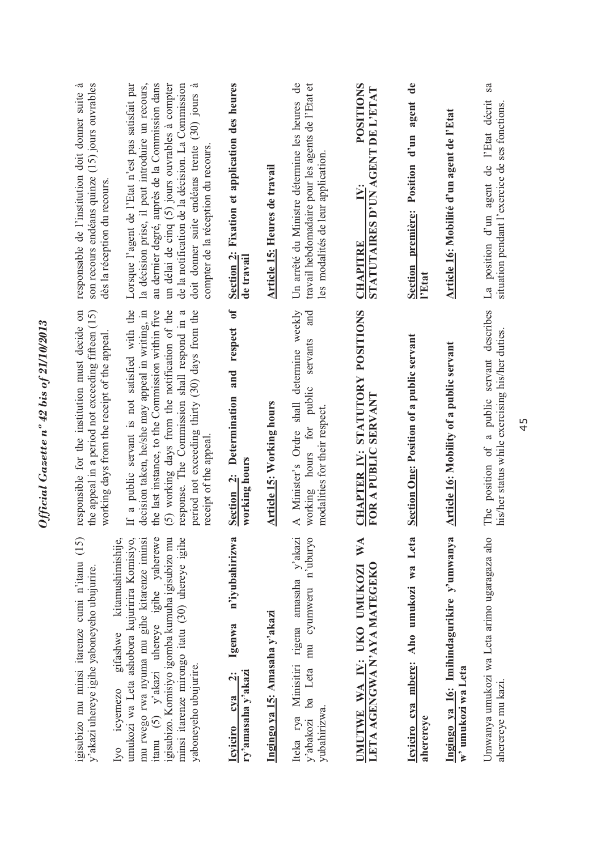| igisubizo mu minsi itarenze cumi n'itanu (15)<br>y'akazi uhereye igihe yaboneyeho ubujurire                                                                                                                                                                                                                                           | the appeal in a period not exceeding fifteen (15)<br>responsible for the institution must decide on<br>working days from the receipt of the appeal                                                                                                                                                                                | -ದ<br>son recours endéans quinze (15) jours ouvrables<br>responsable de l'institution doit donner suite<br>dès la réception du recours                                                                                                                                                                                                                |
|---------------------------------------------------------------------------------------------------------------------------------------------------------------------------------------------------------------------------------------------------------------------------------------------------------------------------------------|-----------------------------------------------------------------------------------------------------------------------------------------------------------------------------------------------------------------------------------------------------------------------------------------------------------------------------------|-------------------------------------------------------------------------------------------------------------------------------------------------------------------------------------------------------------------------------------------------------------------------------------------------------------------------------------------------------|
| kitamushimishije,<br>umukozi wa Leta ashobora kujuririra Komisiyo,<br>itanu (5) y'akazi uhereye igihe yaherewe<br>minsi itarenze mirongo itatu (30) uhereye igihe<br>mu rwego rwa nyuma mu gihe kitarenze iminsi<br>igisubizo. Komisiyo igomba kumuha igisubizo mu<br>gifashwe<br>yaboneyeho ubujurire.<br>icvemezo<br>1 <sub>Y</sub> | If a public servant is not satisfied with the<br>(5) working days from the notification of the<br>period not exceeding thirty (30) days from the<br>decision taken, he/she may appeal in writing, in<br>the last instance, to the Commission within five<br>response. The Commission shall respond in a<br>receipt of the appeal. | Lorsque l'agent de l'Etat n'est pas satisfait par<br>la décision prise, il peut introduire un recours,<br>au dernier degré, auprès de la Commission dans<br>un délai de cinq (5) jours ouvrables à compter<br>de la notification de la décision. La Commission<br>doit donner suite endéans trente (30) jours à<br>compter de la réception du recours |
| n'iyubahirizwa<br>Igenwa<br>ry'amasaha y'akazi<br>$\ddot{\mathbf{c}}$<br>cva<br><b>Icviciro</b>                                                                                                                                                                                                                                       | $\mathbf{d}$<br>respect<br>and<br>Determination<br>working hours<br>Section 2:                                                                                                                                                                                                                                                    | Section 2: Fixation et application des heures<br>de travail                                                                                                                                                                                                                                                                                           |
| Ingingo ya 15: Amasaha y'akazi                                                                                                                                                                                                                                                                                                        | <b>Article 15: Working hours</b>                                                                                                                                                                                                                                                                                                  | <b>Article 15: Heures de travail</b>                                                                                                                                                                                                                                                                                                                  |
| Iteka rya Minisitiri rigena amasaha y'akazi<br>ba Leta mu cyumweru n'uburyo<br>yubahirizwa.<br>y'abakozi                                                                                                                                                                                                                              | A Minister's Ordre shall determine weekly<br>and<br>servants<br>public<br>modalities for their respect.<br>working hours for                                                                                                                                                                                                      | Un arrêté du Ministre détermine les heures de<br>travail hebdomadaire pour les agents de l'Etat et<br>les modalités de leur application                                                                                                                                                                                                               |
| $\mathbb{X}^{\mathcal{A}}$<br>LETA AGENGWA N'AYA MATEGEKO<br>UMUTWE WA IV: UKO UMUKOZI                                                                                                                                                                                                                                                | CHAPTER IV: STATUTORY POSITIONS<br>FOR A PUBLIC SERVANT                                                                                                                                                                                                                                                                           | <b>POSITIONS</b><br>STATUTAIRES D'UN AGENT DE L'ETAT<br><b>CHAPITRE</b>                                                                                                                                                                                                                                                                               |
| Icyiciro cya mbere: Aho umukozi wa Leta<br>aherereve                                                                                                                                                                                                                                                                                  | <b>Section One: Position of a public servant</b>                                                                                                                                                                                                                                                                                  | $\mathbf{d}\mathbf{e}$<br>agent<br>Position d'un<br>Section première:<br>l'Etat                                                                                                                                                                                                                                                                       |
| Ingingo ya 16: Imihindagurikire y'umwanya<br>w' umukozi wa Leta                                                                                                                                                                                                                                                                       | <b>Article 16: Mobility of a public servant</b>                                                                                                                                                                                                                                                                                   | Article 16: Mobilité d'un agent de l'Etat                                                                                                                                                                                                                                                                                                             |
| Umwanya umukozi wa Leta arimo ugaragaza aho<br>aherereye mu kazi.                                                                                                                                                                                                                                                                     | The position of a public servant describes<br>his/her status while exercising his/her duties.                                                                                                                                                                                                                                     | sa<br>La position d'un agent de l'Etat décrit<br>situation pendant l'exercice de ses fonctions.                                                                                                                                                                                                                                                       |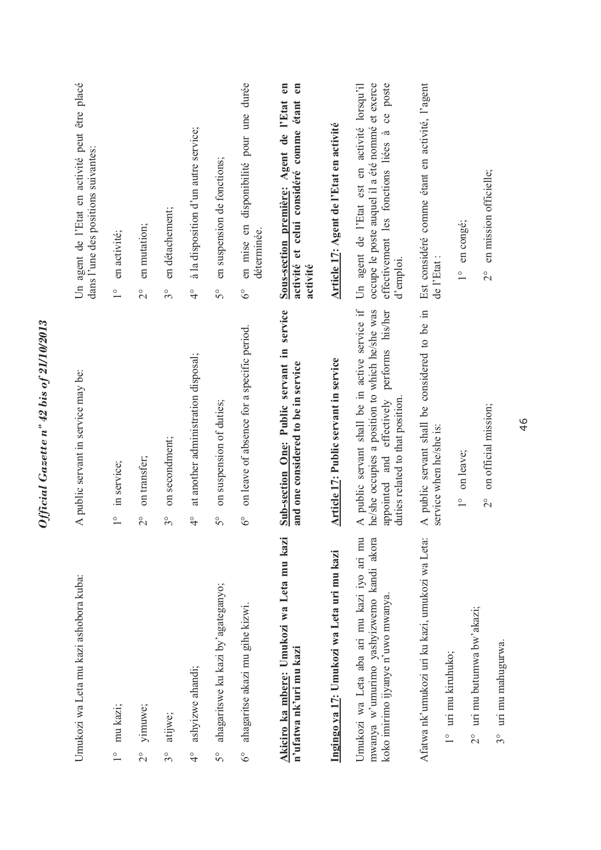|                        | Umukozi wa Leta mu kazi ashobora kuba:                                                                                      | A public servant in service may be:                                                                                                                                                | Un agent de l'Etat en activité peut être placé<br>dans l'une des positions suivantes:                                                                              |
|------------------------|-----------------------------------------------------------------------------------------------------------------------------|------------------------------------------------------------------------------------------------------------------------------------------------------------------------------------|--------------------------------------------------------------------------------------------------------------------------------------------------------------------|
| $\frac{0}{1}$          | mu kazi;                                                                                                                    | in service;<br>$\overset{\circ}{\phantom{0}}$                                                                                                                                      | en activité;<br>$\overline{1}$                                                                                                                                     |
| $\overline{2}^{\circ}$ | yimuwe;                                                                                                                     | on transfer;<br>$\overline{C}$                                                                                                                                                     | en mutation;<br>$\overline{c}$                                                                                                                                     |
| $3^{\circ}$            | atijwe;                                                                                                                     | on secondment;<br>$3^{\circ}$                                                                                                                                                      | en détachement;<br>$3^{\circ}$                                                                                                                                     |
| $\frac{1}{4}$          | ashyizwe ahandi;                                                                                                            | at another administration disposal;<br>$\frac{1}{4}$                                                                                                                               | à la disposition d'un autre service;<br>$\frac{1}{4}$                                                                                                              |
| $\tilde{5}^{\circ}$    | ahagaritswe ku kazi by'agateganyo;                                                                                          | on suspension of duties;<br>$\mathcal{S}^{\circ}$                                                                                                                                  | en suspension de fonctions;<br>$\mathcal{S}^{\circ}$                                                                                                               |
| $\delta^{\circ}$       | ahagaritse akazi mu gihe kizwi.                                                                                             | on leave of absence for a specific period.<br>$\delta^{\circ}$                                                                                                                     | en mise en disponibilité pour une durée<br>déterminée.<br>$6^{\circ}$                                                                                              |
|                        | Akiciro ka mbere: Umukozi wa Leta mu kazi<br>n'ufatwa nk'uri mu kazi                                                        | Sub-section One: Public servant in service<br>and one considered to be in service                                                                                                  | Sous-section première: Agent de l'Etat en<br>en<br>étant<br>activité et celui considéré comme<br>activité                                                          |
|                        | Ingingo ya 17: Umukozi wa Leta uri mu kazi                                                                                  | Article 17: Public servant in service                                                                                                                                              | Article 17: Agent de l'Etat en activité                                                                                                                            |
|                        | Umukozi wa Leta aba ari mu kazi iyo ari mu<br>mwanya w'umurimo yashyizwemo kandi akora<br>koko imirimo ijyanye n'uwo mwanya | A public servant shall be in active service if<br>he/she occupies a position to which he/she was<br>appointed and effectively performs his/her<br>duties related to that position. | occupe le poste auquel il a été nommé et exerce<br>Un agent de l'Etat est en activité lorsqu'il<br>poste<br>ce<br>effectivement les fonctions liées à<br>d'emploi. |
|                        | Afatwa nk'umukozi uri ku kazi, umukozi wa Leta:                                                                             | A public servant shall be considered to be in<br>service when he/she is:                                                                                                           | Est considéré comme étant en activité, l'agent<br>de l'Etat:                                                                                                       |
|                        | 1° uri mu kiruhuko;<br>$\frac{1}{2}$                                                                                        | on leave;<br>$\frac{1}{1}$                                                                                                                                                         | en congé;<br>$\frac{1}{1}$                                                                                                                                         |
|                        | uri mu butumwa bw'akazi;<br>uri mu mahugurwa.<br>$3^{\circ}$                                                                | on official mission;<br>$\frac{1}{2}$                                                                                                                                              | en mission officielle;<br>$\frac{1}{2}$                                                                                                                            |
|                        |                                                                                                                             |                                                                                                                                                                                    |                                                                                                                                                                    |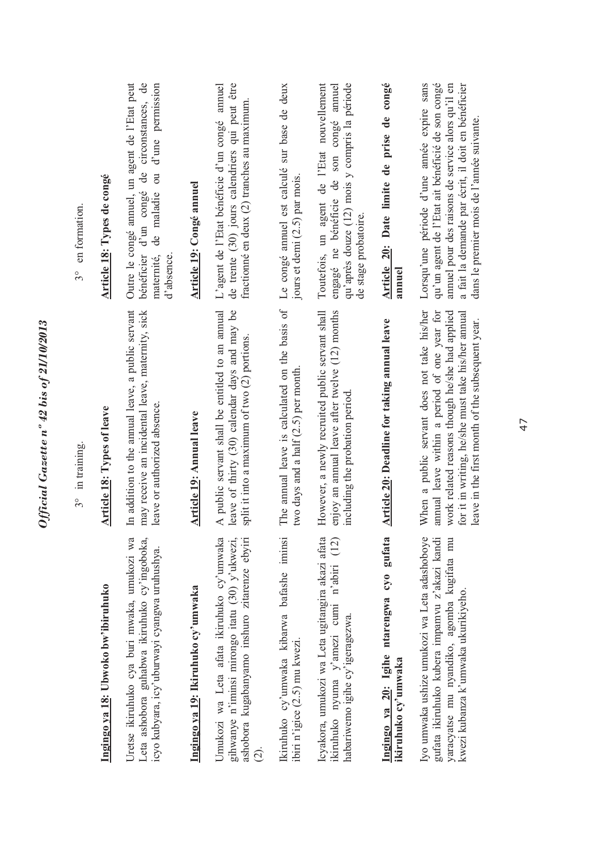|                                                                                                                                                                                    | 3° in training.                                                                                                                                                                                                                                         | 3° en formation.                                                                                                                                                                                                                                       |
|------------------------------------------------------------------------------------------------------------------------------------------------------------------------------------|---------------------------------------------------------------------------------------------------------------------------------------------------------------------------------------------------------------------------------------------------------|--------------------------------------------------------------------------------------------------------------------------------------------------------------------------------------------------------------------------------------------------------|
| Ingingo ya 18: Ubwoko bw'ibiruhuko                                                                                                                                                 | Article 18: Types of leave                                                                                                                                                                                                                              | Article 18: Types de congé                                                                                                                                                                                                                             |
| Uretse ikiruhuko cya buri mwaka, umukozi wa<br>Leta ashobora guhabwa ikiruhuko cy'ingoboka,<br>icyo kubyara, icy'uburwayi cyangwa uruhushya.                                       | In addition to the annual leave, a public servant<br>may receive an incidental leave, maternity, sick<br>leave or authorized absence.                                                                                                                   | circonstances, de<br>Outre le congé annuel, un agent de l'Etat peut<br>d'une permission<br>$\overline{\mathrm{d}}$<br>ප්<br>d'un congé<br>de maladie<br>bénéficier<br>maternité,<br>d'absence.                                                         |
| Ingingo ya 19: Ikiruhuko cy'umwaka                                                                                                                                                 | <b>Article 19: Annual leave</b>                                                                                                                                                                                                                         | Article 19: Congé annuel                                                                                                                                                                                                                               |
| Umukozi wa Leta afata ikiruhuko cy'umwaka<br>gihwanye n'iminsi mirongo itatu (30) y'ukwezi,<br>ashobora kugabanyamo inshuro zitarenze ebyiri<br>$\hat{c}$                          | A public servant shall be entitled to an annual<br>leave of thirty (30) calendar days and may be<br>split it into a maximum of two (2) portions.                                                                                                        | de trente (30) jours calendriers qui peut être<br>annuel<br>fractionné en deux (2) tranches au maximum.<br>L'agent de l'Etat bénéficie d'un congé                                                                                                      |
| Ikiruhuko cy'umwaka kibarwa bafashe iminsi<br>ibiri n'igice (2.5) mu kwezi.                                                                                                        | The annual leave is calculated on the basis of<br>two days and a half $(2.5)$ per month.                                                                                                                                                                | Le congé annuel est calculé sur base de deux<br>jours et demi (2.5) par mois.                                                                                                                                                                          |
| Icyakora, umukozi wa Leta ugitangira akazi afata<br>(12)<br>ikiruhuko nyuma y'amezi cumi n'abiri<br>habariwemo igihe cy'igeragezwa.                                                | enjoy an annual leave after twelve (12) months<br>However, a newly recruited public servant shall<br>including the probation period                                                                                                                     | Toutefois, un agent de l'Etat nouvellement<br>qu'après douze (12) mois y compris la période<br>engagé ne bénéficie de son congé annuel<br>de stage probatoire                                                                                          |
| gufata<br>Ingingo ya 20: Igihe ntarengwa cyo<br>ikiruhuko cy'umwaka                                                                                                                | Article 20: Deadline for taking annual leave                                                                                                                                                                                                            | Article 20: Date limite de prise de congé<br>annuel                                                                                                                                                                                                    |
| gufata ikiruhuko kubera impamvu z'akazi kandi<br>Iyo umwaka ushize umukozi wa Leta adashoboye<br>yaracyatse mu nyandiko, agomba kugifata mu<br>kwezi kubanza k'umwaka ukurikiyeho. | When a public servant does not take his/her<br>annual leave within a period of one year for<br>work related reasons though he/she had applied<br>for it in writing, he/she must take his/her annual<br>leave in the first month of the subsequent year. | Lorsqu'une période d'une année expire sans<br>qu'un agent de l'Etat ait bénéficié de son congé<br>annuel pour des raisons de service alors qu'il en<br>a fait la demande par écrit, il doit en bénéficier<br>dans le premier mois de l'année suivante. |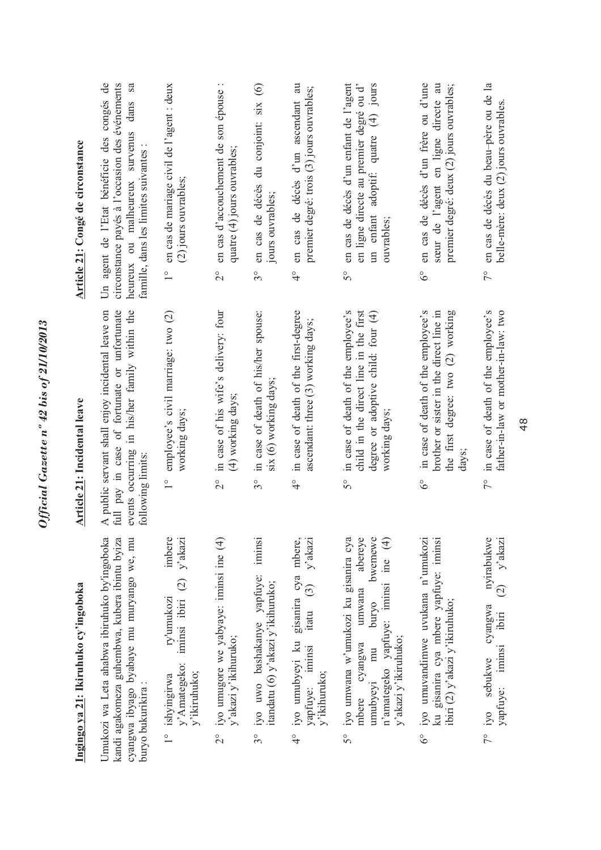|               | Ingingo ya 21: Ikiruhuko cy'ingoboka                                                                                                                                            | <b>Article 21: Incidental leave</b>                                                                                                                                    | Article 21: Congé de circonstance                                                                                                                                                  |
|---------------|---------------------------------------------------------------------------------------------------------------------------------------------------------------------------------|------------------------------------------------------------------------------------------------------------------------------------------------------------------------|------------------------------------------------------------------------------------------------------------------------------------------------------------------------------------|
|               | Umukozi wa Leta ahabwa ibiruhuko by'ingoboka<br>kandi agakomeza guhembwa, kubera ibintu byiza<br>cyangwa ibyago byabaye mu muryango we, mu<br>buryo bukurikira:                 | A public servant shall enjoy incidental leave on<br>events occurring in his/her family within the<br>full pay in case of fortunate or unfortunate<br>following limits: | Un agent de l'Etat bénéficie des congés de<br>circonstance payés à l'occasion des événements<br>dans sa<br>heureux ou malheureux survenus<br>famille, dans les limites suivantes : |
|               | imbere<br>iminsi ibiri $(2)$ y'akazi<br>ry'umukozi<br>y' Amategeko:<br>y'ikiruhuko;<br>1° ishyingirwa                                                                           | employee's civil marriage: two (2)<br>working days;                                                                                                                    | en cas de mariage civil de l'agent : deux<br>(2) jours ouvrables;<br>$\frac{1}{1}$                                                                                                 |
| $\frac{1}{2}$ | iyo umugore we yabyaye: iminsi ine (4)<br>y'akazi y'ikihuruko;                                                                                                                  | in case of his wife's delivery: four<br>(4) working days;<br>$\frac{1}{2}$                                                                                             | en cas d'accouchement de son épouse :<br>quatre (4) jours ouvrables;<br>$\frac{1}{2}$                                                                                              |
| $3^{\circ}$   | iminsi<br>iyo uwo bashakanye yapfuye:<br>itandatu (6) y'akazi y'ikihuruko;                                                                                                      | in case of death of his/her spouse:<br>six (6) working days;<br>$3^{\circ}$                                                                                            | en cas de décès du conjoint: six (6)<br>jours ouvrables;<br>$3^{\circ}$                                                                                                            |
|               | 4° iyo umubyeyi ku gisanira cya mbere,<br>itatu $(3)$ y'akazi<br>yapfuye: iminsi<br>y'ikihuruko;                                                                                | in case of death of the first-degree<br>ascendant: three (3) working days;<br>$\frac{6}{4}$                                                                            | en cas de décès d'un ascendant au<br>premier degré: trois (3) jours ouvrables;<br>$\frac{1}{4}$                                                                                    |
| 5°            | iyo umwana w'umukozi ku gisanira cya<br>abereye<br>bwemewe<br>n'amategeko yapfuye: iminsi ine (4)<br>umwana<br>puryo<br>y'akazi y'ikiruhuko;<br>mbere cyangwa<br>mu<br>umubyeyi | child in the direct line in the first<br>in case of death of the employee's<br>degree or adoptive child: four (4)<br>working days;<br>5°                               | en cas de décès d'un enfant de l'agent<br>un enfant adoptif: quatre (4) jours<br>en ligne directe au premier degré ou d'<br>ouvrables;<br>$5^{\circ}$                              |
| $6^\circ$     | iyo umuvandimwe uvukana n'umukozi<br>ku gisanira cya mbere yapfuye: iminsi<br>ibiri (2) y'akazi y'ikiruhuko;                                                                    | the first degree: two (2) working<br>in case of death of the employee's<br>brother or sister in the direct line in<br>days;<br>$6^\circ$                               | en cas de décès d'un frère ou d'une<br>sœur de l'agent en ligne directe au<br>premier degré: deux (2) jours ouvrables;<br>$6^\circ$                                                |
|               | nyirabukwe<br>$\mathbf{y}$ akazi<br>$\widehat{c}$<br>cyangwa<br>ibiri<br>yapfuye: iminsi<br>7° iyo sebukwe                                                                      | father-in-law or mother-in-law: two<br>7° in case of death of the employee's                                                                                           | en cas de décès du beau-père ou de la<br>belle-mère: deux (2) jours ouvrables.<br>$7^{\circ}$                                                                                      |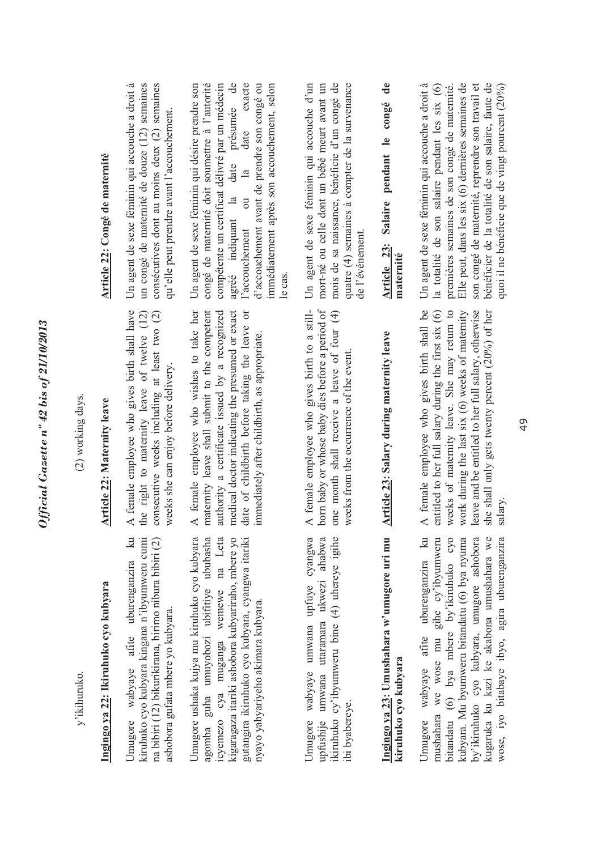| 5                                      |
|----------------------------------------|
| 0.001110715                            |
|                                        |
|                                        |
| 5                                      |
|                                        |
|                                        |
|                                        |
| ∍                                      |
| $\bullet$                              |
|                                        |
| è                                      |
| 42 h <sup>2</sup>                      |
|                                        |
| $\circ$                                |
| n                                      |
|                                        |
| 2707                                   |
|                                        |
|                                        |
|                                        |
| l                                      |
|                                        |
|                                        |
| $\sim c c_{\rm r} c_{\rm r} a_{\rm r}$ |
|                                        |
|                                        |
|                                        |
|                                        |

(2) working days.

(2) working days.

**Article 22: Maternity leave** 

Article 22: Maternity leave

A female employee who gives birth shall have the right to maternity leave of twelve (12) consecutive weeks including at least two (2)

the right to maternity leave of twelve (12) consecutive weeks including at least two (2)

A female employee who gives birth shall have

weeks she can enjoy before delivery.

weeks she can enjoy before delivery.

y'ikihuruko. y'ikihuruko. Ingingo ya 22: Ikiruhuko cyo kubyara **Ingingo ya 22: Ikiruhuko cyo kubyara**   $\overline{\mathbf{a}}$ ciruhuko cyo kubyara kingana n'ibyumweru cumi Umugore wabyaye afite uburenganzira ku kiruhuko cyo kubyara kingana n'ibyumweru cumi na bibiri (12) bikurikirana, birimo nibura bibiri (2) na bibiri (12) bikurikirana, birimo nibura bibiri (2) Jmugore wabyaye afite uburenganzira ashobora gufata mbere yo kubyara. ashobora gufata mbere yo kubyara. A female employee who wishes to take her A female employee who wishes to take her maternity leave shall submit to the competent maternity leave shall submit to the competent authority a certificate issued by a recognized medical doctor indicating the presumed or exact medical doctor indicating the presumed or exact date of childbirth before taking the leave or date of childbirth before taking the leave or authority a certificate issued by a recognized mmediately after childbirth, as appropriate. immediately after childbirth, as appropriate. Jmugore ushaka kujya mu kiruhuko cyo kubyara guha umuyobozi ubifitiye ububasha wemewe na Leta kigaragaza itariki ashobora kubyariraho, mbere vo Umugore ushaka kujya mu kiruhuko cyo kubyara agomba guha umuyobozi ubifitiye ububasha icyemezo cya muganga wemewe na Leta kigaragaza itariki ashobora kubyariraho, mbere yo gutangira ikiruhuko cyo kubyara, cyangwa itariki gutangira ikiruhuko cyo kubyara, cyangwa itariki nyayo yabyariyeho akimara kubyara. nyayo yabyariyeho akimara kubyara. icyemezo cya muganga agomba

Jmugore wabyaye umwana upfuye cyangwa upfushije umwana utaramara ukwezi ahabwa ikiruhuko cy'ibyumweru bine (4) uhereye igihe Umugore wabyaye umwana upfuye cyangwa upfushije umwana utaramara ukwezi ahabwa ikiruhuko cy'ibyumweru bine (4) uhereye igihe ibi byabereye. ibi byabereye.

A female employee who gives birth to a stillborn baby or whose baby dies before a period of born baby or whose baby dies before a period of one month shall receive a leave of four (4) one month shall receive a leave of four (4) A female employee who gives birth to a stillweeks from the occurrence of the event. weeks from the occurrence of the event.

## **Article 23: Salary during maternity leave**  Ingingo ya 23: Umushahara w'umugore uri mu Article 23: Salary during maternity leave **Ingingo ya 23: Umushahara w'umugore uri mu kiruhuko cyo kubyara**  kiruhuko cyo kubyara

Jmugore wabyaye afite uburenganzira ku mushahara we wose mu gihe cy'ibyumweru bitandatu (6) bya mbere by'ikiruhuko cyo kubyara. Mu byumweru bitandatu (6) bya nyuma by'ikiruhuko cyo kubyara, umugore ashobora kugaruka ku kazi ke akabona umushahara we Umugore wabyaye afite uburenganzira ku mushahara we wose mu gihe cy'ibyumweru bitandatu (6) bya mbere by'ikiruhuko cyo kubyara. Mu byumweru bitandatu (6) bya nyuma by'ikiruhuko cyo kubyara, umugore ashobora kugaruka ku kazi ke akabona umushahara we wose, iyo bitabaye ibyo, agira uburenganzira wose, iyo bitabaye ibyo, agira uburenganzira

A female employee who gives birth shall be work during the last six (6) weeks of maternity<br>leave and be entitled to her full salary, otherwise A female employee who gives birth shall be entitled to her full salary during the first six (6) entitled to her full salary during the first six (6) weeks of maternity leave. She may return to weeks of maternity leave. She may return to work during the last six (6) weeks of maternity leave and be entitled to her full salary, otherwise she shall only gets twenty percent (20%) of her she shall only gets twenty percent (20%) of her salary.

### **Article 22: Congé de maternité**  Article 22: Congé de maternité

Un agent de sexe féminin qui accouche a droit à Un agent de sexe féminin qui accouche a droit à un congé de maternité de douze (12) semaines un congé de maternité de douze (12) semaines consécutives dont au moins deux (2) semaines consécutives dont au moins deux (2) semaines qu'elle peut prendre avant l'accouchement. qu'elle peut prendre avant l'accouchement.

Un agent de sexe féminin qui désire prendre son congé de maternité doit soumettre à l'autorité compétente un certificat délivré par un médecin compétente un certificat délivré par un médecin  $\theta$ agréé indiquant la date présumée de date exacte l'accouchement ou la date exacte d'accouchement avant de prendre son congé ou d'accouchement avant de prendre son congé ou immédiatement après son accouchement, selon immédiatement après son accouchement, selon Un agent de sexe féminin qui désire prendre son congé de maternité doit soumettre à l'autorité agréé indiquant la date présumée  $\overline{\mathbf{a}}$  $\overline{\text{ou}}$ l'accouchement le cas.

Un agent de sexe féminin qui accouche d'un Un agent de sexe féminin qui accouche d'un mort-né ou celle dont un bébé meurt avant un mort-né ou celle dont un bébé meurt avant un mois de sa naissance, bénéficie d'un congé de quatre (4) semaines à compter de la survenance mois de sa naissance, bénéficie d'un congé de quatre (4) semaines à compter de la survenance de l'événement. de l'événement.

# **Article 23: Salaire pendant le congé de maternité**

Un agent de sexe féminin qui accouche a droit à la totalité de son salaire pendant les six (6) premières semaines de son congé de maternité. Elle peut, dans les six (6) dernières semaines de Elle peut, dans les six (6) dernières semaines de son congé de matemité, reprendre son travail et son congé de maternité, reprendre son travail et bénéficier de la totalité de son salaire, faute de quoi il ne bénéficie que de vingt pourcent (20%) Un agent de sexe féminin qui accouche a droit à la totalité de son salaire pendant les six (6) premières semaines de son congé de maternité. bénéficier de la totalité de son salaire, faute de quoi il ne bénéficie que de vingt pourcent (20%)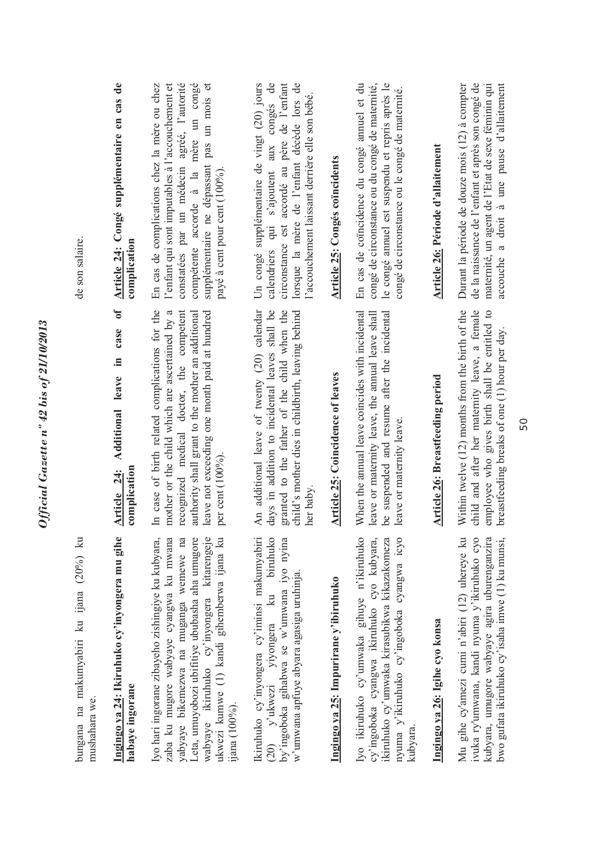| bungana na makumyabiri ku ijana (20%) ku<br>mushahara we.                                                                                                                                                                                                                                             |                                                                                                                                                                                                                                                                        | de son salaire.                                                                                                                                                                                                                                                         |
|-------------------------------------------------------------------------------------------------------------------------------------------------------------------------------------------------------------------------------------------------------------------------------------------------------|------------------------------------------------------------------------------------------------------------------------------------------------------------------------------------------------------------------------------------------------------------------------|-------------------------------------------------------------------------------------------------------------------------------------------------------------------------------------------------------------------------------------------------------------------------|
| Ingingo ya 24: Ikiruhuko cy'inyongera mu gihe<br>habaye ingorane                                                                                                                                                                                                                                      | 0f<br>case<br>$\Xi$<br>Additional leave<br>Article 24:<br>complication                                                                                                                                                                                                 | Article 24: Congé supplémentaire en cas de<br>complication                                                                                                                                                                                                              |
| Iyo hari ingorane zibayeho zishingiye ku kubyara,<br>zaba ku mugore wabyaye cyangwa ku mwana<br>yabyaye bikemezwa na muganga wemewe na<br>Leta, umuyobozi ubifitiye ububasha aha umugore<br>wabyaye ikiruhuko cy'inyongera kitarengeje<br>ukwezi kumwe (1) kandi gihemberwa ijana ku<br>ijana (100%). | In case of birth related complications for the<br>leave not exceeding one month paid at hundred<br>mother or the child which are ascertained by a<br>recognized medical doctor, the competent<br>authority shall grant to the mother an additional<br>per cent (100%). | constatées par un médecin agréé, l'autorité<br>compétente accorde à la mère un congé<br>supplémentaire ne dépassant pas un mois et<br>En cas de complications chez la mère ou chez<br>l'enfant qui sont imputables à l'accouchement et<br>payé à cent pour cent (100%). |
| by'ingoboka gihabwa se w'umwana iyo nyina<br>Ikiruhuko cy'inyongera cy'iminsi makumyabiri<br>biruhuko<br>w'umwana apfuye abyara agasiga uruhinja.<br>(20) y'ukwezi yiyongera ku                                                                                                                       | An additional leave of twenty (20) calendar<br>days in addition to incidental leaves shall be<br>child's mother dies in childbirth, leaving behind<br>granted to the father of the child when the<br>her baby.                                                         | Un congé supplémentaire de vingt (20) jours<br>circonstance est accordé au père de l'enfant<br>lorsque la mère de l'enfant décède lors de<br>calendriers qui s'ajoutent aux congés de<br>l'accouchement laissant derrière elle son bébé.                                |
| Ingingo ya 25: Impurirane y'ibiruhuko                                                                                                                                                                                                                                                                 | Article 25: Coincidence of leaves                                                                                                                                                                                                                                      | Article 25: Congés coïncidents                                                                                                                                                                                                                                          |
| Iyo ikiruhuko cy'umwaka gihuye n'ikiruhuko<br>cy'ingoboka cyangwa ikiruhuko cyo kubyara,<br>ikiruhuko cy'umwaka kirasubikwa kikazakomeza<br>nyuma y'ikiruhuko cy'ingoboka cyangwa icyo<br>kubyara                                                                                                     | When the annual leave coincides with incidental<br>leave or maternity leave, the annual leave shall<br>be suspended and resume after the incidental<br>leave or maternity leave.                                                                                       | congé de circonstance ou du congé de maternité,<br>le congé amuel est suspendu et repris après le<br>En cas de coïncidence du congé annuel et du<br>congé de circonstance ou le congé de maternité.                                                                     |
| Ingingo ya 26: Igihe cyo konsa                                                                                                                                                                                                                                                                        | <b>Article 26: Breastfeeding period</b>                                                                                                                                                                                                                                | Article 26: Période d'allaitement                                                                                                                                                                                                                                       |
| Mu gihe cy'amezi cumi n'abiri (12) uhereye ku<br>ivuka ry'umwana, kandi nyuma y'ikiruhuko cyo<br>kubyara, umugore wabyaye agira uburenganzira<br>bwo gufata ikiruhuko cy'isaha imwe (1) ku munsi,                                                                                                     | Within twelve (12) months from the birth of the<br>child and after her maternity leave, a female<br>employee who gives birth shall be entitled to<br>breastfeeding breaks of one (1) hour per day.                                                                     | Durant la période de douze mois (12) à compter<br>de la naissance de l'enfant et après son congé de<br>maternité, un agent de l'Etat de sexe féminin qui<br>accouche a droit à une pause d'allaitement                                                                  |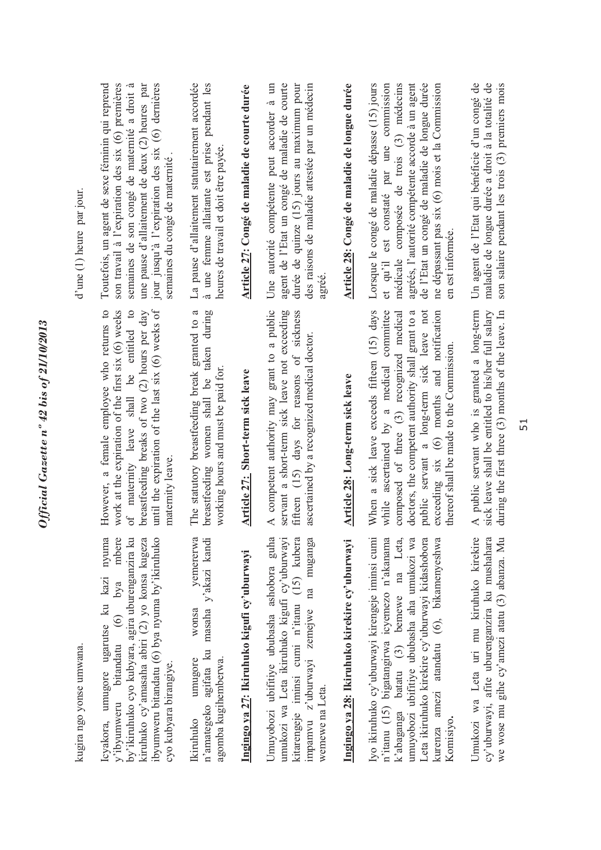| kugira ngo yonse umwana.                                                                                                                                                                                                                                                                                |                                                                                                                                                                                                                                                                                                                                   | $d'$ une $(1)$ heure par jour.                                                                                                                                                                                                                                                                                   |
|---------------------------------------------------------------------------------------------------------------------------------------------------------------------------------------------------------------------------------------------------------------------------------------------------------|-----------------------------------------------------------------------------------------------------------------------------------------------------------------------------------------------------------------------------------------------------------------------------------------------------------------------------------|------------------------------------------------------------------------------------------------------------------------------------------------------------------------------------------------------------------------------------------------------------------------------------------------------------------|
| by'ikiruhuko cyo kubyara, agira uburenganzira ku<br>nyuma<br>mbere<br>ibyumweru bitandatu (6) bya nyuma by'ikiruhuko<br>kiruhuko cy'amasaha abiri (2) yo konsa kugeza<br>Icyakora, umugore ugarutse ku kazi<br>y'ibyumweru bitandatu (6) bya<br>cyo kubyara birangiye.                                  | until the expiration of the last six (6) weeks of<br>However, a female employee who returns to<br>work at the expiration of the first six (6) weeks<br>of maternity leave shall be entitled to<br>breastfeeding breaks of two (2) hours per day<br>maternity leave.                                                               | son travail à l'expiration des six (6) premières<br>Toutefois, un agent de sexe féminin qui reprend<br>semaines de son congé de maternité a droit à<br>jour jusqu'à l'expiration des six (6) dernières<br>une pause d'allaitement de deux (2) heures par<br>semaines du congé de maternité.                      |
| masaha y'akazi kandi<br>yemererwa<br>wonsa<br>n'amategeko agifata ku<br>agomba kugihemberwa.<br>umugore<br>Ikiruhuko                                                                                                                                                                                    | ß<br>women shall be taken during<br>The statutory breastfeeding break granted to<br>working hours and must be paid for.<br>breastfeeding                                                                                                                                                                                          | La pause d'allaitement statutairement accordée<br>à une femme allaitante est prise pendant les<br>heures de travail et doit être payée.                                                                                                                                                                          |
| Ingingo ya 27: Ikiruhuko kigufi cy'uburwayi                                                                                                                                                                                                                                                             | Article 27: Short-term sick leave                                                                                                                                                                                                                                                                                                 | Article 27: Congé de maladie de courte durée                                                                                                                                                                                                                                                                     |
| umukozi wa Leta ikiruhuko kigufi cy'uburwayi<br>kitarengeje iminsi cumi n'itanu (15) kubera<br>Umuyobozi ubifitiye ububasha ashobora guha<br>impamvu z'uburwayi zemejwe na muganga<br>wemewe na Leta.                                                                                                   | A competent authority may grant to a public<br>servant a short-term sick leave not exceeding<br>fifteen (15) days for reasons of sickness<br>ascertained by a recognized medical doctor.                                                                                                                                          | agent de l'Etat un congé de maladie de courte<br>durée de quinze (15) jours au maximum pour<br>des raisons de maladie attestée par un médecin<br>Une autorité compétente peut accorder à un<br>agréé.                                                                                                            |
| Ingingo ya 28: Ikiruhuko kirekire cy'uburwayi                                                                                                                                                                                                                                                           | Article 28: Long-term sick leave                                                                                                                                                                                                                                                                                                  | Article 28: Congé de maladie de longue durée                                                                                                                                                                                                                                                                     |
| Iyo ikiruhuko cy'uburwayi kirengeje iminsi cumi<br>k'abaganga batatu (3) bemewe na Leta,<br>umuyobozi ubifitiye ububasha aha umukozi wa<br>n'itanu (15) bigatangirwa icyemezo n'akanama<br>amezi atandatu (6), bikamenyeshwa<br>Leta ikiruhuko kirekire cy'uburwayi kidashobora<br>Komisiyo.<br>kurenza | When a sick leave exceeds fifteen (15) days<br>while ascertained by a medical committee<br>composed of three (3) recognized medical<br>doctors, the competent authority shall grant to a<br>servant a long-term sick leave not<br>exceeding six (6) months and notification<br>thereof shall be made to the Commission.<br>public | de l'Etat un congé de maladie de longue durée<br>médicale composée de trois (3) médecins<br>agréés, l'autorité compétente accorde à un agent<br>ne dépassant pas six (6) mois et la Commission<br>Lorsque le congé de maladie dépasse (15) jours<br>et qu'il est constaté par une commission<br>en est informée. |
| Umukozi wa Leta uri mu kiruhuko kirekire<br>cy'uburwayi, afite uburenganzira ku mushahara<br>we wose mu gihe cy'amezi atatu (3) abanza. Mu                                                                                                                                                              | A public servant who is granted a long-term<br>sick leave shall be entitled to his/her full salary<br>during the first three (3) months of the leave. In                                                                                                                                                                          | maladie de longue durée a droit à la totalité de<br>son salaire pendant les trois (3) premiers mois<br>Un agent de l'Etat qui bénéficie d'un congé de                                                                                                                                                            |
|                                                                                                                                                                                                                                                                                                         | 51                                                                                                                                                                                                                                                                                                                                |                                                                                                                                                                                                                                                                                                                  |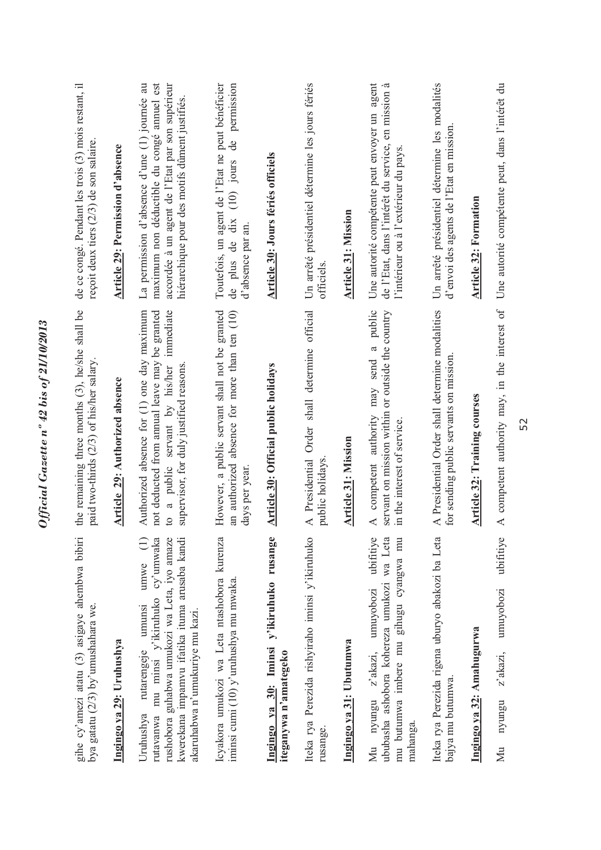| gihe cy'amezi atatu (3) asigaye ahembwa bibiri<br>bya gatatu (2/3) by'umushahara we.                                                                                                                                       | the remaining three months (3), he/she shall be<br>paid two-thirds (2/3) of his/her salary.                                                                                           | de ce congé. Pendant les trois (3) mois restant, il<br>reçoit deux tiers (2/3) de son salaire.                                                                                                 |
|----------------------------------------------------------------------------------------------------------------------------------------------------------------------------------------------------------------------------|---------------------------------------------------------------------------------------------------------------------------------------------------------------------------------------|------------------------------------------------------------------------------------------------------------------------------------------------------------------------------------------------|
| Ingingo ya 29: Uruhushya                                                                                                                                                                                                   | Article 29: Authorized absence                                                                                                                                                        | Article 29: Permission d'absence                                                                                                                                                               |
| kwerekana impamvu ifatika ituma arusaba kandi<br>rutavanwa mu minsi y'ikiruhuko cy'umwaka<br>rushobora guhabwa umukozi wa Leta, iyo amaze<br>umwe<br>umunsi<br>akaruhabwa n'umukuriye mu kazi.<br>rutarengeje<br>Uruhushya | Authorized absence for (1) one day maximum<br>not deducted from annual leave may be granted<br>immediate<br>to a public servant by his/her<br>supervisor, for duly justified reasons. | maximum non déductible du congé amuel est<br>La permission d'absence d'une (1) journée au<br>accordée à un agent de l'Etat par son supérieur<br>hiérarchique pour des motifs dûment justifiés. |
| Icyakora umukozi wa Leta ntashobora kurenza<br>iminsi cumi (10) y'uruhushya mu mwaka                                                                                                                                       | However, a public servant shall not be granted<br>an authorized absence for more than ten (10)<br>days per year                                                                       | Toutefois, un agent de l'Etat ne peut bénéficier<br>permission<br>$\mathsf{d}\mathsf{e}$<br>$(10)$ jours<br>dix<br>d'absence par an.<br>de plus de                                             |
| Ingingo ya 30: Iminsi y'ikiruhuko rusange<br>iteganywa n'amategeko                                                                                                                                                         | <b>Article 30: Official public holidays</b>                                                                                                                                           | Article 30: Jours fériés officiels                                                                                                                                                             |
| Iteka rya Perezida rishyiraho iminsi y'ikiruhuko<br>rusange.                                                                                                                                                               | A Presidential Order shall determine official<br>public holidays.                                                                                                                     | Un arrêté présidentiel détermine les jours fériés<br>officiels                                                                                                                                 |
| Ingingo ya 31: Ubutumwa                                                                                                                                                                                                    | <b>Article 31: Mission</b>                                                                                                                                                            | <b>Article 31: Mission</b>                                                                                                                                                                     |
| ubifitiye<br>ububasha ashobora kohereza umukozi wa Leta<br>mu butumwa imbere mu gihugu cyangwa mu<br>umuyobozi<br>z'akazi,<br>nyungu<br>mahanga.<br>∑<br>∑                                                                 | public<br>servant on mission within or outside the country<br>a<br>send<br>may<br>competent authority<br>in the interest of service.<br>$\prec$                                       | Une autorité compétente peut envoyer un agent<br>de l'Etat, dans l'intérêt du service, en mission à<br>l'intérieur ou à l'extérieur du pays.                                                   |
| Iteka rya Perezida rigena uburyo abakozi ba Leta<br>bajya mu butumwa.                                                                                                                                                      | A Presidential Order shall determine modalities<br>for sending public servants on mission                                                                                             | Un arrêté présidentiel détermine les modalités<br>d'envoi des agents de l'Etat en mission                                                                                                      |
| Ingingo ya 32: Amahugurwa                                                                                                                                                                                                  | Article 32: Training courses                                                                                                                                                          | <b>Article 32: Formation</b>                                                                                                                                                                   |
| ubifitiye<br>umuyobozi<br>z'akazi,<br>nyungu<br>Мu                                                                                                                                                                         | A competent authority may, in the interest of                                                                                                                                         | Une autorité compétente peut, dans l'intérêt du                                                                                                                                                |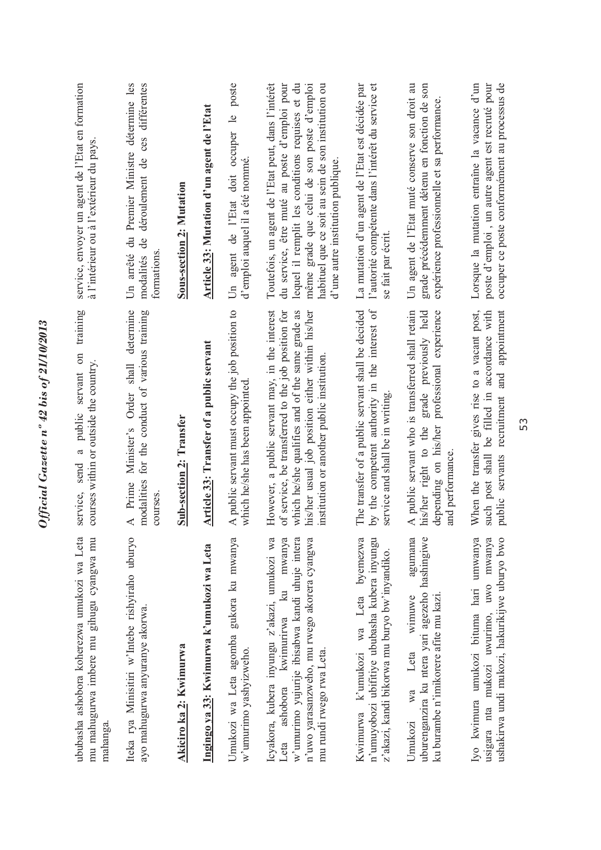| ububasha ashobora koherezwa umukozi wa Leta<br>mu mahugurwa imbere mu gihugu cyangwa mu<br>mahanga                                                                                                               | training<br>$\sin$<br>courses within or outside the country.<br>servant<br>public<br>ß<br>send<br>service,                                                                                                                                                | service, envoyer un agent de l'Etat en formation<br>à l'intérieur ou à l'extérieur du pays                                                                                                                                                                                                     |
|------------------------------------------------------------------------------------------------------------------------------------------------------------------------------------------------------------------|-----------------------------------------------------------------------------------------------------------------------------------------------------------------------------------------------------------------------------------------------------------|------------------------------------------------------------------------------------------------------------------------------------------------------------------------------------------------------------------------------------------------------------------------------------------------|
| Iteka rya Minisitiri w'Intebe rishyiraho uburyo<br>ayo mahugurwa anyuranye akorwa.                                                                                                                               | Minister's Order shall determine<br>for the conduct of various training<br>modalities<br>A Prime<br>courses.                                                                                                                                              | différentes<br>Un arrêté du Premier Ministre détermine les<br>ces<br>déroulement de<br>modalités de<br>formations                                                                                                                                                                              |
| Akiciro ka 2: Kwimurwa                                                                                                                                                                                           | <b>Sub-section 2: Transfer</b>                                                                                                                                                                                                                            | Sous-section 2: Mutation                                                                                                                                                                                                                                                                       |
| Ingingo ya 33: Kwimurwa k'umukozi wa Leta                                                                                                                                                                        | Article 33: Transfer of a public servant                                                                                                                                                                                                                  | Article 33: Mutation d'un agent de l'Etat                                                                                                                                                                                                                                                      |
| Umukozi wa Leta agomba gukora ku mwanya<br>w'umurimo yashyizweho.                                                                                                                                                | A public servant must occupy the job position to<br>which he/she has been appointed                                                                                                                                                                       | poste<br>occuper le<br>d'emploi auquel il a été nommé.<br>agent de l'Etat doit<br>$\overline{L}$                                                                                                                                                                                               |
| Leta ashobora kwimurirwa ku mwanya<br>w'umurimo yujurije ibisabwa kandi uhuje intera<br>Icyakora, kubera inyungu z'akazi, umukozi wa<br>n'uwo yarasanzweho, mu rwego akorera cyangwa<br>mu rundi rwego rwa Leta. | However, a public servant may, in the interest<br>of service, be transferred to the job position for<br>which he/she qualifies and of the same grade as<br>his/her usual job position either within his/her<br>institution or another public institution. | Toutefois, un agent de l'Etat peut, dans l'intérêt<br>du service, être muté au poste d'emploi pour<br>lequel il remplit les conditions requises et du<br>même grade que celui de son poste d'emploi<br>habituel que ce soit au sein de son institution ou<br>d'une autre institution publique. |
| Kwimurwa k'umukozi wa Leta byemezwa<br>n'umuyobozi ubifitiye ububasha kubera inyungu<br>z'akazi, kandi bikorwa mu buryo bw'inyandiko.                                                                            | The transfer of a public servant shall be decided<br>by the competent authority in the interest of<br>service and shall be in writing                                                                                                                     | La mutation d'un agent de l'Etat est décidée par<br>l'autorité compétente dans l'intérêt du service et<br>se fait par écrit                                                                                                                                                                    |
| uburenganzira ku ntera yari agezeho hashingiwe<br>agumana<br>ku burambe n'imikorere afite mu kazi<br>winnuwe<br>Leta<br>wa<br>Umukozi                                                                            | A public servant who is transferred shall retain<br>depending on his/her professional experience<br>grade previously held<br>his/her right to the<br>and performance.                                                                                     | Un agent de l'Etat muté conserve son droit au<br>grade précédemment détenu en fonction de son<br>expérience professionnelle et sa performance.                                                                                                                                                 |
| Iyo kwimura umukozi bituma hari umwanya<br>usigara nta mukozi uwurimo, uwo mwanya<br>ushakirwa undi mukozi, hakurikijwe uburyo bwo                                                                               | public servants recruitment and appointment<br>When the transfer gives rise to a vacant post,<br>such post shall be filled in accordance with                                                                                                             | Lorsque la mutation entraîne la vacance d'un<br>occuper ce poste conformément au processus de<br>poste d'emploi, un autre agent est recruté pour                                                                                                                                               |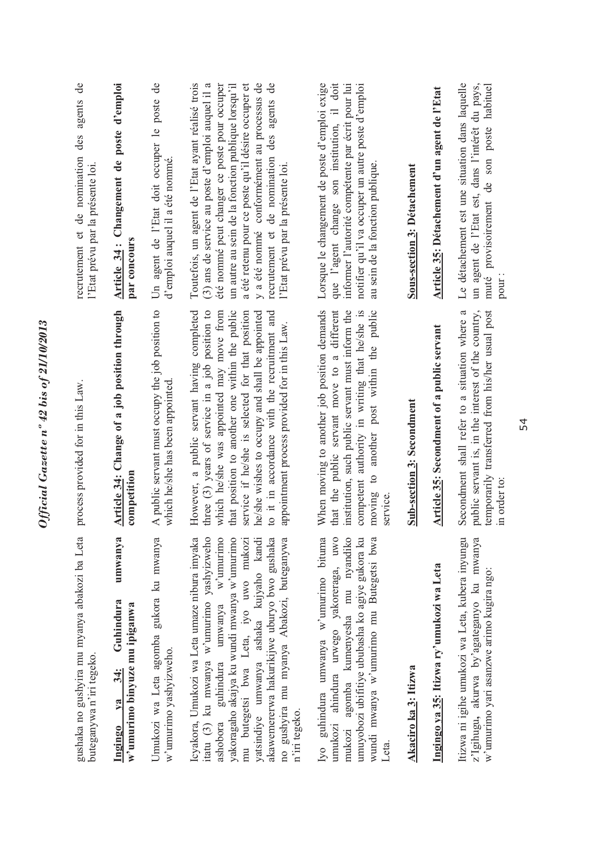| gushaka no gushyira mu myanya abakozi ba Leta<br>buteganywa n'iri tegeko.                                                                                                                                                                                                                                                                                                       | process provided for in this Law.                                                                                                                                                                                                                                                                                                                                                                   | ಕೆ<br>agents<br>des<br>recrutement et de nomination<br>l'Etat prévu par la présente loi                                                                                                                                                                                                                                                                                                                                |
|---------------------------------------------------------------------------------------------------------------------------------------------------------------------------------------------------------------------------------------------------------------------------------------------------------------------------------------------------------------------------------|-----------------------------------------------------------------------------------------------------------------------------------------------------------------------------------------------------------------------------------------------------------------------------------------------------------------------------------------------------------------------------------------------------|------------------------------------------------------------------------------------------------------------------------------------------------------------------------------------------------------------------------------------------------------------------------------------------------------------------------------------------------------------------------------------------------------------------------|
| umwanya<br>Guhindura<br>w'umurimo binyuze mu ipiganwa<br>34:<br>$va$<br>Ingingo                                                                                                                                                                                                                                                                                                 | Article 34: Change of a job position through<br>competition                                                                                                                                                                                                                                                                                                                                         | Article 34: Changement de poste d'emploi<br>par concours                                                                                                                                                                                                                                                                                                                                                               |
| Umukozi wa Leta agomba gukora ku mwanya<br>w'umurimo yashyizweho.                                                                                                                                                                                                                                                                                                               | A public servant must occupy the job position to<br>which he/she has been appointed                                                                                                                                                                                                                                                                                                                 | $\overline{d}$<br>Un agent de l'Etat doit occuper le poste<br>d'emploi auquel il a été nommé.                                                                                                                                                                                                                                                                                                                          |
| itatu (3) ku mwanya w'umurimo yashyizweho<br>mu butegetsi bwa Leta, iyo uwo mukozi<br>yatsindiye umwanya ashaka kujyaho kandi<br>akawemererwa hakurikijwe uburyo bwo gushaka no gushyira mu myanya Abakozi, buteganywa<br>ashobora guhindura umwanya w'umurimo<br>yakoragaho akajya ku wundi mwanya w'umurimo<br>Icyakora, Umukozi wa Leta umaze nibura imyaka<br>n'iri tegeko. | However, a public servant having completed<br>three $(3)$ years of service in a job position to<br>which he/she was appointed may move from<br>that position to another one within the public<br>service if he/she is selected for that position<br>he/she wishes to occupy and shall be appointed<br>to it in accordance with the recruitment and<br>appointment process provided for in this Law. | y a été nommé conformément au processus de<br>été nommé peut changer ce poste pour occuper<br>un autre au sein de la fonction publique lorsqu'il<br>a été retenu pour ce poste qu'il désire occuper et<br>$\overline{d}$<br>Toutefois, un agent de l'Etat ayant réalisé trois<br>$(3)$ ans de service au poste d'emploi auquel il a<br>des agents<br>recrutement et de nomination<br>l'Etat prévu par la présente loi. |
| guhindura umwanya w'umurimo bituma<br>umukozi ahindura urwego yakoreraga, uwo<br>umuyobozi ubifitiye ububasha ko agiye gukora ku<br>mukozi agomba kumenyesha mu nyandiko<br>wundi mwanya w'umurimo mu Butegetsi bwa<br>Iy0<br>Leta.                                                                                                                                             | When moving to another job position demands<br>that the public servant move to a different<br>institution, such public servant must inform the<br>competent authority in writing that he/she is<br>another post within the public<br>$\circ$<br>moving<br>service.                                                                                                                                  | doit<br>informer l'autorité compétente par écrit pour lui<br>notifier qu'il va occuper un autre poste d'emploi<br>Lorsque le changement de poste d'emploi exige<br>que l'agent change son institution, il<br>au sein de la fonction publique.                                                                                                                                                                          |
| Akaciro ka 3: Itizwa                                                                                                                                                                                                                                                                                                                                                            | <b>Sub-section 3: Secondment</b>                                                                                                                                                                                                                                                                                                                                                                    | <b>Sous-section 3: Détachement</b>                                                                                                                                                                                                                                                                                                                                                                                     |
| Ingingo ya 35: Itizwa ry'umukozi wa Leta                                                                                                                                                                                                                                                                                                                                        | <b>Article 35: Secondment of a public servant</b>                                                                                                                                                                                                                                                                                                                                                   | Article 35: Détachement d'un agent de l'Etat                                                                                                                                                                                                                                                                                                                                                                           |
| Itizwa ni igihe umukozi wa Leta, kubera inyungu<br>z'lgihugu, akurwa by'agateganyo ku mwanya<br>w'umurimo yari asanzwe arimo kugira ngo:                                                                                                                                                                                                                                        | temporarily transferred from his/her usual post<br>Secondment shall refer to a situation where a<br>public servant is, in the interest of the country,<br>in order to:                                                                                                                                                                                                                              | Le détachement est une situation dans laquelle<br>un agent de l'Etat est, dans l'intérêt du pays,<br>provisoirement de son poste habituel<br>muté<br>pour:                                                                                                                                                                                                                                                             |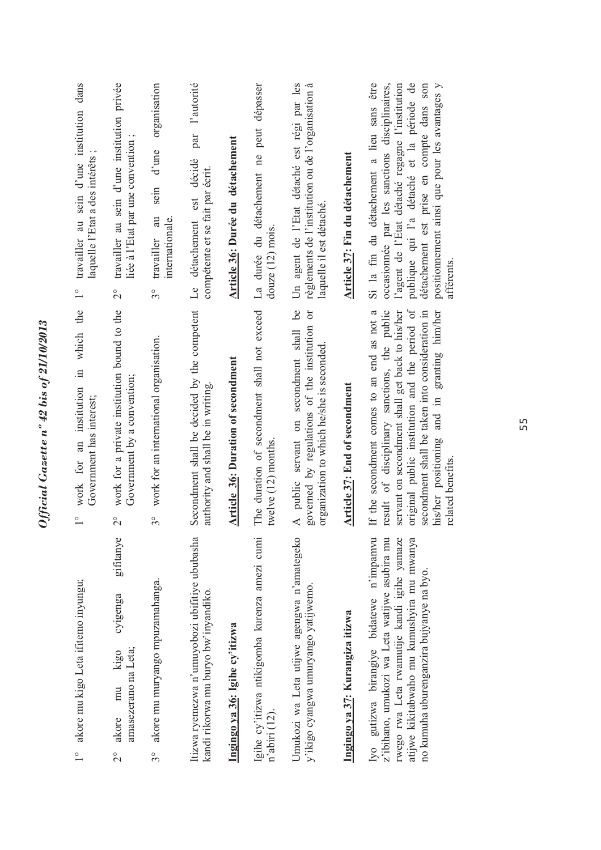| travailler au sein d'une institution dans<br>laquelle l'Etat a des intérêts<br>$\overset{\circ}{-}$ | travailler au sein d'une institution privée<br>liée à l'Etat par une convention;<br>$\frac{1}{2}$    | organisation<br>d'une<br>sein<br>$\rm au$<br>internationale.<br>travailler<br>$3^{\circ}$ | l'autorité<br>par<br>décidé<br>compétente et se fait par écrit.<br>Le détachement est  | Article 36: Durée du détachement   | La durée du détachement ne peut dépasser<br>douze $(12)$ mois.       | Un agent de l'Etat détaché est régi par les<br>règlements de l'institution ou de l'organisation à<br>laquelle il est détaché                | Article 37: Fin du détachement  | Si la fin du détachement a lieu sans être<br>publique qui l'a détaché et la période de<br>l'agent de l'Etat détaché regagne l'institution<br>détachement est prise en compte dans son<br>occasionnée par les sanctions disciplinaires,<br>positionnement ainsi que pour les avantages y<br>afférents                 |
|-----------------------------------------------------------------------------------------------------|------------------------------------------------------------------------------------------------------|-------------------------------------------------------------------------------------------|----------------------------------------------------------------------------------------|------------------------------------|----------------------------------------------------------------------|---------------------------------------------------------------------------------------------------------------------------------------------|---------------------------------|----------------------------------------------------------------------------------------------------------------------------------------------------------------------------------------------------------------------------------------------------------------------------------------------------------------------|
| in which the<br>work for an institution<br>Government has interest;<br>$\frac{1}{\sqrt{2}}$         | work for a private institution bound to the<br>Government by a convention;<br>$\overline{2}^{\circ}$ | work for an international organisation.<br>$3^{\circ}$                                    | Secondment shall be decided by the competent<br>authority and shall be in writing.     | Article 36: Duration of secondment | The duration of secondment shall not exceed<br>twelve $(12)$ months. | be<br>ör<br>governed by regulations of the institution<br>A public servant on secondment shall<br>organization to which he/she is seconded. | Article 37: End of secondment   | original public institution and the period of<br>If the secondment comes to an end as not a<br>result of disciplinary sanctions, the public<br>servant on secondment shall get back to his/her<br>secondment shall be taken into consideration in<br>his/her positioning and in granting him/her<br>related benefits |
| akore mu kigo Leta ifitemo inyungu;<br>$\frac{1}{\sqrt{2}}$                                         | gifitanye<br>cyigenga<br>amasezerano na Leta;<br>kigo<br>mu<br>akore<br>$\overline{C}$               | akore mu muryango mpuzamahanga.<br>$3^{\circ}$                                            | Itizwa ryemezwa n'umuyobozi ubifitiye ububasha<br>kandi rikorwa mu buryo bw'inyandiko. | Ingingo ya 36: Igihe cy'itizwa     | Igihe cy'itizwa ntikigomba kurenza amezi cumi<br>n'abiri (12).       | Umukozi wa Leta utijwe agengwa n'amategeko<br>y'ikigo cyangwa umuryango yatijwemo.                                                          | Ingingo ya 37: Kurangiza itizwa | Iyo gutizwa birangiye bidatewe n'impamvu<br>rwego rwa Leta rwamutije kandi igihe yamaze<br>atijwe kikitabwaho mu kumushyira mu mwanya<br>z'ibihano, umukozi wa Leta watijwe asubira mu<br>no kumuha uburenganzira bujyanye na byo.                                                                                   |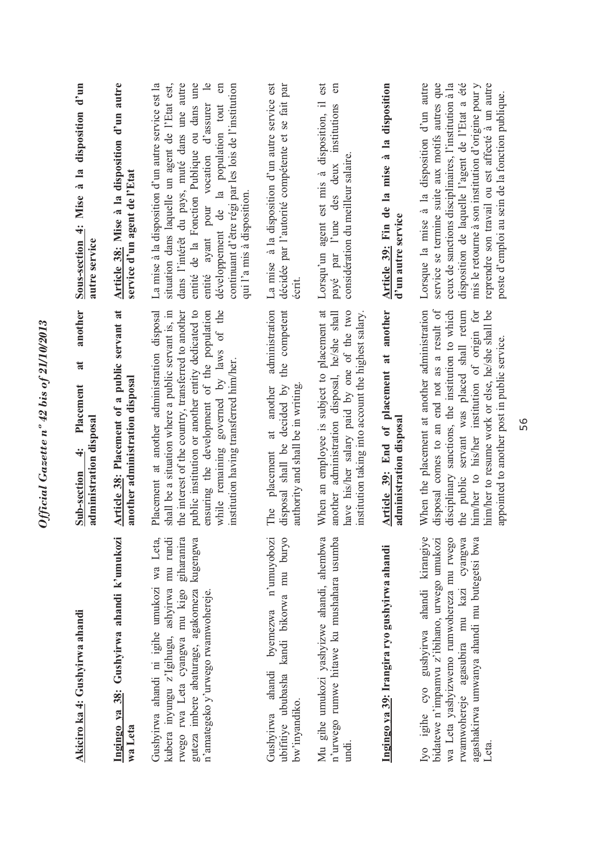| Akiciro ka 4: Gushyirwa ahandi                                                                                                                                                                                                         | another<br>$\overline{\mathbf{a}}$<br>Placement<br>administration disposal<br>$\ddot{ }$<br>Sub-section                                                                                                                                                                                                                                           | Sous-section 4: Mise à la disposition d'un<br>autre service                                                                                                                                                                                                                                                                                                                                             |
|----------------------------------------------------------------------------------------------------------------------------------------------------------------------------------------------------------------------------------------|---------------------------------------------------------------------------------------------------------------------------------------------------------------------------------------------------------------------------------------------------------------------------------------------------------------------------------------------------|---------------------------------------------------------------------------------------------------------------------------------------------------------------------------------------------------------------------------------------------------------------------------------------------------------------------------------------------------------------------------------------------------------|
| Ingingo ya 38: Gushyirwa ahandi k'umukozi<br>wa Leta                                                                                                                                                                                   | Article 38: Placement of a public servant at<br>another administration disposal                                                                                                                                                                                                                                                                   | Article 38: Mise à la disposition d'un autre<br>service d'un agent de l'Etat                                                                                                                                                                                                                                                                                                                            |
| giharanira<br>kubera inyungu z'Igihugu, ashyirwa mu rundi<br>kugengwa<br>Gushyirwa ahandi ni igihe umukozi wa Leta,<br>rwego rwa Leta cyangwa mu kigo<br>guteza imbere abaturage, agakomeza<br>n'amategeko y'urwego rwamwohereje.      | shall be a situation where a public servant is, in<br>while remaining governed by laws of the<br>Placement at another administration disposal<br>the interest of the country, transferred to another<br>public institution or another entity dedicated to<br>ensuring the development of the population<br>institution having transferred him/her | La mise à la disposition d'un autre service est la<br>dans l'intérêt du pays, muté dans une autre<br>entité de la Fonction Publique ou dans une<br>$\overline{e}$<br>situation dans laquelle un agent de l'Etat est,<br>$\epsilon$<br>continuant d'être régi par les lois de l'institution<br>entité ayant pour vocation d'assurer<br>développement de la population tout<br>qui l'a mis à disposition. |
| puryo<br>n'umuyobozi<br>ubifitiye ububasha kandi bikorwa mu<br>byemezwa<br>ahandi<br>bw'inyandiko.<br>Gushyirwa                                                                                                                        | administration<br>competent<br>the<br>decided by<br>authority and shall be in writing<br>another<br>$\ddot{a}$<br>shall be<br>placement<br>disposal<br>The                                                                                                                                                                                        | La mise à la disposition d'un autre service est<br>décidée par l'autorité compétente et se fait par<br>écrit.                                                                                                                                                                                                                                                                                           |
| Mu gihe umukozi yashyizwe ahandi, ahembwa<br>n'urwego rumwe hitawe ku mushahara usumba<br>undi.                                                                                                                                        | When an employee is subject to placement at<br>have his/her salary paid by one of the two<br>institution taking into account the highest salary.<br>another administration disposal, he/she shall                                                                                                                                                 | est<br>en<br>Lorsqu'un agent est mis à disposition, il<br>institutions<br>considération du meilleur salaire.<br>payé par l'une des deux                                                                                                                                                                                                                                                                 |
| Ingingo ya 39: Irangira ryo gushyirwa ahandi                                                                                                                                                                                           | Article 39: End of placement at another<br>administration disposal                                                                                                                                                                                                                                                                                | Article 39: Fin de la mise à la disposition<br>d'un autre service                                                                                                                                                                                                                                                                                                                                       |
| rwamwohereje agasubira mu kazi cyangwa<br>agashakirwa umwanya ahandi mu butegetsi bwa<br>Iyo igihe cyo gushyirwa ahandi kirangiye<br>wa Leta yashyizwemo rumwohereza mu rwego<br>bidatewe n'impamvu z'ibihano, urwego umukozi<br>Leta. | disposal comes to an end not as a result of<br>When the placement at another administration<br>the public servant was placed shall return<br>him/her to his/her institution of origin for<br>him/her to resume work or else, he/she shall be<br>disciplinary sanctions, the institution to which<br>appointed to another post in public service.  | Lorsque la mise à la disposition d'un autre<br>service se termine suite aux motifs autres que<br>ceux de sanctions disciplinaires, l'institution à la<br>disposition de laquelle l'agent de l'Etat a été<br>reprendre son travail ou est affecté à un autre<br>mis le retourne à son institution d'origine pour y<br>poste d'emploi au sein de la fonction publique                                     |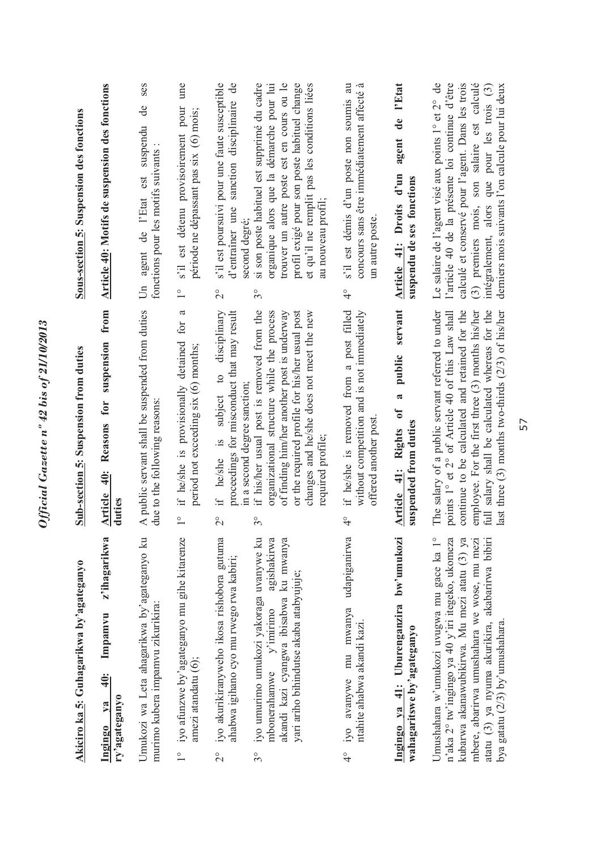| Akiciro ka 5: Guhagarikwa by'agateganyo                                                                                                                                                                                                                                           | Sub-section 5: Suspension from duties                                                                                                                                                                                                                                                                                 | Sous-section 5: Suspension des fonctions                                                                                                                                                                                                                                                                   |
|-----------------------------------------------------------------------------------------------------------------------------------------------------------------------------------------------------------------------------------------------------------------------------------|-----------------------------------------------------------------------------------------------------------------------------------------------------------------------------------------------------------------------------------------------------------------------------------------------------------------------|------------------------------------------------------------------------------------------------------------------------------------------------------------------------------------------------------------------------------------------------------------------------------------------------------------|
| z'ihagarikwa<br>Impamvu<br>$\ddot{=}$<br>ry'agateganyo<br>ya<br>Ingingo                                                                                                                                                                                                           | Reasons for suspension from<br>40:<br><b>Article</b><br>duties                                                                                                                                                                                                                                                        | <b>Article 40: Motifs de suspension des fonctions</b>                                                                                                                                                                                                                                                      |
| Umukozi wa Leta ahagarikwa by'agateganyo ku<br>murimo kubera impamvu zikurikira:                                                                                                                                                                                                  | A public servant shall be suspended from duties<br>due to the following reasons:                                                                                                                                                                                                                                      | ses<br>de<br>est suspendu<br>fonctions pour les motifs suivants<br>agent de l'Etat<br>$\overline{5}$                                                                                                                                                                                                       |
| iyo afunzwe by'agateganyo mu gihe kitarenze<br>amezi atandatu (6);<br>$\frac{1}{1}$                                                                                                                                                                                               | a<br>if he/she is provisionally detained for<br>period not exceeding six (6) months;<br>$\frac{1}{\sqrt{2}}$                                                                                                                                                                                                          | ume<br>s'il est détenu provisoirement pour<br>période ne dépassant pas six (6) mois;<br>$\frac{1}{1}$                                                                                                                                                                                                      |
| iyo akurikiranyweho ikosa rishobora gutuma<br>ahabwa igihano cyo mu rwego rwa kabiri;<br>$\overline{C}$                                                                                                                                                                           | disciplinary<br>proceedings for misconduct that may result<br>$\overline{c}$<br>in a second degree sanction;<br>subject<br>he/she is<br>$\ddot{+}$<br>$\overline{C}$                                                                                                                                                  | s'il est poursuivi pour une faute susceptible<br>d'entraîner une sanction disciplinaire de<br>second degré;<br>$\overline{2}^{\circ}$                                                                                                                                                                      |
| iyo umurimo umukozi yakoraga uvanywe ku<br>agishakirwa<br>akandi kazi cyangwa ibisabwa ku mwanya<br>yari ariho bihindutse akaba atabyujuje;<br>$m$ bonerahamwe $y'$ imirimo<br>$3^{\circ}$                                                                                        | if his/her usual post is removed from the<br>of finding him/her another post is underway<br>or the required profile for his/her usual post<br>organizational structure while the process<br>changes and he/she does not meet the new<br>required profile;<br>$\circ$<br>$\mathfrak{g}$                                | si son poste habituel est supprimé du cadre<br>organique alors que la démarche pour lui<br>trouver un autre poste est en cours ou le<br>profil exigé pour son poste habituel change<br>et qu'il ne remplit pas les conditions liées<br>au nouveau profil;<br>$3^{\circ}$                                   |
| udapiganirwa<br>iyo avanywe mu mwanya<br>ntahite ahabwa akandi kazi.<br>$\frac{1}{4}$                                                                                                                                                                                             | if he/she is removed from a post filled<br>without competition and is not immediately<br>offered another post<br>$\frac{1}{4}$                                                                                                                                                                                        | -ದ<br>s'il est démis d'un poste non soumis au<br>concours sans être immédiatement affecté<br>un autre poste<br>$\frac{1}{4}$                                                                                                                                                                               |
| Ingingo ya 41: Uburenganzira bw'umukozi<br>wahagaritswe by'agateganyo                                                                                                                                                                                                             | public servant<br>2<br>$\mathfrak{b}$<br>suspended from duties<br>Article 41: Rights                                                                                                                                                                                                                                  | agent de l'Etat<br>Article 41: Droits d'un<br>suspendu de ses fonctions                                                                                                                                                                                                                                    |
| Umushahara w'umukozi uvugwa mu gace ka 1°<br>n'aka 2° tw'ingingo ya 40 y'iri itegeko, ukomeza<br>kubarwa akanawubikirwa. Mu mezi atatu (3) ya<br>atatu (3) ya nyuma akurikira, akabarirwa bibiri<br>mbere, abarirwa umushahara we wose, mu mezi<br>bya gatatu (2/3) by'umushahara | The salary of a public servant referred to under<br>continue to be calculated and retained for the<br>full salary shall be calculated whereas for the<br>points 1° et 2° of Article 40 of this Law shall<br>employee. For the first three (3) months his/her<br>last three $(3)$ months two-thirds $(2/3)$ of his/her | calculé et conservé pour l'agent. Dans les trois<br>(3) premiers mois, son salaire est calculé<br>Le salaire de l'agent visé aux points 1° et 2° de<br>l'article 40 de la présente loi continue d'être<br>intégralement, alors que pour les trois (3)<br>derniers mois suivants l'on calcule pour lui deux |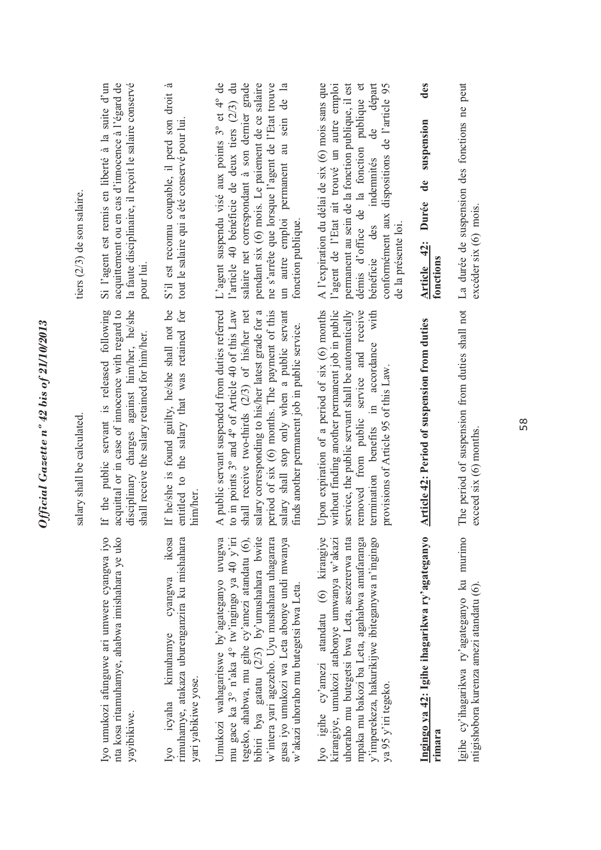|                                                                                                                                                                                                                                                                                                                                        | salary shall be calculated.                                                                                                                                                                                                                                                                                                                                   | tiers (2/3) de son salaire.                                                                                                                                                                                                                                                                                               |
|----------------------------------------------------------------------------------------------------------------------------------------------------------------------------------------------------------------------------------------------------------------------------------------------------------------------------------------|---------------------------------------------------------------------------------------------------------------------------------------------------------------------------------------------------------------------------------------------------------------------------------------------------------------------------------------------------------------|---------------------------------------------------------------------------------------------------------------------------------------------------------------------------------------------------------------------------------------------------------------------------------------------------------------------------|
| Iyo umukozi afunguwe ari umwere cyangwa iyo<br>nta kosa ritamuhamye, ahabwa imishahara ye uko<br>yayibikiwe.                                                                                                                                                                                                                           | If the public servant is released following<br>acquittal or in case of innocence with regard to<br>disciplinary charges against him/her, he/she<br>shall receive the salary retained for him/her.                                                                                                                                                             | la faute disciplinaire, il reçoit le salaire conservé<br>Si l'agent est remis en liberté à la suite d'un<br>acquittement ou en cas d'innocence à l'égard de<br>pour lui.                                                                                                                                                  |
| ikosa<br>rimuhamye, atakaza uburenganzira ku mishahara<br>cyangwa<br>kimuhamye<br>yari yabikiwe yose.<br>Iyo icyaha                                                                                                                                                                                                                    | If he/she is found guilty, he/she shall not be<br>entitled to the salary that was retained for<br>him/her                                                                                                                                                                                                                                                     | S'il est reconnu coupable, il perd son droit à<br>tout le salaire qui a été conservé pour lui                                                                                                                                                                                                                             |
| mu gace ka 3° n'aka 4° tw'ingingo ya 40 y'iri<br>tegeko, ahabwa, mu gihe cy'amezi atandatu (6),<br>bibiri bya gatatu (2/3) by'umushahara bwite<br>Umukozi wahagaritswe by'agateganyo uvugwa<br>w'intera yari agezeho. Uyu mushahara uhagarara<br>gusa iyo umukozi wa Leta abonye undi mwanya<br>w'akazi uhoraho mu butegetsi bwa Leta. | A public servant suspended from duties referred<br>shall receive two-thirds (2/3) of his/her net<br>salary shall stop only when a public servant<br>to in points 3° and 4° of Article 40 of this Law<br>salary corresponding to his/her latest grade for a<br>period of six (6) months. The payment of this<br>finds another permanent job in public service. | L'agent suspendu visé aux points 3° et 4° de<br>l'article 40 bénéficie de deux tiers (2/3) du<br>pendant six (6) mois. Le paiement de ce salaire<br>salaire net correspondant à son dernier grade<br>ne s'arrête que lorsque l'agent de l'Etat trouve<br>un autre emploi permanent au sein de la<br>fonction publique.    |
| uhoraho mu butegetsi bwa Leta, asezererwa nta<br>mpaka mu bakozi ba Leta, agahabwa amafaranga<br>y'imperekeza, hakurikijwe ibiteganywa n'ingingo<br>Iyo igihe cy'amezi atandatu (6) kirangiye<br>kirangiye, umukozi atabonye umwanya w'akazi<br>ya 95 y'iri tegeko.                                                                    | Upon expiration of a period of six (6) months<br>without finding another permanent job in public<br>service, the public servant shall be automatically<br>removed from public service and receive<br>with<br>termination benefits in accordance<br>provisions of Article 95 of this Law.                                                                      | permanent au sein de la fonction publique, il est<br>A l'expiration du délai de six (6) mois sans que<br>l'agent de l'Etat ait trouvé un autre emploi<br>démis d'office de la fonction publique et<br>de départ<br>dispositions de l'article 95<br>indemnités<br>conformément aux<br>de la présente loi.<br>bénéficie des |
| Ingingo ya 42: Igihe ihagarikwa ry'agateganyo<br>rimara                                                                                                                                                                                                                                                                                | Article 42: Period of suspension from duties                                                                                                                                                                                                                                                                                                                  | des<br>suspension<br>$\mathbf{d}\mathbf{e}$<br>Durée<br>Article 42:<br>fonctions                                                                                                                                                                                                                                          |
| Igihe cy'ihagarikwa ry'agateganyo ku murimo<br>ntigishobora kurenza amezi atandatu (6).                                                                                                                                                                                                                                                | The period of suspension from duties shall not<br>$exceed$ six $(6)$ months.                                                                                                                                                                                                                                                                                  | La durée de suspension des fonctions ne peut<br>$exceder six(6)$ mois.                                                                                                                                                                                                                                                    |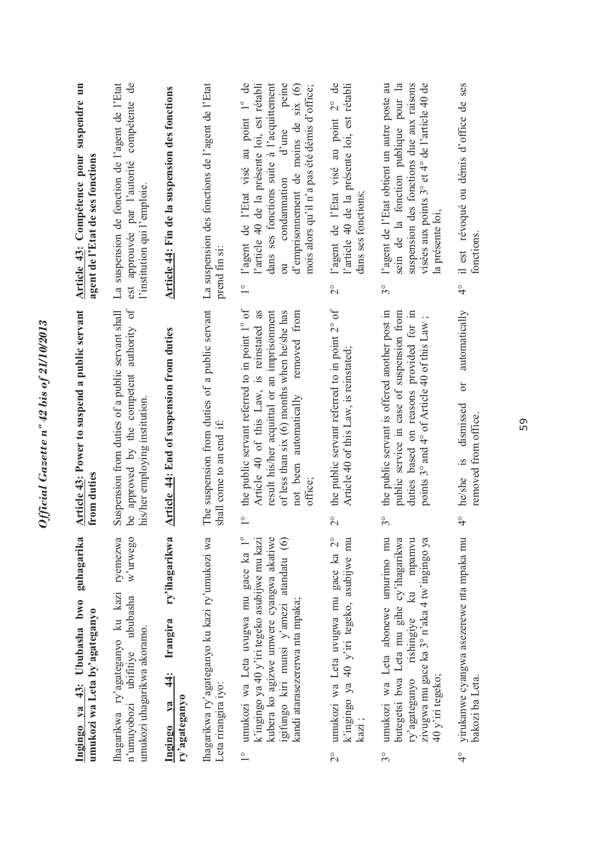| suspension des fonctions due aux raisons<br>il est révoqué ou démis d'office de ses<br>visées aux points 3° et 4° de l'article 40 de<br>la présente loi,<br>fonctions.<br>$\frac{1}{4}$<br>duties based on reasons provided for in<br>automatically<br>points 3° and 4° of Article 40 of this Law;<br>$\sigma$<br>dismissed<br>removed from office.<br>he/she is<br>$\frac{1}{4}$<br>mpamvu<br>zivugwa mu gace ka 3° n'aka 4 tw'ingingo ya<br>yirukanwe cyangwa asezerewe nta mpaka mu<br>ry'agateganyo rishingiye ku |
|-----------------------------------------------------------------------------------------------------------------------------------------------------------------------------------------------------------------------------------------------------------------------------------------------------------------------------------------------------------------------------------------------------------------------------------------------------------------------------------------------------------------------|
|                                                                                                                                                                                                                                                                                                                                                                                                                                                                                                                       |
|                                                                                                                                                                                                                                                                                                                                                                                                                                                                                                                       |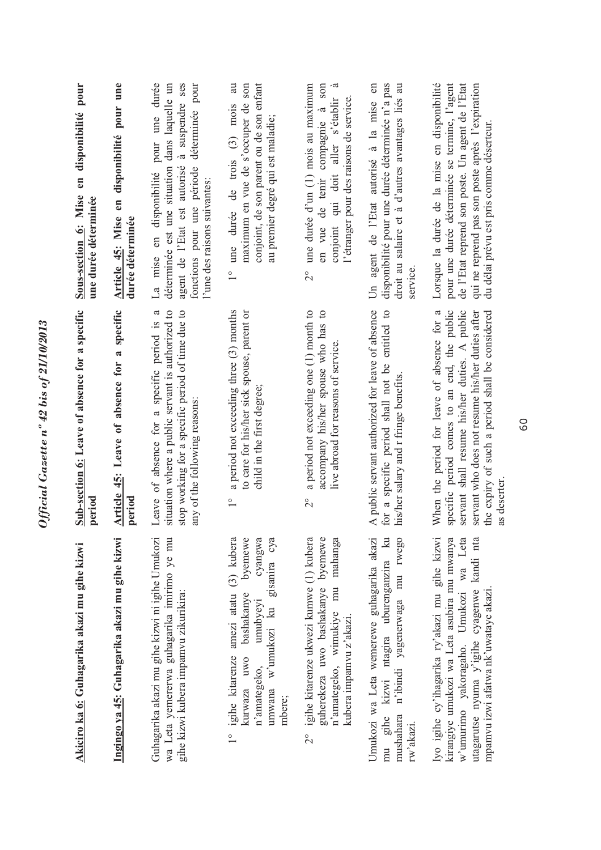| pour<br>en disponibilité<br>Sous-section 6: Mise<br>une durée déterminée | en disponibilité pour une<br>Article 45: Mise<br>durée déterminée | pour une durée<br>à suspendre ses<br>dans laquelle un<br>déterminée pour<br>déterminée est une situation<br>fonctions pour une période<br>agent de l'Etat est autorisé<br>La mise en disponibilité<br>l'une des raisons suivantes:<br>$\mathfrak{a}$ | conjoint, de son parent ou de son enfant<br>maximum en vue de s'occuper de son<br>1° une durée de trois (3) mois<br>au premier degré qui est maladie;                                | en vue de tenir compagnie à son<br>une durée d'un (1) mois au maximum<br>conjoint qui doit aller s'établir<br>l'étranger pour des raisons de service.<br>$\overline{C}$ | disponibilité pour une durée déterminée n'a pas<br>droit au salaire et à d'autres avantages liés au<br>Un agent de l'Etat autorisé à la mise en<br>service.<br>entitled to | Lorsque la durée de la mise en disponibilité<br>pour une durée déterminée se termine, l'agent<br>de l'Etat reprend son poste. Un agent de l'Etat<br>qui ne reprend pas son poste après l'expiration<br>du délai prévu est pris comme déserteur.                  |
|--------------------------------------------------------------------------|-------------------------------------------------------------------|------------------------------------------------------------------------------------------------------------------------------------------------------------------------------------------------------------------------------------------------------|--------------------------------------------------------------------------------------------------------------------------------------------------------------------------------------|-------------------------------------------------------------------------------------------------------------------------------------------------------------------------|----------------------------------------------------------------------------------------------------------------------------------------------------------------------------|------------------------------------------------------------------------------------------------------------------------------------------------------------------------------------------------------------------------------------------------------------------|
| Sub-section 6: Leave of absence for a specific<br>period                 | Article 45: Leave of absence for a specific<br>period             | stop working for a specific period of time due to<br>situation where a public servant is authorized to<br>Leave of absence for a specific period is<br>any of the following reasons:                                                                 | a period not exceeding three (3) months<br>to care for his/her sick spouse, parent or<br>child in the first degree;<br>$\overset{\circ}{\phantom{0}}$                                | a period not exceeding one (1) month to<br>accompany his/her spouse who has to<br>live abroad for reasons of service.<br>$\overset{\circ}{\sim}$                        | A public servant authorized for leave of absence<br>for a specific period shall not be<br>his/her salary and r fringe benefits                                             | When the period for leave of absence for a<br>specific period comes to an end, the public<br>servant shall resume his/her duties. A public<br>the expiry of such a period shall be considered<br>servant who does not resume his/her duties after<br>as deserter |
| Akiciro ka 6: Guhagarika akazi mu gihe kizwi                             | Ingingo ya 45: Guhagarika akazi mu gihe kizwi                     | Guhagarika akazi mu gihe kizwi ni igihe Umukozi<br>wa Leta yemererwa guhagarika imirimo ye mu<br>gihe kizwi kubera impamvu zikurikira:                                                                                                               | igihe kitarenze amezi atatu (3) kubera<br>byemewe<br>umwana w'umukozi ku gisanira cya<br>cyangwa<br>bashakanye<br>umubyeyi<br>kurwaza uwo<br>n'amategeko,<br>mbere;<br>$\frac{0}{1}$ | guherekeza uwo bashakanye byemewe<br>igihe kitarenze ukwezi kumwe (1) kubera<br>mahanga<br>n'amategeko, wimukiye mu<br>kubera impamvu z'akazi.<br>$\frac{1}{2}$         | Umukozi wa Leta wemerewe guhagarika akazi<br>kizwi ntagira uburenganzira ku<br>mushahara n'ibindi yagenerwaga mu rwego<br>mu gihe<br>rw'akazi.                             | Iyo igihe cy'ihagarika ry'akazi mu gihe kizwi<br>kirangiye umukozi wa Leta asubira mu mwanya<br>w'umurimo yakoragaho. Umukozi wa Leta<br>utagarutse nyuma y'igihe cyagenwe kandi nta<br>mpamvu izwi afatwa nk'uwataye akazi.                                     |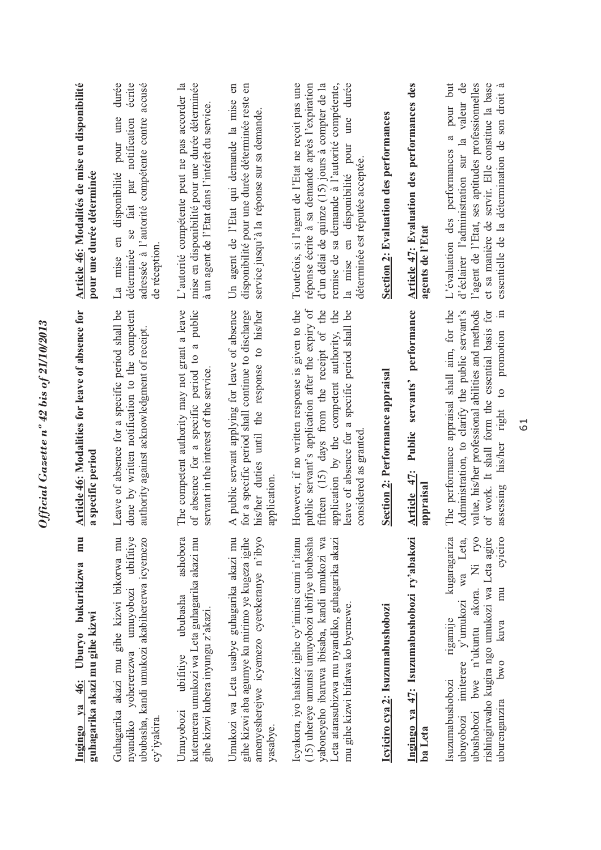| mu<br>Ingingo ya 46: Uburyo bukurikizwa<br>guhagarika akazi mu gihe kizwi                                                                                                                                                                    | Article 46: Modalities for leave of absence for<br>a specific period                                                                                                                                                                                                        | Article 46: Modalités de mise en disponibilité<br>pour une durée déterminée                                                                                                                                                                                                                     |
|----------------------------------------------------------------------------------------------------------------------------------------------------------------------------------------------------------------------------------------------|-----------------------------------------------------------------------------------------------------------------------------------------------------------------------------------------------------------------------------------------------------------------------------|-------------------------------------------------------------------------------------------------------------------------------------------------------------------------------------------------------------------------------------------------------------------------------------------------|
| nyandiko yohererezwa umuyobozi ubifitiye<br>Guhagarika akazi mu gihe kizwi bikorwa mu<br>ububasha, kandi umukozi akabihererwa icyemezo<br>cy'iyakira.                                                                                        | Leave of absence for a specific period shall be<br>done by written notification to the competent<br>authority against acknowledgment of receipt.                                                                                                                            | durée<br>écrite<br>accusé<br>adressée à l'autorité compétente contre<br>en disponibilité pour une<br>par notification<br>fait<br>Se<br>déterminée<br>de réception<br>mise<br>$\mathbb{L}^a$                                                                                                     |
| kutemerera umukozi wa Leta guhagarika akazi mu<br>ashobora<br>ububasha<br>gihe kizwi kubera inyungu z'akazi.<br>ubifitive<br>Umuyobozi                                                                                                       | absence for a specific period to a public<br>The competent authority may not grant a leave<br>servant in the interest of the service.<br>бf                                                                                                                                 | mise en disponibilité pour une durée déterminée<br>L'autorité compétente peut ne pas accorder la<br>à un agent de l'Etat dans l'intérêt du service.                                                                                                                                             |
| gihe kizwi aba agumye ku mirimo ye kugeza igihe<br>Umukozi wa Leta usabye guhagarika akazi mu<br>amenyesherejwe icyemezo cyerekeranye n'ibyo<br>yasabye.                                                                                     | A public servant applying for leave of absence<br>for a specific period shall continue to discharge<br>his/her duties until the response to his/her<br>application.                                                                                                         | Un agent de l'Etat qui demande la mise en<br>6n<br>disponibilité pour une durée déterminée reste<br>service jusqu'à la réponse sur sa demande.                                                                                                                                                  |
| Icyakora, iyo hashize igihe cy'iminsi cumi n'itanu<br>(15) uhereye umunsi umuyobozi ubifiye ububasha<br>yaboneyeho ibaruwa ibisaba, kandi umukozi wa<br>Leta atarasubizwa mu nyandiko, guhagarika akazi<br>mu gihe kizwi bifatwa ko byemewe. | public servant's application after the expiry of<br>However, if no written response is given to the<br>fifteen (15) days from the receipt of the<br>application by the competent authority, the<br>leave of absence for a specific period shall be<br>considered as granted | durée<br>Toutefois, si l'agent de l'Etat ne reçoit pas une<br>réponse écrite à sa demande après l'expiration<br>d'un délai de quinze (15) jours à compter de la<br>remise de sa demande à l'autorité compétente,<br>ume<br>en disponibilité pour<br>déterminée est réputée acceptée.<br>la mise |
| Icyiciro cya 2: Isuzumabushobozi                                                                                                                                                                                                             | Section 2: Performance appraisal                                                                                                                                                                                                                                            | Section 2: Evaluation des performances                                                                                                                                                                                                                                                          |
| Ingingo ya 47: Isuzumabushobozi ry'abakozi<br>ba Leta                                                                                                                                                                                        | performance<br>servants'<br>Public<br>Article 47:<br>appraisa                                                                                                                                                                                                               | Article 47: Evaluation des performances des<br>agents de l'Etat                                                                                                                                                                                                                                 |
| ubushobozi bwe n'ukuntu akora. Ni ryo<br>cyiciro<br>kugaragariza<br>rishingirwaho kugira ngo umukozi wa Leta agire<br>imiterere y'umukozi wa Leta,<br>mu<br>rigamije<br>kuva<br>pwo<br>Isuzumabushobozi<br>uburenganzira<br>ubuyobozi        | The performance appraisal shall aim, for the<br>Administration, to clarify the public servant's<br>value, his/her professional abilities and methods<br>of work. It shall form the essential basis for<br>his/her right to promotion in<br>assessing                        | pour but<br>l'agent de l'Etat, ses aptitudes professionnelles<br>d'éclairer l'administration sur la valeur de<br>essentielle de la détermination de son droit à<br>et sa manière de servir. Elle constitue la base<br>$\mathfrak{a}$<br>L'évaluation des performances                           |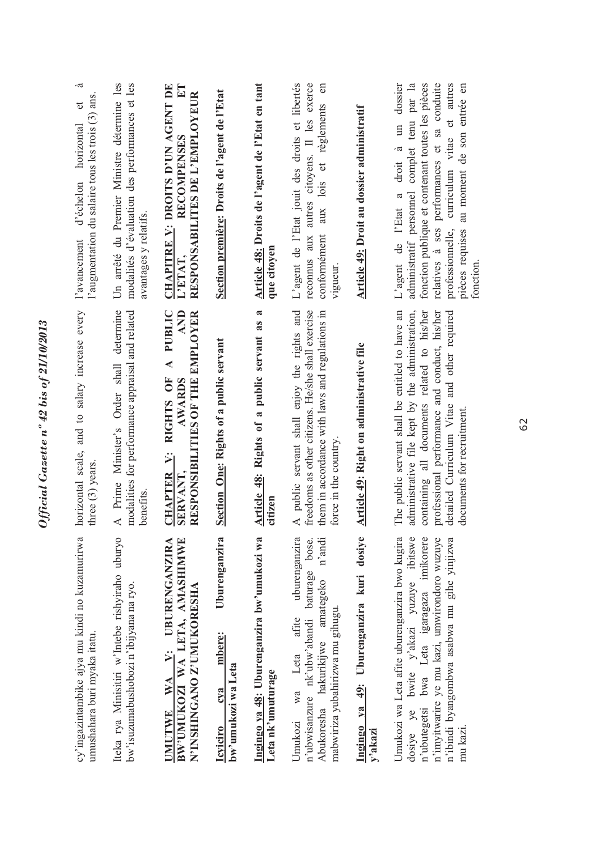| cy'ingazintambike ajya mu kindi no kuzamurirwa<br>umushahara buri myaka itatu.                                                                                                                                                                  | horizontal scale, and to salary increase every<br>three $(3)$ years.                                                                                                                                                                                                             | à<br>l'augmentation du salaire tous les trois (3) ans<br>$\sigma$<br>horizontal<br>d'échelon<br>l'avancement                                                                                                                                                                                                                 |
|-------------------------------------------------------------------------------------------------------------------------------------------------------------------------------------------------------------------------------------------------|----------------------------------------------------------------------------------------------------------------------------------------------------------------------------------------------------------------------------------------------------------------------------------|------------------------------------------------------------------------------------------------------------------------------------------------------------------------------------------------------------------------------------------------------------------------------------------------------------------------------|
| Iteka rya Minisitiri w'Intebe rishyiraho uburyo<br>bw'isuzumabushobozi n'ibijyana na ryo.                                                                                                                                                       | determine<br>modalities for performance appraisal and related<br>A Prime Minister's Order shall<br>benefits                                                                                                                                                                      | Un arrêté du Premier Ministre détermine les<br>modalités d'évaluation des performances et les<br>avantages y relatifs.                                                                                                                                                                                                       |
| UMUTWE WA V: UBURENGANZIRA<br>BW'UMUKOZI WA LETA, AMASHIMWE<br>N'INSHINGANO Z'UMUKORESHA                                                                                                                                                        | A PUBLIC<br><b>AND</b><br>RESPONSIBILITIES OF THE EMPLOYER<br>CHAPTER V: RIGHTS OF<br><b>AWARDS</b><br>SERVANT.                                                                                                                                                                  | CHAPITRE V: DROITS D'UN AGENT DE<br>RESPONSABILITES DE L'EMPLOYEUR<br><b>RECOMPENSES</b><br>L'ETAT,                                                                                                                                                                                                                          |
| Uburenganzira<br>mbere:<br>bw'umukozi wa Leta<br>cva<br><b>Icviciro</b>                                                                                                                                                                         | Section One: Rights of a public servant                                                                                                                                                                                                                                          | Section première: Droits de l'agent de l'Etat                                                                                                                                                                                                                                                                                |
| Ingingo ya 48: Uburenganzira bw'umukozi wa<br>Leta nk'umuturage                                                                                                                                                                                 | $\boldsymbol{\mathfrak{a}}$<br>Article 48: Rights of a public servant as<br>citizen                                                                                                                                                                                              | Article 48: Droits de l'agent de l'Etat en tant<br>que citoyen                                                                                                                                                                                                                                                               |
| uburenganzira<br>n'andi<br>n'ubwisanzure nk'ubw'abandi baturage bose.<br>Abukoresha hakurikijwe amategeko<br>mabwiriza yubahirizwa mu gihugu.<br>afite<br>Umukozi wa Leta                                                                       | A public servant shall enjoy the rights and<br>freedoms as other citizens. He/she shall exercise<br>them in accordance with laws and regulations in<br>force in the country                                                                                                      | L'agent de l'Etat jouit des droits et libertés<br>autres citoyens. Il les exerce<br>aux lois et règlements en<br>conformément<br>reconnus aux<br>vigueur                                                                                                                                                                     |
| Ingingo ya 49: Uburenganzira kuri dosiye<br>y'akazi                                                                                                                                                                                             | Article 49: Right on administrative file                                                                                                                                                                                                                                         | Article 49: Droit au dossier administratif                                                                                                                                                                                                                                                                                   |
| Umukozi wa Leta afite uburenganzira bwo kugira<br>n'ubutegetsi bwa Leta igaragaza imikorere<br>n'ibindi byangombwa asabwa mu gihe yinjizwa<br>dosiye ye bwite y'akazi yuzuye ibitswe<br>n'imyitwarire ye mu kazi, umwirondoro wuzuye<br>mu kazi | administrative file kept by the administration,<br>The public servant shall be entitled to have an<br>professional performance and conduct, his/her<br>containing all documents related to his/her<br>detailed Curriculum Vitae and other required<br>documents for recruitment. | dossier<br>administratif personnel complet tenu par la<br>relatives à ses performances et sa conduite<br>fonction publique et contenant toutes les pièces<br>et autres<br>pièces requises au moment de son entrée en<br>$\mathfrak{m}$<br>curriculum vitae<br>droit à<br>L'agent de l'Etat a<br>professionnelle,<br>fonction |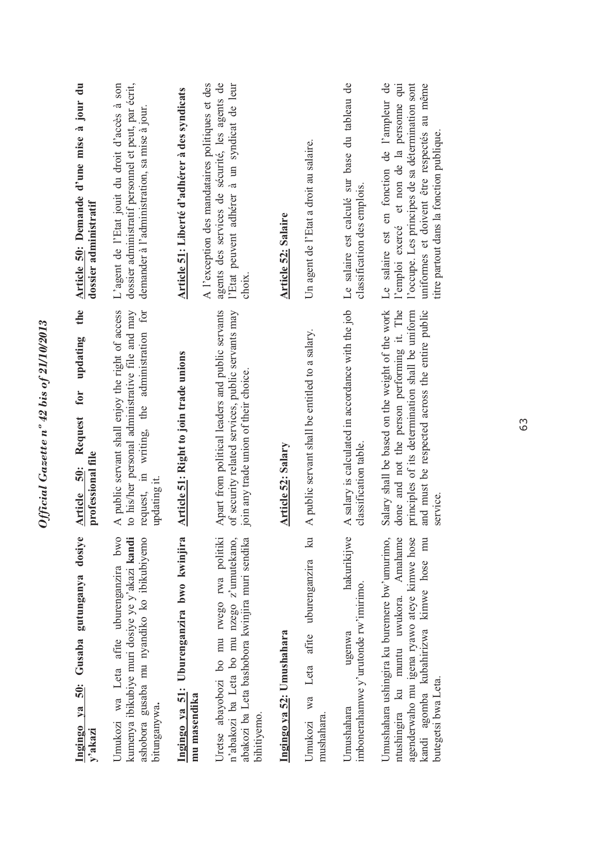| Article 50: Demande d'une mise à jour du<br>dossier administratif<br>the<br>updating | dossier administratif personnel et peut, par écrit,<br>L'agent de l'Etat jouit du droit d'accès à son<br>demander à l'administration, sa mise à jour.              | Article 51: Liberté d'adhérer à des syndicats             | A l'exception des mandataires politiques et des<br>agents des services de sécurité, les agents de<br>l'Etat peuvent adhérer à un syndicat de leur<br>choix. | <b>Article 52: Salaire</b> | Un agent de l'Etat a droit au salaire.                                     | Le salaire est calculé sur base du tableau de<br>classification des emplois. | l'occupe. Les principes de sa détermination sont<br>Le salaire est en fonction de l'ampleur de<br>l'emploi exercé et non de la personne qui<br>uniformes et doivent être respectés au même<br>titre partout dans la fonction publique. |
|--------------------------------------------------------------------------------------|--------------------------------------------------------------------------------------------------------------------------------------------------------------------|-----------------------------------------------------------|-------------------------------------------------------------------------------------------------------------------------------------------------------------|----------------------------|----------------------------------------------------------------------------|------------------------------------------------------------------------------|----------------------------------------------------------------------------------------------------------------------------------------------------------------------------------------------------------------------------------------|
| for<br>Request<br>professional file<br>50:<br>Article                                | A public servant shall enjoy the right of access<br>to his/her personal administrative file and may<br>request, in writing, the administration for<br>updating it. | Article 51: Right to join trade unions                    | Apart from political leaders and public servants<br>of security related services, public servants may<br>join any trade union of their choice.              | <b>Article 52: Salary</b>  | A public servant shall be entitled to a salary.                            | A salary is calculated in accordance with the job<br>classification table.   | Salary shall be based on the weight of the work<br>done and not the person performing it. The<br>principles of its determination shall be uniform<br>and must be respected across the entire public<br>service.                        |
| dosiye<br>Gusaba gutunganya<br>Ingingo ya 50:<br>y'akazi                             | kumenya ibikubiye muri dosiye ye y'akazi kandi<br>ashobora gusaba mu nyandiko ko ibikubiyemo<br>Umukozi wa Leta afite uburenganzira bwo<br>bitunganywa.            | Ingingo ya 51: Uburenganzira bwo kwinjira<br>mu masendika | Uretse abayobozi bo mu rwego rwa politiki<br>n'abakozi ba Leta bo mu nzego z'umutekano,<br>abakozi ba Leta bashobora kwinjira muri sendika<br>bihitiyemo.   | Ingingo ya 52: Umushahara  | $\mathbb{R}$<br>uburenganzira<br>afite<br>Leta<br>Umukozi wa<br>mushahara. | hakurikijwe<br>imbonerahamwe y'urutonde rw'imirimo.<br>ugenwa<br>Umushahara  | Umushahara ushingira ku buremere bw'umurimo,<br>Amahame<br>agenderwaho mu igena ryawo ateye kimwe hose<br>kandi agomba kubahirizwa kimwe hose mu<br>ntushingira ku muntu uwukora.<br>butegetsi bwa Leta.                               |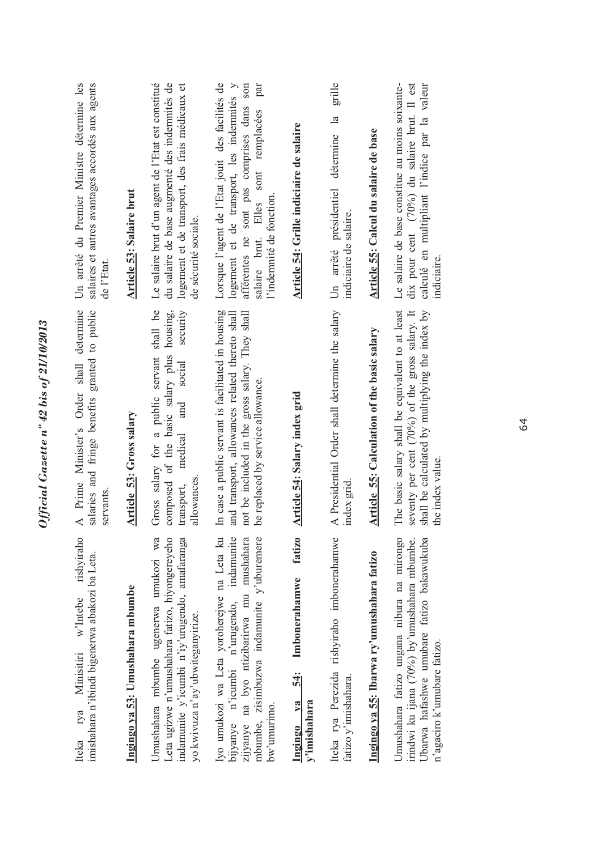| rishviraho<br>imishahara n'ibindi bigenerwa abakozi ba Leta.<br>w'Intebe<br>Minisitiri<br>rya<br>Iteka                                                                                             | A Prime Minister's Order shall determine<br>salaries and fringe benefits granted to public<br>servants.                                                                                       | Un arrêté du Premier Ministre détermine les<br>salaires et autres avantages accordés aux agents<br>de l'Etat.                                                                                                         |
|----------------------------------------------------------------------------------------------------------------------------------------------------------------------------------------------------|-----------------------------------------------------------------------------------------------------------------------------------------------------------------------------------------------|-----------------------------------------------------------------------------------------------------------------------------------------------------------------------------------------------------------------------|
| Ingingo ya 53: Umushahara mbumbe                                                                                                                                                                   | Article 53: Gross salary                                                                                                                                                                      | <b>Article 53: Salaire brut</b>                                                                                                                                                                                       |
| wa<br>Leta ugizwe n'umushahara fatizo, hiyongereyeho<br>indamunite y'icumbi n'iy'urugendo, amafaranga<br>Umushahara mbumbe ugenerwa umukozi<br>yo kwivuza n'ay'ubwiteganyirize.                    | shall be<br>housing,<br>security<br>composed of the basic salary plus<br>Gross salary for a public servant<br>social<br>and<br>medical<br>allowances<br>transport,                            | Le salaire brut d'un agent de l'Etat est constitué<br>du salaire de base augmenté des indemnités de<br>logement et de transport, des frais médicaux et<br>de sécurité sociale.                                        |
| Iyo umukozi wa Leta yoroherejwe na Leta ku<br>indamunite<br>mbumbe, zisimbuzwa indamunite y'uburemere<br>zijyanye na byo ntizibarirwa mu mushahara<br>bijyanye n'icumbi n'urugendo,<br>bw'umurimo. | In case a public servant is facilitated in housing<br>and transport, allowances related thereto shall<br>not be included in the gross salary. They shall<br>be replaced by service allowance. | Lorsque l'agent de l'Etat jouit des facilités de<br>afférentes ne sont pas comprises dans son<br>par<br>logement et de transport, les indemnités y<br>salaire brut. Elles sont remplacées<br>l'indemnité de fonction. |
| fatizo<br>Imbonerahamwe<br>54:<br>$y$ a<br>v'imishahara<br>Ingingo                                                                                                                                 | Article 54: Salary index grid                                                                                                                                                                 | Article 54: Grille indiciaire de salaire                                                                                                                                                                              |
| Iteka rya Perezida rishyiraho imbonerahamwe<br>fatizo y'imishahara.                                                                                                                                | A Presidential Order shall determine the salary<br>index grid                                                                                                                                 | grille<br>$\frac{a}{b}$<br>détermine<br>Un arrêté présidentiel<br>indiciaire de salaire.                                                                                                                              |
| Ingingo ya 55: Ibarwa ry'umushahara fatizo                                                                                                                                                         | Article 55: Calculation of the basic salary                                                                                                                                                   | Article 55: Calcul du salaire de base                                                                                                                                                                                 |
| Umushahara fatizo ungana nibura na mirongo<br>Ubarwa hafashwe umubare fatizo bakawukuba<br>irindwi ku ijana (70%) by'umushahara mbumbe.<br>n'agaciro k'umubare fatizo.                             | The basic salary shall be equivalent to at least<br>shall be calculated by multiplying the index by<br>seventy per cent (70%) of the gross salary. It<br>the index value.                     | Le salaire de base constitue au moins soixante-<br>dix pour cent (70%) du salaire brut. Il est<br>calculé en multipliant l'indice par la valeur<br>indiciaire.                                                        |
|                                                                                                                                                                                                    |                                                                                                                                                                                               |                                                                                                                                                                                                                       |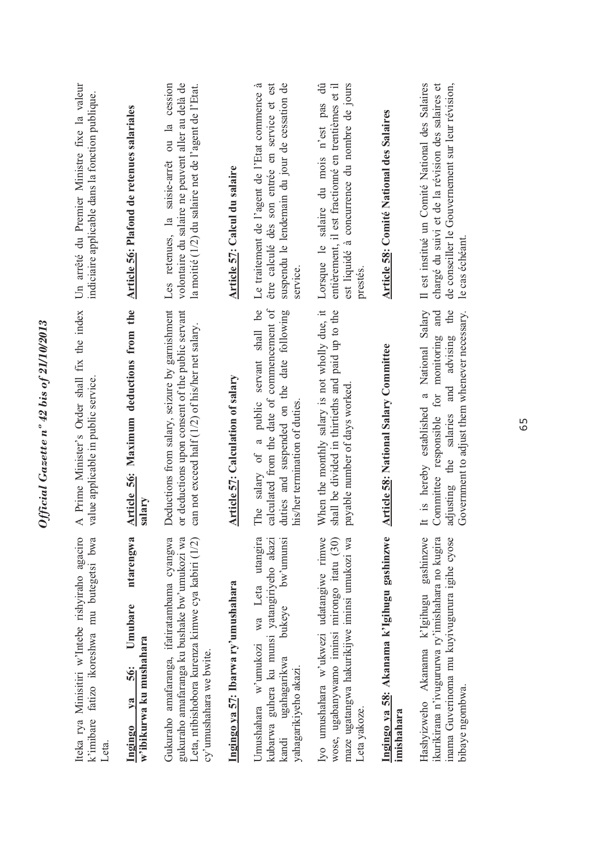| Iteka rya Minisitiri w'Intebe rishyiraho agaciro<br>k'imibare fatizo ikoreshwa mu butegetsi bwa<br>Leta.                                                                    | A Prime Minister's Order shall fix the index<br>value applicable in public service.                                                                                                                           | Un arrêté du Premier Ministre fixe la valeur<br>indiciaire applicable dans la fonction publique.                                                                            |
|-----------------------------------------------------------------------------------------------------------------------------------------------------------------------------|---------------------------------------------------------------------------------------------------------------------------------------------------------------------------------------------------------------|-----------------------------------------------------------------------------------------------------------------------------------------------------------------------------|
| ntarengwa<br>Umubare<br>w'ibikurwa ku mushahara<br>56:<br>$1$<br>Ingingo                                                                                                    | Article 56: Maximum deductions from the<br>salary                                                                                                                                                             | Article 56: Plafond de retenues salariales                                                                                                                                  |
| Gukuraho amafaranga, ifatiratambama cyangwa<br>gukuraho amafaranga ku bushake bw'umukozi wa<br>Leta, ntibishobora kurenza kimwe cya kabiri (1/2)<br>cy'umushahara we bwite. | Deductions from salary, seizure by garnishment<br>or deductions upon consent of the public servant<br>can not exceed half (1/2) of his/her net salary.                                                        | Les retenues, la saisie-arrêt ou la cession<br>volontaire du salaire ne peuvent aller au delà de<br>la moitié (1/2) du salaire net de l'agent de l'Etat.                    |
| Ingingo ya 57: Ibarwa ry'umushahara                                                                                                                                         | <b>Article 57: Calculation of salary</b>                                                                                                                                                                      | Article 57: Calcul du salaire                                                                                                                                               |
| bw'umunsi<br>wa Leta utangira<br>kubarwa guhera ku munsi yatangiriyeho akazi<br>bukeye<br>Umushahara w'umukozi<br>ugahagarikwa<br>yahagarikiyeho akazi.<br>kandi            | calculated from the date of commencement of<br>The salary of a public servant shall be<br>duties and suspended on the date following<br>his/her termination of duties.                                        | suspendu le lendemain du jour de cessation de<br>Le traitement de l'agent de l'Etat commence à<br>être calculé dès son entrée en service et est<br>service.                 |
| Iyo umushahara w'ukwezi udatangiwe rimwe<br>wose, ugabanywamo iminsi mirongo itatu (30)<br>maze ugatangwa hakurikijwe iminsi umukozi wa<br>Leta yakoze.                     | When the monthly salary is not wholly due, it<br>shall be divided in thirtieths and paid up to the<br>payable number of days worked.                                                                          | est liquidé à concurrence du nombre de jours<br>$\ddot{\theta}$<br>entièrement, il est fractionné en trentièmes et il<br>Lorsque le salaire du mois n'est pas<br>prestés    |
| Ingingo ya 58: Akanama k'Igihugu gashinzwe<br>imishahara                                                                                                                    | <b>Article 58: National Salary Committee</b>                                                                                                                                                                  | <b>Article 58: Comité National des Salaires</b>                                                                                                                             |
| gashinzwe<br>inama Guverinoma mu kuyivugurura igihe cyose<br>ikurikirana n'ivugururwa ry'imishahara no kugira<br>Hashyizweho Akanama k'Igihugu<br>bibaye ngombwa.           | National Salary<br>Government to adjust them whenever necessary.<br>the<br>and<br>advising<br>monitoring<br>and<br>It is hereby established a<br>for<br>salaries<br>Committee responsible<br>the<br>adjusting | Il est institué un Comité National des Salaires<br>de conseiller le Gouvernement sur leur révision,<br>chargé du suivi et de la révision des salaires et<br>le cas échéant. |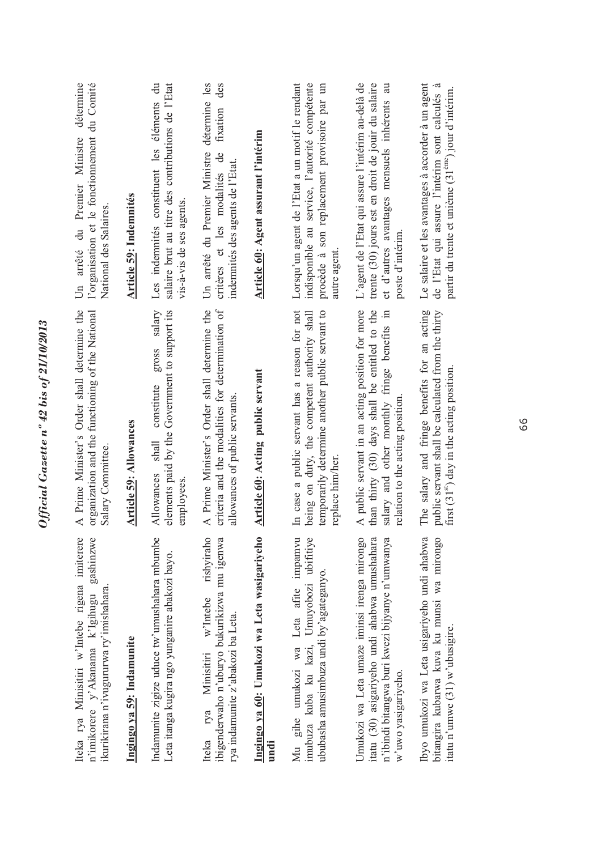| Iteka rya Minisitiri w'Intebe rigena imiterere<br>gashinzwe<br>ikurikirana n'ivugururwa ry'imishahara.<br>n'imikorere y'Akanama k'Igihugu                              | A Prime Minister's Order shall determine the<br>organization and the functioning of the National<br>Salary Committee.                                                               | détermine<br>l'organisation et le fonctionnement du Comité<br>Un arrêté du Premier Ministre<br>National des Salaires.                                                      |
|------------------------------------------------------------------------------------------------------------------------------------------------------------------------|-------------------------------------------------------------------------------------------------------------------------------------------------------------------------------------|----------------------------------------------------------------------------------------------------------------------------------------------------------------------------|
| Ingingo ya 59: Indamunite                                                                                                                                              | <b>Article 59: Allowances</b>                                                                                                                                                       | Article 59: Indemnités                                                                                                                                                     |
| Indamunite zigize uduce tw'umushahara mbumbe<br>Leta itanga kugira ngo yunganire abakozi bayo.                                                                         | salary<br>elements paid by the Government to support its<br>gross<br>constitute<br>shall<br>Allowances<br>employees.                                                                | Les indemnités constituent les éléments du<br>salaire brut au titre des contributions de l'Etat<br>vis-à-vis de ses agents                                                 |
| rishviraho<br>ibigenderwaho n'uburyo bukurikizwa mu igenwa<br>$w'$ Intebe<br>rya indamunite z'abakozi ba Leta.<br>Minisitiri<br>rya<br>Iteka                           | criteria and the modalities for determination of<br>A Prime Minister's Order shall determine the<br>allowances of public servants                                                   | détermine les<br>des<br>fixation<br>Un arrêté du Premier Ministre<br>critères et les modalités de<br>indemnités des agents de l'Etat.                                      |
| Ingingo ya 60: Umukozi wa Leta wasigariyeho<br>undi                                                                                                                    | Article 60: Acting public servant                                                                                                                                                   | Article 60: Agent assurant l'intérim                                                                                                                                       |
| Mu gihe umukozi wa Leta afite impamvu<br>imubuza kuba ku kazi, Umuyobozi ubifitiye<br>ububasha amusimbuza undi by'agateganyo.                                          | In case a public servant has a reason for not<br>being on duty, the competent authority shall<br>temporarily determine another public servant to<br>replace him/her                 | Lorsqu'un agent de l'Etat a un motif le rendant<br>indisponible au service, l'autorité compétente<br>procède à son replacement provisoire par un<br>autre agent            |
| Umukozi wa Leta umaze iminsi irenga mirongo<br>n'ibindi bitangwa buri kwezi bijyanye n'umwanya<br>itatu (30) asigariyeho undi ahabwa umushahara<br>w'uwo yasigariyeho. | A public servant in an acting position for more<br>than thirty (30) days shall be entitled to the<br>salary and other monthly fringe benefits in<br>relation to the acting position | L'agent de l'Etat qui assure l'intérim au-delà de<br>trente (30) jours est en droit de jouir du salaire<br>et d'autres avantages mensuels inhérents au<br>poste d'intérim. |
| Ibyo umukozi wa Leta usigariyeho undi ahabwa<br>bitangira kubarwa kuva ku munsi wa mirongo<br>itatu n'umwe (31) w'ubusigire.                                           | The salary and fringe benefits for an acting<br>public servant shall be calculated from the thirty<br>first (31 <sup>st</sup> ) day in the acting position.                         | Le salaire et les avantages à accorder à un agent<br>de l'Etat qui assure l'intérim sont calculés à<br>partir du trente et unième (31 <sup>ème</sup> ) jour d'intérim.     |
|                                                                                                                                                                        |                                                                                                                                                                                     |                                                                                                                                                                            |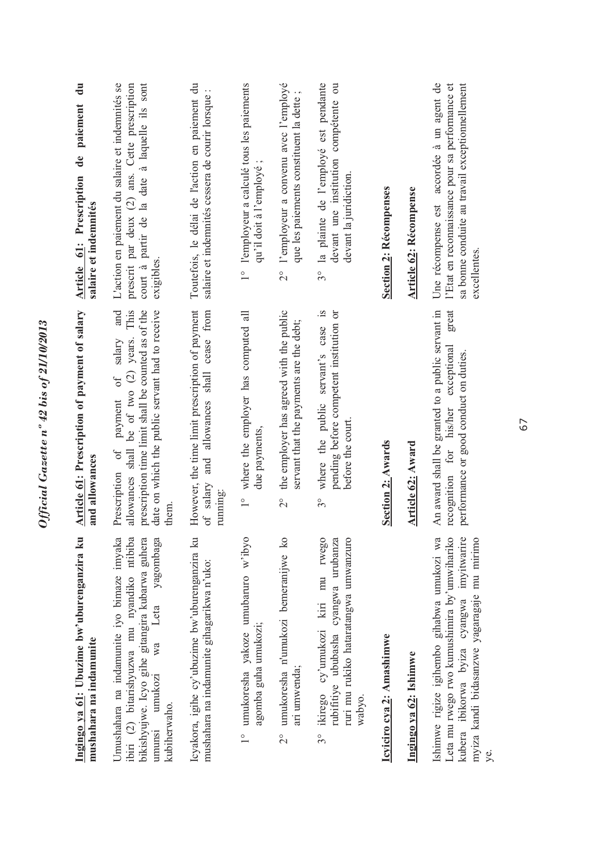| Ingingo ya 61: Ubuzime bw'uburenganzira ku<br>mushahara na indamunite                                                                                                                                        | <b>Article 61: Prescription of payment of salary</b><br>and allowances                                                                                                                                                       | Article 61: Prescription de paiement du<br>salaire et indemnités                                                                                                 |
|--------------------------------------------------------------------------------------------------------------------------------------------------------------------------------------------------------------|------------------------------------------------------------------------------------------------------------------------------------------------------------------------------------------------------------------------------|------------------------------------------------------------------------------------------------------------------------------------------------------------------|
| ibiri (2) bitarishyuzwa mu nyandiko ntibiba<br>Umushahara na indamunite iyo bimaze imyaka<br>bikishyujwe. Icyo gihe gitangira kubarwa guhera<br>yagombaga<br>Leta<br>wa<br>umukozi<br>kubiherwaho.<br>umunsi | allowances shall be of two (2) years. This<br>prescription time limit shall be counted as of the<br>and<br>date on which the public servant had to receive<br>salary<br>$\sigma f$<br>payment<br>of<br>Prescription<br>them. | L'action en paiement du salaire et indemnités se<br>court à partir de la date à laquelle ils sont<br>prescrit par deux (2) ans. Cette prescription<br>exigibles. |
| Icyakora, igihe cy'ubuzime bw'uburenganzira ku<br>mushahara na indamunite gihagarikwa n'uko:                                                                                                                 | However, the time limit prescription of payment<br>and allowances shall cease from<br>of salary<br>running:                                                                                                                  | Toutefois, le délai de l'action en paiement du<br>salaire et indemnités cessera de courir lorsque :                                                              |
| 1° umukoresha yakoze umubaruro w'ibyo<br>agomba guha umukozi;                                                                                                                                                | where the employer has computed all<br>due payments,<br>$\frac{1}{1}$                                                                                                                                                        | 1° l'employeur a calculé tous les paiements<br>qu'il doit à l'employé;                                                                                           |
| umukoresha n'umukozi bemeranijwe ko<br>ari umwenda;<br>$\frac{1}{2}$                                                                                                                                         | 2° the employer has agreed with the public<br>servant that the payments are the debt;                                                                                                                                        | 2° l'employeur a convenu avec l'employé<br>que les paiements constituent la dette                                                                                |
| rwego<br>rubifitiye ububasha cyangwa urubanza<br>ruri mu rukiko hataratangwa umwanzuro<br>ikirego cy'umukozi kiri mu<br>wabyo.<br>30                                                                         | $\tilde{s}$ .<br>pending before competent institution or<br>where the public servant's case<br>before the court.<br>$3^{\circ}$                                                                                              | 3° la plainte de l'employé est pendante<br>devant une institution compétente ou<br>devant la juridiction.                                                        |
| Icyiciro cya 2: Amashimwe                                                                                                                                                                                    | Section 2: Awards                                                                                                                                                                                                            | <b>Section 2: Récompenses</b>                                                                                                                                    |
| Ingingo ya 62: Ishimwe                                                                                                                                                                                       | <b>Article 62: Award</b>                                                                                                                                                                                                     | <b>Article 62: Récompense</b>                                                                                                                                    |
| kubera ibikorwa byiza cyangwa imyitwarire<br>Leta mu rwego rwo kumushimira by'umwihariko<br>Ishimwe rigize igihembo gihabwa umukozi wa<br>myiza kandi bidasanzwe yagaragaje mu mirimo<br>уe.                 | An award shall be granted to a public servant in<br>great<br>exceptional<br>performance or good conduct on duties.<br>recognition for his/her                                                                                | Une récompense est accordée à un agent de<br>sa bonne conduite au travail exceptionnellement<br>l'Etat en reconnaissance pour sa performance et<br>excellentes.  |

Official Gazette nº 42 bis of 21/10/2013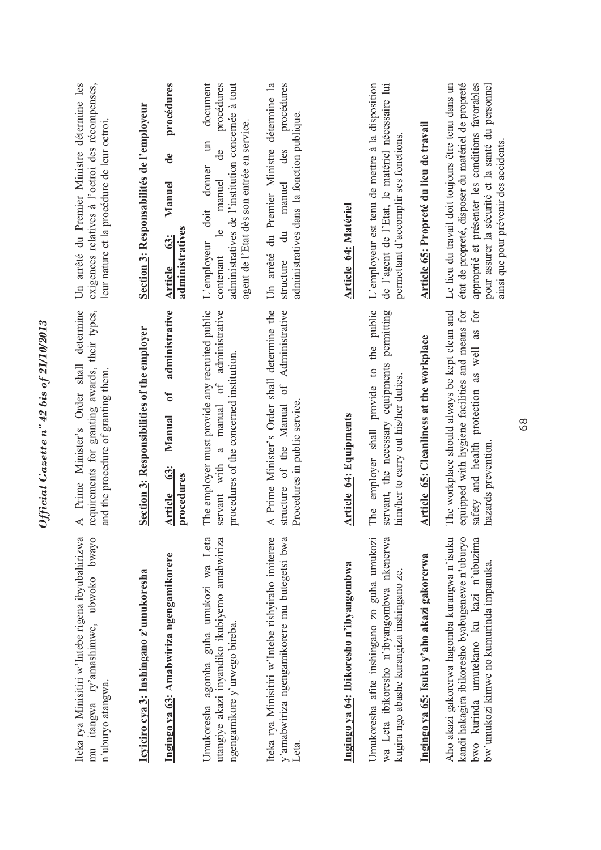| exigences relatives à l'octroi des récompenses,<br>Un arrêté du Premier Ministre détermine les<br>leur nature et la procédure de leur octroi.<br>determine<br>requirements for granting awards, their types,<br>Prime Minister's Order shall<br>and the procedure of granting them<br>$\prec$<br>Iteka rya Minisitiri w'Intebe rigena ibyubahirizwa<br>mu itangwa ry'amashimwe, ubwoko bwayo<br>n'uburyo atangwa. | Section 3: Responsabilités de l'employeur<br>Section 3: Responsibilities of the employer<br>Icyiciro cya 3: Inshingano z'umukoresha | procédures<br>$\ddot{\mathbf{d}}$<br>Manuel<br>administratives<br>63:<br><b>Article</b><br>administrative<br>$\mathfrak{b}$<br>Manual<br>63:<br>procedures<br>Article<br>Ingingo ya 63: Amabwiriza ngengamikorere | document<br>procédures<br>administratives de l'institution concernée à tout<br>agent de l'Etat dès son entrée en service.<br>$\Xi$<br>de<br>donner<br>manuel<br>doit<br>$\mathbf{e}$<br>L'employeur<br>contenant<br>The employer must provide any recruited public<br>manual of administrative<br>procedures of the concerned institution.<br>$\mathfrak{g}$<br>servant with<br>Umukoresha agomba guha umukozi wa Leta<br>utangiye akazi inyandiko ikubiyemo amabwiriza<br>ngengamikore y'urwego bireba. | détermine la<br>procédures<br>administratives dans la fonction publique.<br>du Premier Ministre<br>manuel des<br>$\ddot{a}$<br>Un arrêté<br>structure<br>A Prime Minister's Order shall determine the<br>Administrative<br>of<br>Procedures in public service.<br>structure of the Manual<br>Iteka rya Minisitiri w'Intebe rishyiraho imiterere<br>y'amabwiriza ngengamikorere mu butegetsi bwa | <b>Article 64: Matériel</b><br><b>Article 64: Equipments</b><br>Ingingo ya 64: Ibikoresho n'ibyangombwa | L'employeur est tenu de mettre à la disposition<br>de l'agent de l'Etat, le matériel nécessaire lui<br>permettant d'accomplir ses fonctions.<br>employer shall provide to the public<br>servant, the necessary equipments permitting<br>him/her to carry out his/her duties.<br>The<br>Umukoresha afite inshingano zo guha umukozi<br>wa Leta ibikoresho n'ibyangombwa nkenerwa<br>kugira ngo abashe kurangiza inshingano ze. | Article 65: Propreté du lieu de travail<br>Article 65: Cleanliness at the workplace<br>Ingingo ya 65: Isuku y'aho akazi gakorerwa | état de propreté, disposer du matériel de propreté<br>approprié et présenter les conditions favorables<br>Le lieu du travail doit toujours être tenu dans un<br>pour assurer la sécurité et la santé du personnel<br>ainsi que pour prévenir des accidents<br>The workplace should always be kept clean and<br>equipped with hygiene facilities and means for<br>safety and health protection as well as for<br>hazards prevention<br>kandi hakagira ibikoresho byabugenewe n'uburyo<br>Aho akazi gakorerwa hagomba kurangwa n'isuku<br>bwo kurinda umutekano ku kazi n'ubuzima<br>bw'umukozi kimwe no kumurinda impanuka. |  |  |  |
|-------------------------------------------------------------------------------------------------------------------------------------------------------------------------------------------------------------------------------------------------------------------------------------------------------------------------------------------------------------------------------------------------------------------|-------------------------------------------------------------------------------------------------------------------------------------|-------------------------------------------------------------------------------------------------------------------------------------------------------------------------------------------------------------------|----------------------------------------------------------------------------------------------------------------------------------------------------------------------------------------------------------------------------------------------------------------------------------------------------------------------------------------------------------------------------------------------------------------------------------------------------------------------------------------------------------|-------------------------------------------------------------------------------------------------------------------------------------------------------------------------------------------------------------------------------------------------------------------------------------------------------------------------------------------------------------------------------------------------|---------------------------------------------------------------------------------------------------------|-------------------------------------------------------------------------------------------------------------------------------------------------------------------------------------------------------------------------------------------------------------------------------------------------------------------------------------------------------------------------------------------------------------------------------|-----------------------------------------------------------------------------------------------------------------------------------|----------------------------------------------------------------------------------------------------------------------------------------------------------------------------------------------------------------------------------------------------------------------------------------------------------------------------------------------------------------------------------------------------------------------------------------------------------------------------------------------------------------------------------------------------------------------------------------------------------------------------|--|--|--|
|-------------------------------------------------------------------------------------------------------------------------------------------------------------------------------------------------------------------------------------------------------------------------------------------------------------------------------------------------------------------------------------------------------------------|-------------------------------------------------------------------------------------------------------------------------------------|-------------------------------------------------------------------------------------------------------------------------------------------------------------------------------------------------------------------|----------------------------------------------------------------------------------------------------------------------------------------------------------------------------------------------------------------------------------------------------------------------------------------------------------------------------------------------------------------------------------------------------------------------------------------------------------------------------------------------------------|-------------------------------------------------------------------------------------------------------------------------------------------------------------------------------------------------------------------------------------------------------------------------------------------------------------------------------------------------------------------------------------------------|---------------------------------------------------------------------------------------------------------|-------------------------------------------------------------------------------------------------------------------------------------------------------------------------------------------------------------------------------------------------------------------------------------------------------------------------------------------------------------------------------------------------------------------------------|-----------------------------------------------------------------------------------------------------------------------------------|----------------------------------------------------------------------------------------------------------------------------------------------------------------------------------------------------------------------------------------------------------------------------------------------------------------------------------------------------------------------------------------------------------------------------------------------------------------------------------------------------------------------------------------------------------------------------------------------------------------------------|--|--|--|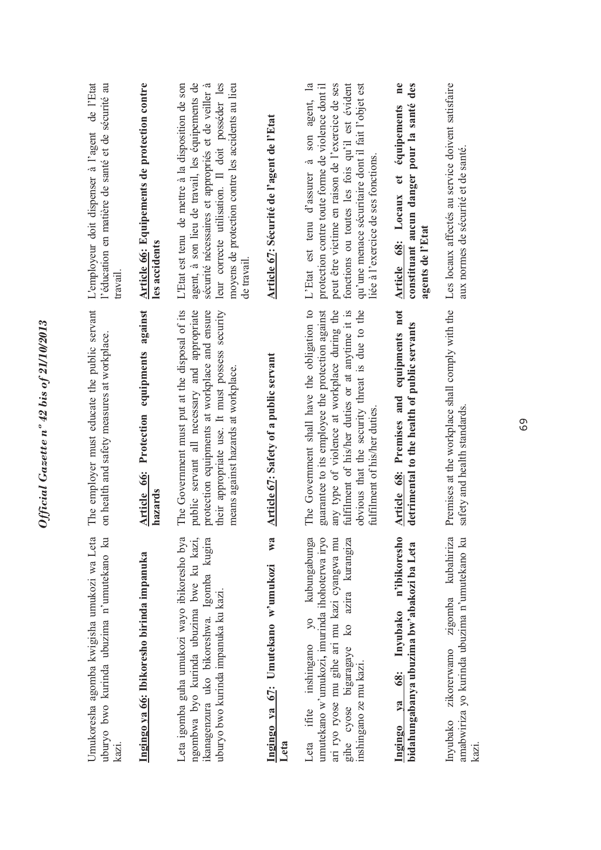| Umukoresha agomba kwigisha umukozi wa Leta<br>uburyo bwo kurinda ubuzima n'umutekano ku<br>kazi.                                                                                                                      | The employer must educate the public servant<br>on health and safety measures at workplace.                                                                                                                                                                                           | de l'Etat<br>l'éducation en matière de santé et de sécurité au<br>L'employeur doit dispenser à l'agent<br>travail                                                                                                                                                                                 |
|-----------------------------------------------------------------------------------------------------------------------------------------------------------------------------------------------------------------------|---------------------------------------------------------------------------------------------------------------------------------------------------------------------------------------------------------------------------------------------------------------------------------------|---------------------------------------------------------------------------------------------------------------------------------------------------------------------------------------------------------------------------------------------------------------------------------------------------|
| Ingingo ya 66: Ibikoresho birinda impanuka                                                                                                                                                                            | Article 66: Protection equipments against<br>hazards                                                                                                                                                                                                                                  | Article 66: Equipements de protection contre<br>les accidents                                                                                                                                                                                                                                     |
| Leta igomba guha umukozi wayo ibikoresho bya<br>ngombwa byo kurinda ubuzima bwe ku kazi,<br>ikanagenzura uko bikoreshwa. Igomba kugira<br>uburyo bwo kurinda impanuka ku kazi.                                        | The Government must put at the disposal of its<br>their appropriate use. It must possess security<br>public servant all necessary and appropriate<br>protection equipments at workplace and ensure<br>means against hazards at workplace.                                             | L'Etat est tenu de mettre à la disposition de son<br>leur correcte utilisation. Il doit posséder les<br>agent, à son lieu de travail, les équipements de<br>moyens de protection contre les accidents au lieu<br>sécurité nécessaires et appropriés et de veiller à<br>de travail.                |
| W3<br>Ingingo ya 67: Umutekano w'umukozi<br>Leta                                                                                                                                                                      | Article 67: Safety of a public servant                                                                                                                                                                                                                                                | Article 67: Sécurité de l'agent de l'Etat                                                                                                                                                                                                                                                         |
| umutekano w'umukozi, imurinda ihohoterwa iryo<br>kubungabunga<br>ari ryo ryose mu gihe ari mu kazi cyangwa mu<br>gihe cyose bigaragaye ko azira kurangiza<br>$y_0$<br>Leta ifite inshingano<br>inshingano ze mu kazi. | The Government shall have the obligation to<br>guarantee to its employee the protection against<br>any type of violence at workplace during the<br>fulfilment of his/her duties or at anytime it is<br>obvious that the security threat is due to the<br>fulfilment of his/her duties | L'Etat est tenu d'assurer à son agent, la<br>fonctions ou toutes les fois qu'il est évident<br>peut être victime en raison de l'exercice de ses<br>qu'une menace sécuritaire dont il fait l'objet est<br>protection contre toute forme de violence dont il<br>liée à l'exercice de ses fonctions. |
| n'ibikoresho<br>bidahungabanya ubuzima bw'abakozi ba Leta<br>Invubako<br><b>68:</b><br>va<br>Ingingo                                                                                                                  | Article 68: Premises and equipments not<br>detrimental to the health of public servants                                                                                                                                                                                               | $n$ e<br>des<br>constituant aucun danger pour la santé<br>équipements<br>Article 68: Locaux et<br>agents de l'Etat                                                                                                                                                                                |
| Inyubako zikorerwamo zigomba kubahiriza<br>amabwiriza yo kurinda ubuzima n'umutekano ku<br>kazi.                                                                                                                      | Premises at the workplace shall comply with the<br>safety and health standards.                                                                                                                                                                                                       | Les locaux affectés au service doivent satisfaire<br>aux normes de sécurité et de santé.                                                                                                                                                                                                          |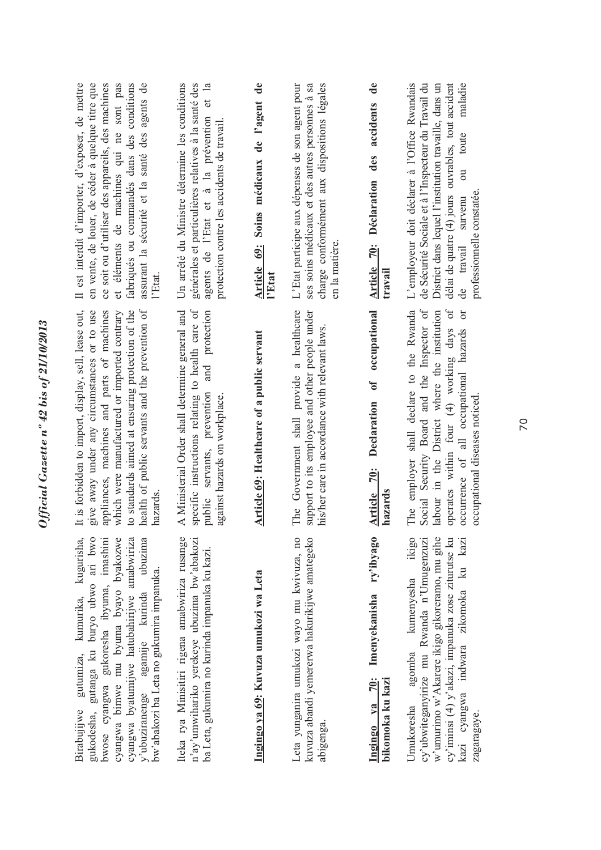| ce soit ou d'utiliser des appareils, des machines<br>fabriqués ou commandés dans des conditions<br>assurant la sécurité et la santé des agents de<br>sont pas<br>et éléments de machines qui ne<br>l'Etat.<br>appliances, machines and parts of machines<br>to standards aimed at ensuring protection of the<br>health of public servants and the prevention of<br>which were manufactured or imported contrary<br>hazards | Un arrêté du Ministre détermine les conditions<br>générales et particulières relatives à la santé des<br>agents de l'Etat et à la prévention et la<br>protection contre les accidents de travail.<br>A Ministerial Order shall determine general and<br>specific instructions relating to health care of<br>and protection<br>public servants, prevention<br>against hazards on workplace. | Article 69: Soins médicaux de l'agent de<br>l'Etat<br>Article 69: Healthcare of a public servant | L'Etat participe aux dépenses de son agent pour<br>charge conformément aux dispositions légales<br>ses soins médicaux et des autres personnes à sa<br>en la matière.<br>The Government shall provide a healthcare<br>support to its employee and other people under<br>his/her care in accordance with relevant laws. | $\mathbf{d}\mathbf{e}$<br>accidents<br>des<br>Déclaration<br>Article 70:<br>travail<br>occupational<br>$\mathbf{f}$<br>Declaration<br>$\frac{70}{3}$<br>Article<br>hazards | L'employeur doit déclarer à l'Office Rwandais<br>de Sécurité Sociale et à l'Inspecteur du Travail du<br>District dans lequel l'institution travaille, dans un<br>maladie<br>délai de quatre $(4)$ jours ouvrables, tout accident<br>toute<br>đ<br>professionnelle constatée.<br>survenu<br>travail<br>The employer shall declare to the Rwanda<br>Social Security Board and the Inspector of<br>$\sigma$ f<br>labour in the District where the institution<br>ör<br>operates within four (4) working days<br>occurrence of all occupational hazards<br>occupational diseases noticed |
|----------------------------------------------------------------------------------------------------------------------------------------------------------------------------------------------------------------------------------------------------------------------------------------------------------------------------------------------------------------------------------------------------------------------------|--------------------------------------------------------------------------------------------------------------------------------------------------------------------------------------------------------------------------------------------------------------------------------------------------------------------------------------------------------------------------------------------|--------------------------------------------------------------------------------------------------|-----------------------------------------------------------------------------------------------------------------------------------------------------------------------------------------------------------------------------------------------------------------------------------------------------------------------|----------------------------------------------------------------------------------------------------------------------------------------------------------------------------|--------------------------------------------------------------------------------------------------------------------------------------------------------------------------------------------------------------------------------------------------------------------------------------------------------------------------------------------------------------------------------------------------------------------------------------------------------------------------------------------------------------------------------------------------------------------------------------|
| give away under any circumstances or to use<br>gukodesha, gutanga ku buryo ubwo ari bwo<br>bwose cyangwa gukoresha ibyuma, imashini<br>cyangwa bimwe mu byuma byayo byakozwe<br>cyangwa byatumijwe hatubahirijwe amabwiriza<br>y'ubuziranenge agamije kurinda ubuzima<br>bw'abakozi ba Leta no gukumira impanuka.                                                                                                          | Iteka rya Minisitiri rigena amabwiriza rusange<br>n'ay'umwihariko yerekeye ubuzima bw'abakozi<br>ba Leta, gukumira no kurinda impanuka ku kazi.                                                                                                                                                                                                                                            | Ingingo ya 69: Kuvuza umukozi wa Leta                                                            | Leta yunganira umukozi wayo mu kwivuza, no<br>kuvuza abandi yemererwa hakurikijwe amategeko<br>abigenga.                                                                                                                                                                                                              | ry'ibyago<br>Imenyekanisha<br><b>70:</b><br>bikomoka ku kazi<br>$Ya$<br>Ingingo                                                                                            | ikigo<br>cy'ubwiteganyirize mu Rwanda n'Umugenzuzi<br>w'umurimo w'Akarere ikigo gikoreramo, mu gihe<br>cy'iminsi (4) y'akazi, impanuka zose ziturutse ku<br>kazi<br>ku<br>kumenyesha<br>kazi cyangwa indwara zikomoka<br>agomba<br><b>Jmukoresha</b><br>zagaragaye.                                                                                                                                                                                                                                                                                                                  |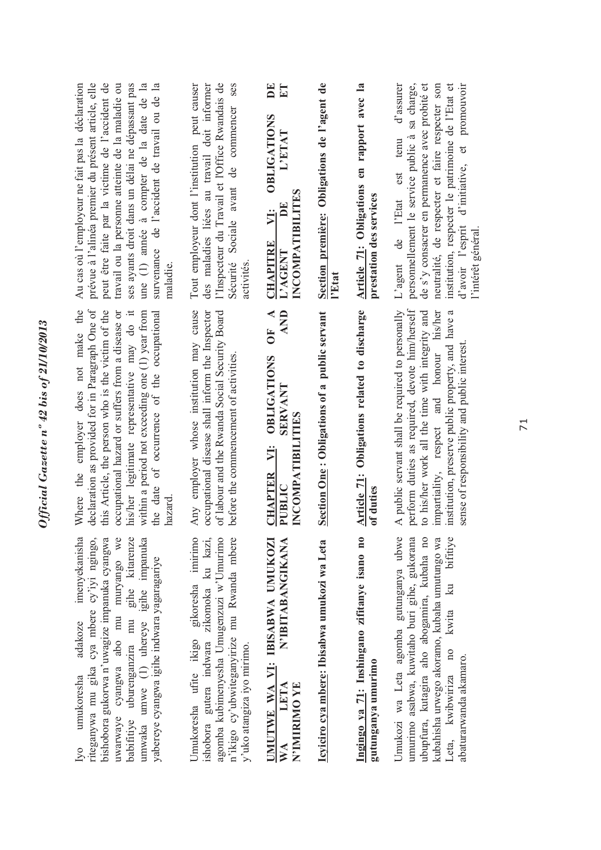| peut être faite par la victime de l'accident de<br>prévue à l'alinéa premier du présent article, elle<br>ses ayants droit dans un délai ne dépassant pas<br>une (1) année à compter de la date de la<br>survenance de l'accident de travail ou de la<br>Au cas où l'employeur ne fait pas la déclaration<br>travail ou la personne atteinte de la maladie ou<br>maladie. | ses<br>l'Inspecteur du Travail et l'Office Rwandais de<br>Tout employeur dont l'institution peut causer<br>des maladies liées au travail doit informer<br>Sécurité Sociale avant de commencer<br>activités    | $\mathbf{E}$<br>$\mathbf{E}$<br><b>OBLIGATIONS</b><br>L'ETAT<br>$\boldsymbol{\omega}$<br>INCOMPATIBILITE<br>Ě<br>ÿ.<br><b>CHAPITRE</b><br>L'AGENT | Section première: Obligations de l'agent de<br>l'Etat | Article 71: Obligations en rapport avec la<br>prestation des services | personnellement le service public à sa charge,<br>de s'y consacrer en permanence avec probité et<br>institution, respecter le patrimoine de l'Etat et<br>d'initiative, et promouvoir<br>d'assurer<br>neutralité, de respecter et faire respecter son<br>est tenu<br>L'agent de l'Etat<br>d'avoir l'esprit<br>l'intérêt général |
|--------------------------------------------------------------------------------------------------------------------------------------------------------------------------------------------------------------------------------------------------------------------------------------------------------------------------------------------------------------------------|---------------------------------------------------------------------------------------------------------------------------------------------------------------------------------------------------------------|---------------------------------------------------------------------------------------------------------------------------------------------------|-------------------------------------------------------|-----------------------------------------------------------------------|--------------------------------------------------------------------------------------------------------------------------------------------------------------------------------------------------------------------------------------------------------------------------------------------------------------------------------|
| declaration as provided for in Paragraph One of<br>Where the employer does not make the<br>this Article, the person who is the victim of the<br>within a period not exceeding one (1) year from<br>his/her legitimate representative may do it<br>occupational hazard or suffers from a disease or<br>of occurrence of the occupational<br>the date<br>hazard            | Any employer whose institution may cause<br>occupational disease shall inform the Inspector<br>of labour and the Rwanda Social Security Board<br>before the commencement of activities                        | <b>AND</b><br>OF $\Lambda$<br><b>OBLIGATIONS</b><br><b>SERVANT</b><br>INCOMPATIBILITIES<br>Ÿ.<br><b>CHAPTER</b><br>PUBLIC                         | Section One: Obligations of a public servant          | Article 71: Obligations related to discharge<br>of duties             | perform duties as required, devote him/herself<br>A public servant shall be required to personally<br>to his/her work all the time with integrity and<br>impartiality, respect and honour his/her<br>institution, preserve public property, and have a<br>sense of responsibility and public interest                          |
| adakoze imenyekanisha<br>riteganywa mu gika cya mbere cy'iyi ngingo,<br>uwarwaye cyangwa abo mu muryango we<br>babifitiye uburenganzira mu gihe kitarenze<br>umwaka umwe (1) uhereye igihe impanuka<br>bishobora gukorwa n'uwagize impanuka cyangwa<br>yabereye cyangwa igihe indwara yagaragariye<br>umukoresha<br>Iv0                                                  | Umukoresha ufite ikigo gikoresha imirimo<br>ishobora gutera indwara zikomoka ku kazi,<br>agomba kubimenyesha Umugenzuzi w'Umurimo<br>n'ikigo cy'ubwiteganyirize mu Rwanda mbere<br>y'uko atangiza iyo mirimo. | N'IBITABANGIKANA<br>UMUTWE WA VI: IBISABWA UMUKOZI<br>LETA<br><b>N'IMIRIMO YE</b><br>$\mathbb{X}^{\mathsf{A}}$                                    | Icyiciro cya mbere: Ibisabwa umukozi wa Leta          | Ingingo ya 71: Inshingano zifitanye isano no<br>gutunganya umurimo    | Umukozi wa Leta agomba gutunganya ubwe<br>umurimo asabwa, kuwitaho buri gihe, gukorana<br>ubupfura, kutagira aho abogamira, kubaha no<br>kubahisha urwego akoramo, kubaha umutungo wa<br>Leta, kwibwiriza no kwita ku bifitiye<br>abaturarwanda akamaro.                                                                       |

*Official Gazette nº 42 bis of 21/10/2013* 

Official Gazette nº 42 bis of 21/10/2013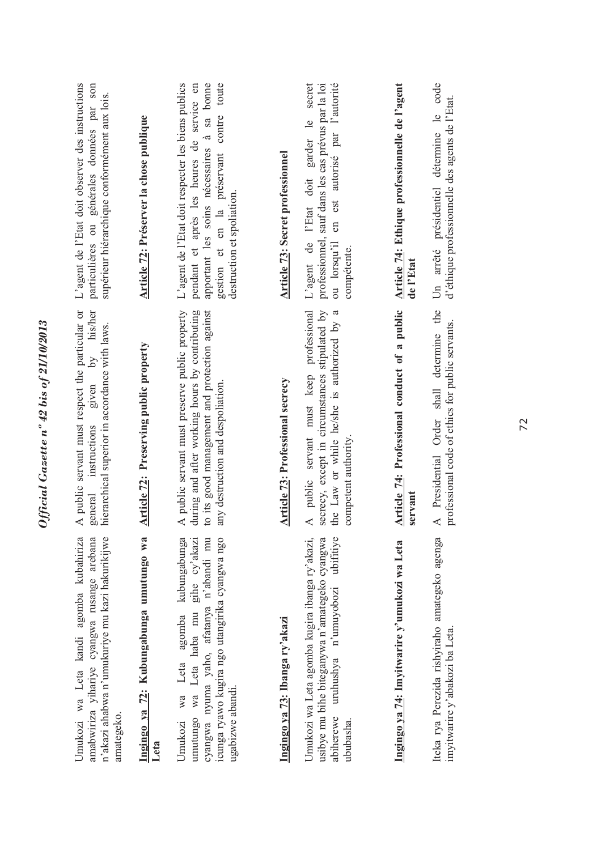| L'agent de l'Etat doit observer des instructions<br>particulières ou générales données par son<br>supérieur hiérarchique conformément aux lois.<br>by his/her<br>A public servant must respect the particular or<br>hierarchical superior in accordance with laws.<br>given<br>instructions<br>general | Article 72: Préserver la chose publique<br><b>Article 72: Preserving public property</b> | apportant les soins nécessaires à sa bonne<br>toute<br>L'agent de l'Etat doit respecter les biens publics<br>pendant et après les heures de service en<br>contre<br>gestion et en la préservant<br>destruction et spoliation.<br>A public servant must preserve public property<br>to its good management and protection against<br>during and after working hours by contributing<br>any destruction and despoliation.<br>kubungabunga | <b>Article 73: Secret professionnel</b><br><b>Article 73: Professional secrecy</b> | ou lorsqu'il en est autorisé par l'autorité<br>secret<br>professionnel, sauf dans les cas prévus par la loi<br>L'agent de l'Etat doit garder le<br>compétente.<br>A public servant must keep professional<br>secrecy, except in circumstances stipulated by<br>the Law or while he/she is authorized by a<br>competent authority<br>ubifitiye | Article 74: Ethique professionnelle de l'agent<br>de l'Etat<br>Article 74: Professional conduct of a public<br>servant | code<br>d'éthique professionnelle des agents de l'Etat.<br>$\frac{1}{2}$<br>détermine<br>Un arrêté présidentiel<br>the<br>professional code of ethics for public servants.<br>A Presidential Order shall determine |
|--------------------------------------------------------------------------------------------------------------------------------------------------------------------------------------------------------------------------------------------------------------------------------------------------------|------------------------------------------------------------------------------------------|-----------------------------------------------------------------------------------------------------------------------------------------------------------------------------------------------------------------------------------------------------------------------------------------------------------------------------------------------------------------------------------------------------------------------------------------|------------------------------------------------------------------------------------|-----------------------------------------------------------------------------------------------------------------------------------------------------------------------------------------------------------------------------------------------------------------------------------------------------------------------------------------------|------------------------------------------------------------------------------------------------------------------------|--------------------------------------------------------------------------------------------------------------------------------------------------------------------------------------------------------------------|
| Umukozi wa Leta kandi agomba kubahiriza<br>n'akazi ahabwa n'umukuriye mu kazi hakurikijwe<br>amabwiriza yihariye cyangwa rusange arebana<br>amategeko.                                                                                                                                                 | Ingingo ya 72: Kubungabunga umutungo wa<br>Leta                                          | cyangwa nyuma yaho, afatanya n'abandi mu<br>umutungo wa Leta haba mu gihe cy'akazi<br>icunga ryawo kugira ngo utangirika cyangwa ngo<br>agomba<br>Leta<br>ugabizwe abandi.<br>wa<br>Umukozi                                                                                                                                                                                                                                             | Ingingo ya 73: Ibanga ry'akazi                                                     | usibye mu bihe biteganywa n'amategeko cyangwa<br>Umukozi wa Leta agomba kugira ibanga ry'akazi,<br>uruhushya n'umuyobozi<br>abiherewe<br>ububasha.                                                                                                                                                                                            | Ingingo ya 74: Imyitwarire y'umukozi wa Leta                                                                           | Iteka rya Perezida rishyiraho amategeko agenga<br>imyitwarire y'abakozi ba Leta.                                                                                                                                   |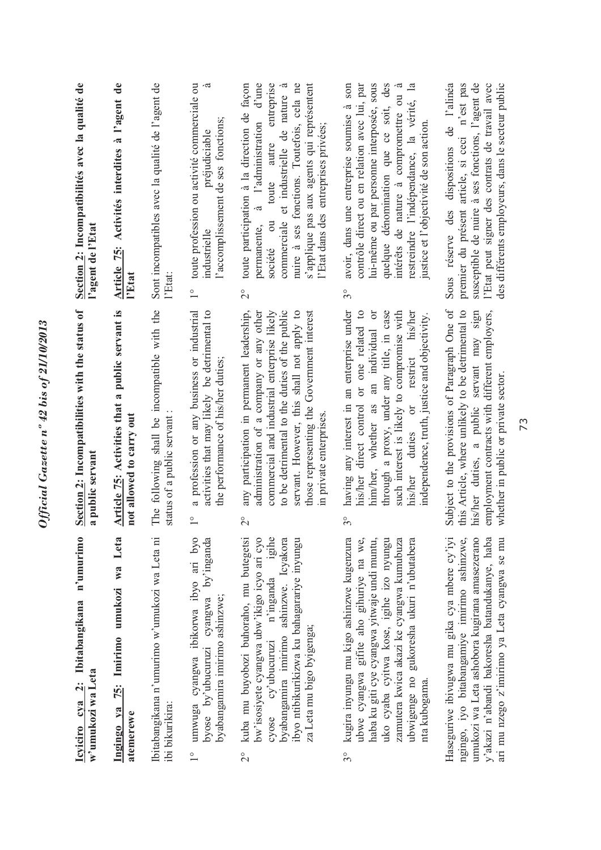| n'umurimo<br>Icyiciro cya 2: Ibitabangikana<br>w'umukozi wa Leta                                                                                                                                                                                                                                        | Section 2: Incompatibilities with the status of<br>a public servant                                                                                                                                                                                                                                                                   | Section 2: Incompatibilités avec la qualité de<br>l'agent de l'Etat                                                                                                                                                                                                                                                                           |
|---------------------------------------------------------------------------------------------------------------------------------------------------------------------------------------------------------------------------------------------------------------------------------------------------------|---------------------------------------------------------------------------------------------------------------------------------------------------------------------------------------------------------------------------------------------------------------------------------------------------------------------------------------|-----------------------------------------------------------------------------------------------------------------------------------------------------------------------------------------------------------------------------------------------------------------------------------------------------------------------------------------------|
| Ingingo ya 75: Imirimo umukozi wa Leta<br>atemerewe                                                                                                                                                                                                                                                     | Article 75: Activities that a public servant is<br>not allowed to carry out                                                                                                                                                                                                                                                           | Article 75: Activités interdites à l'agent de<br>l'Etat                                                                                                                                                                                                                                                                                       |
| Ibitabangikana n'umurimo w'umukozi wa Leta ni<br>ibi bikurikira:                                                                                                                                                                                                                                        | The following shall be incompatible with the<br>status of a public servant                                                                                                                                                                                                                                                            | Sont incompatibles avec la qualité de l'agent de<br>l'Etat:                                                                                                                                                                                                                                                                                   |
| umwuga cyangwa ibikorwa ibyo ari byo<br>byose by'ubucuruzi cyangwa by'inganda<br>byabangamira imirimo ashinzwe;                                                                                                                                                                                         | a profession or any business or industrial<br>activities that may likely be detrimental to<br>the performance of his/her duties;<br>$\frac{1}{1}$                                                                                                                                                                                     | toute profession ou activité commerciale ou<br>l'accomplissement de ses fonctions;<br>préjudiciable<br>industrielle<br>$\overset{\circ}{\phantom{0}}$                                                                                                                                                                                         |
| kuba mu buyobozi buhoraho, mu butegetsi<br>cyose cy'ubucuruzi n'inganda igihe<br>byabangamira imirimo ashinzwe. Icyakora<br>bw'isosiyete cyangwa ubw'ikigo icyo ari cyo<br>ibyo ntibikurikizwa ku bahagarariye inyungu<br>za Leta mu bigo byigenga;<br>$2^{\circ}$                                      | any participation in permanent leadership,<br>administration of a company or any other<br>to be detrimental to the duties of the public<br>servant. However, this shall not apply to<br>those representing the Government interest<br>commercial and industrial enterprise likely<br>in private enterprises.<br>$\overline{C}$        | entreprise<br>d'une<br>nuire à ses fonctions. Toutefois, cela ne<br>s'applique pas aux agents qui représentent<br>toute participation à la direction de façon<br>commerciale et industrielle de nature<br>l'administration<br>l'Etat dans des entreprises privées;<br>autre<br>toute<br>$\sim$<br>société ou<br>permanente,<br>$\overline{c}$ |
| kugira inyungu mu kigo ashinzwe kugenzura<br>uko cyaba cyitwa kose, igihe izo nyungu<br>ubwe cyangwa gifite aho gihuriye na we,<br>haba ku giti cye cyangwa yitwaje undi muntu,<br>zamutera kwica akazi ke cyangwa kumubuza<br>ubwigenge no gukoresha ukuri n'ubutabera<br>nta kubogama.<br>$3^{\circ}$ | having any interest in an enterprise under<br>his/her direct control or one related to<br>him/her, whether as an individual or<br>through a proxy, under any title, in case<br>such interest is likely to compromise with<br>restrict his/her<br>independence, truth, justice and objectivity.<br>duties or<br>his/her<br>$3^{\circ}$ | lui-même ou par personne interposée, sous<br>quelque dénomination que ce soit, des<br>restreindre l'indépendance, la vérité, la<br>contrôle direct ou en relation avec lui, par<br>intérêts de nature à compromettre ou à<br>avoir, dans une entreprise soumise à son<br>justice et l'objectivité de son action.<br>$3^{\circ}$               |
| y'akazi n'abandi bakoresha batandukanye, haba<br>ngingo, iyo bitabangamiye imirimo ashinzwe,<br>Haseguriwe ibivugwa mu gika cya mbere cy'iyi<br>umukozi wa Leta ashobora kugirana amasezerano<br>ari mu nzego z'imirimo ya Leta cyangwa se mu                                                           | Subject to the provisions of Paragraph One of<br>this Article, where unlikely to be detrimental to<br>his/her duties, a public servant may sign<br>employment contracts with different employers,<br>whether in public or private sector                                                                                              | susceptible de nuire à ses fonctions, l'agent de<br>Sous réserve des dispositions de l'alinéa<br>premier du présent article, si ceci n'est pas<br>l'Etat peut signer des contrats de travail avec<br>des différents employeurs, dans le secteur public                                                                                        |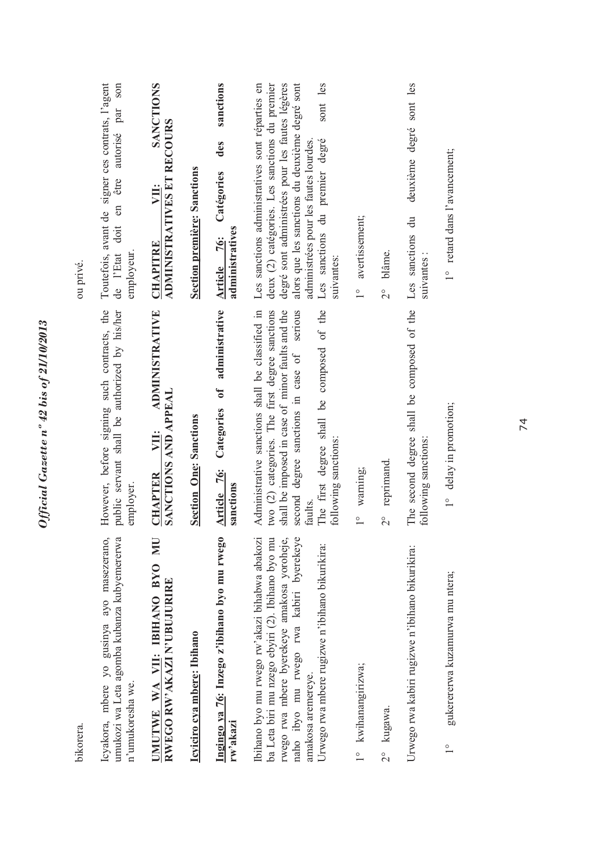| bikorera.                                                                                                                                                                                                                                                           |                                                                                                                                                                                                                                                                                              | ou privé.                                                                                                                                                                                                                                                                                                  |
|---------------------------------------------------------------------------------------------------------------------------------------------------------------------------------------------------------------------------------------------------------------------|----------------------------------------------------------------------------------------------------------------------------------------------------------------------------------------------------------------------------------------------------------------------------------------------|------------------------------------------------------------------------------------------------------------------------------------------------------------------------------------------------------------------------------------------------------------------------------------------------------------|
| umukozi wa Leta agomba kubanza kubyemererwa<br>Icyakora, mbere yo gusinya ayo masezerano,<br>n'umukoresha we.                                                                                                                                                       | However, before signing such contracts, the<br>public servant shall be authorized by his/her<br>employer.                                                                                                                                                                                    | Toutefois, avant de signer ces contrats, l'agent<br>son<br>par<br>autorisé<br>être<br>en<br>doit<br>employeur.<br>de l'Etat                                                                                                                                                                                |
| UN<br>UMUTWE WA VII: IBIHANO BYO<br>RWEGO RW'AKAZI N'UBUJURIRE                                                                                                                                                                                                      | <b>ADMINISTRATIVE</b><br>SANCTIONS AND APPEAL<br>VII:<br><b>CHAPTER</b>                                                                                                                                                                                                                      | <b>SANCTIONS</b><br>ADMINISTRATIVES ET RECOURS<br>VII:<br><b>CHAPITRE</b>                                                                                                                                                                                                                                  |
| Icyiciro cya mbere: Ibihano                                                                                                                                                                                                                                         | <b>Section One: Sanctions</b>                                                                                                                                                                                                                                                                | <b>Section première: Sanctions</b>                                                                                                                                                                                                                                                                         |
| Ingingo ya 76: Inzego z'ibihano byo mu rwego<br>rw'akazi                                                                                                                                                                                                            | of administrative<br>Categories<br>Article 76:<br>sanctions                                                                                                                                                                                                                                  | sanctions<br>des<br>Catégories<br>administratives<br>Article 76:                                                                                                                                                                                                                                           |
| Ibihano byo mu rwego rw'akazi bihabwa abakozi<br>naho ibyo mu rwego rwa kabiri byerekeye<br>ba Leta biri mu nzego ebyiri (2). Ibihano byo mu<br>rwego rwa mbere byerekeye amakosa yoroheje,<br>Urwego rwa mbere rugizwe n'ibihano bikurikira:<br>amakosa aremereye. | Administrative sanctions shall be classified in<br>serious<br>The first degree shall be composed of the<br>two (2) categories. The first degree sanctions<br>shall be imposed in case of minor faults and the<br>second degree sanctions in case of<br>following sanctions:<br><b>faults</b> | alors que les sanctions du deuxième degré sont<br>deux (2) catégories. Les sanctions du premier<br>Les sanctions administratives sont réparties en<br>degré sont administrées pour les fautes légères<br>sont les<br>Les sanctions du premier degré<br>administrées pour les fautes lourdes.<br>suivantes: |
| kwihanangirizwa;<br>$\frac{1}{\sqrt{2}}$                                                                                                                                                                                                                            | warning;<br>$\frac{1}{\sqrt{2}}$                                                                                                                                                                                                                                                             | avertissement;<br>$\frac{1}{1}$                                                                                                                                                                                                                                                                            |
| kugawa.<br>$\frac{1}{2}$                                                                                                                                                                                                                                            | reprimand.<br>$\frac{1}{2}$                                                                                                                                                                                                                                                                  | blâme.<br>$\frac{1}{2}$                                                                                                                                                                                                                                                                                    |
| Urwego rwa kabiri rugizwe n'ibihano bikurikira:                                                                                                                                                                                                                     | The second degree shall be composed of the<br>following sanctions:                                                                                                                                                                                                                           | sont les<br>deuxième degré<br>Les sanctions du<br>suivantes:                                                                                                                                                                                                                                               |
| gukerererwa kuzamurwa mu ntera;<br>$\frac{0}{1}$                                                                                                                                                                                                                    | 1° delay in promotion;                                                                                                                                                                                                                                                                       | 1° retard dans l'avancement;                                                                                                                                                                                                                                                                               |
|                                                                                                                                                                                                                                                                     |                                                                                                                                                                                                                                                                                              |                                                                                                                                                                                                                                                                                                            |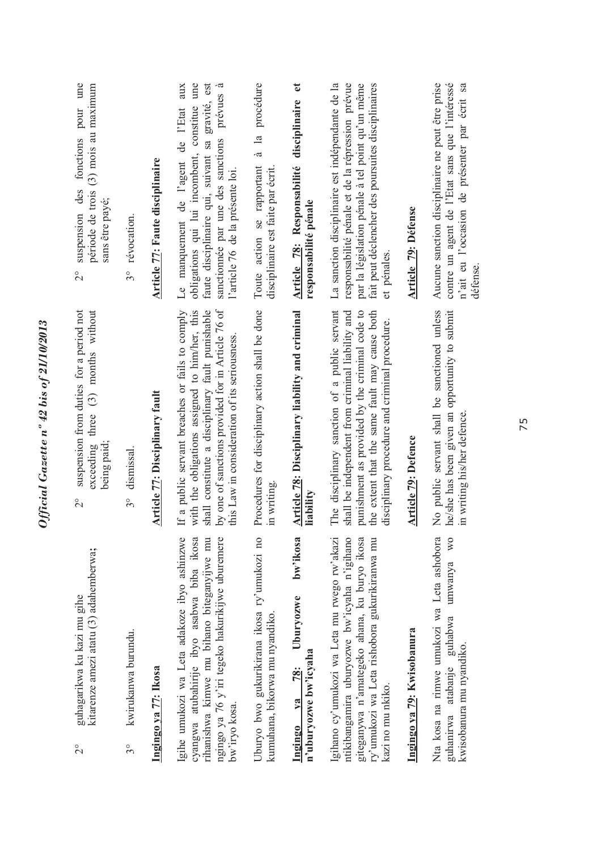| fonctions pour une<br>période de trois (3) mois au maximum<br>des<br>sans être payé;<br>suspension<br>$\overset{\circ}{\sim}$ | révocation.<br>$3^{\circ}$         | Article 77: Faute disciplinaire       | une<br>prévues à<br>aux<br>gravité, est<br>constitue<br>Le manquement de l'agent de l'Etat<br>sanctionnée par une des sanctions<br>faute disciplinaire qui, suivant sa<br>obligations qui lui incombent,<br>l'article 76 de la présente loi.                | à la procédure<br>Toute action se rapportant<br>disciplinaire est faite par écrit. | $\mathbf{e}$<br>disciplinaire<br>Article 78: Responsabilité<br>responsabilité pénale | La sanction disciplinaire est indépendante de la<br>responsabilité pénale et de la répression prévue<br>par la législation pénale à tel point qu'un même<br>fait peut déclencher des poursuites disciplinaires<br>et pénales.                          | <b>Article 79: Défense</b> | Aucune sanction disciplinaire ne peut être prise<br>contre un agent de l'Etat sans que l'intéressé<br>n'ait eu l'occasion de présenter par écrit sa<br>défense. |
|-------------------------------------------------------------------------------------------------------------------------------|------------------------------------|---------------------------------------|-------------------------------------------------------------------------------------------------------------------------------------------------------------------------------------------------------------------------------------------------------------|------------------------------------------------------------------------------------|--------------------------------------------------------------------------------------|--------------------------------------------------------------------------------------------------------------------------------------------------------------------------------------------------------------------------------------------------------|----------------------------|-----------------------------------------------------------------------------------------------------------------------------------------------------------------|
| suspension from duties for a period not<br>exceeding three $(3)$ months without<br>being paid;<br>$\overset{\circ}{\sim}$     | dismissal.<br>$3^{\circ}$          | <b>Article 77: Disciplinary fault</b> | by one of sanctions provided for in Article 76 of<br>with the obligations assigned to him/her, this<br>shall constitute a disciplinary fault punishable<br>If a public servant breaches or fails to comply<br>this Law in consideration of its seriousness. | Procedures for disciplinary action shall be done<br>in writing                     | Article 78: Disciplinary liability and criminal<br>liability                         | The disciplinary sanction of a public servant<br>shall be independent from criminal liability and<br>punishment as provided by the criminal code to<br>the extent that the same fault may cause both<br>disciplinary procedure and criminal procedure. | <b>Article 79: Defence</b> | No public servant shall be sanctioned unless<br>he/she has been given an opportunity to submit<br>in writing his/her defence                                    |
| kitarenze amezi atatu (3) adahemberwa;<br>guhagarikwa ku kazi mu gihe<br>$\frac{1}{2}$                                        | kwirukanwa burundu.<br>$3^{\circ}$ | Ingingo ya 77: Ikosa                  | Igihe umukozi wa Leta adakoze ibyo ashinzwe<br>ngingo ya 76 y'iri tegeko hakurikijwe uburemere<br>cyangwa atubahirije ibyo asabwa biba ikosa<br>rihanishwa kimwe mu bihano biteganyijwe mu<br>bw'iryo kosa.                                                 | Uburyo bwo gukurikirana ikosa ry'umukozi no<br>kumuhana, bikorwa mu nyandiko.      | bw'ikosa<br>Uburyozwe<br>n'uburyozwe bw'icyaha<br>78:<br>$1$<br>Ingingo              | Igihano cy'umukozi wa Leta mu rwego rw'akazi<br>ntikibangamira uburyozwe bw'icyaha n'igihano<br>giteganywa n'amategeko ahana, ku buryo ikosa<br>ry'umukozi wa Leta rishobora gukurikiranwa mu<br>kazi no mu nkiko.                                     | Ingingo ya 79: Kwisobanura | Nta kosa na rimwe umukozi wa Leta ashobora<br>WO<br>umwanya<br>atabanje guhabwa<br>kwisobanura mu nyandiko.<br>guhanirwa                                        |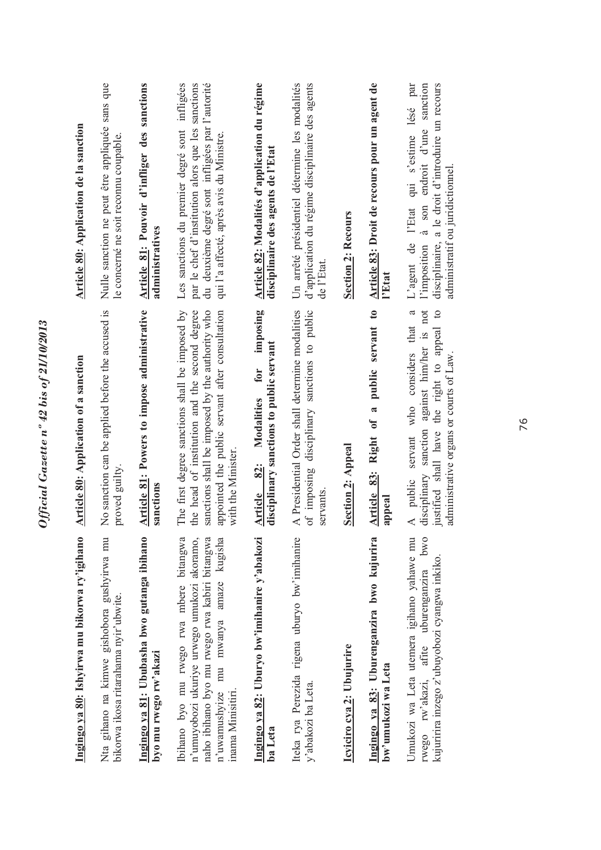| Ingingo ya 80: Ishyirwa mu bikorwa ry'igihano                                                                                                                                                               | Article 80: Application of a sanction                                                                                                                                                                                      | Article 80: Application de la sanction                                                                                                                                                            |
|-------------------------------------------------------------------------------------------------------------------------------------------------------------------------------------------------------------|----------------------------------------------------------------------------------------------------------------------------------------------------------------------------------------------------------------------------|---------------------------------------------------------------------------------------------------------------------------------------------------------------------------------------------------|
| Nta gihano na kimwe gishobora gushyirwa mu<br>bikorwa ikosa ritarahama nyir'ubwite.                                                                                                                         | No sanction can be applied before the accused is<br>proved guilty.                                                                                                                                                         | Nulle sanction ne peut être appliquée sans que<br>le concerné ne soit reconnu coupable.                                                                                                           |
| Ingingo ya 81: Ububasha bwo gutanga ibihano<br>byo mu rwego rw'akazi                                                                                                                                        | Article 81: Powers to impose administrative<br>sanctions                                                                                                                                                                   | Article 81: Pouvoir d'infliger des sanctions<br>administratives                                                                                                                                   |
| bitangwa<br>kugisha<br>naho ibihano byo mu rwego rwa kabiri bitangwa<br>n'umuyobozi ukuriye urwego umukozi akoramo,<br>n'uwamushyize mu mwanya amaze<br>Ibihano byo mu rwego rwa mbere<br>inama Minisitiri. | The first degree sanctions shall be imposed by<br>the head of institution and the second degree<br>sanctions shall be imposed by the authority who<br>appointed the public servant after consultation<br>with the Minister | Les sanctions du premier degré sont infligées<br>du deuxième degré sont infligées par l'autorité<br>par le chef d'institution alors que les sanctions<br>qui l'a affecté, après avis du Ministre. |
| Ingingo ya 82: Uburyo bw'imihanire y'abakozi<br>ba Leta                                                                                                                                                     | imposing<br>disciplinary sanctions to public servant<br>for<br><b>Modalities</b><br>82:<br><b>Article</b>                                                                                                                  | Article 82: Modalités d'application du régime<br>disciplinaire des agents de l'Etat                                                                                                               |
| Iteka rya Perezida rigena uburyo bw'imihanire<br>y'abakozi ba Leta.                                                                                                                                         | of imposing disciplinary sanctions to public<br>A Presidential Order shall determine modalities<br>servants                                                                                                                | d'application du régime disciplinaire des agents<br>Un arrêté présidentiel détermine les modalités<br>de l'Etat                                                                                   |
| Icyiciro cya 2: Ubujurire                                                                                                                                                                                   | <b>Section 2: Appeal</b>                                                                                                                                                                                                   | <b>Section 2: Recours</b>                                                                                                                                                                         |
| Ingingo ya 83: Uburenganzira bwo kujurira<br>bw'umukozi wa Leta                                                                                                                                             | Article 83: Right of a public servant to<br>appeal                                                                                                                                                                         | Article 83: Droit de recours pour un agent de<br>l'Etat                                                                                                                                           |
| Umukozi wa Leta utemera igihano yahawe mu<br>owo<br>kujuririra inzego z'ubuyobozi cyangwa inkiko<br>rwego rw'akazi, afite uburenganzira                                                                     | against him/her is not<br>$\circ$<br>ದ<br>that<br>justified shall have the right to appeal<br>considers<br>administrative organs or courts of Law.<br>who<br>disciplinary sanction<br>servant<br>public                    | par<br>endroit d'une sanction<br>disciplinaire, a le droit d'introduire un recours<br>qui s'estime lésé<br>administratif ou juridictionnel.<br>à son<br>l'Etat<br>L'agent de<br>l'imposition      |
|                                                                                                                                                                                                             |                                                                                                                                                                                                                            |                                                                                                                                                                                                   |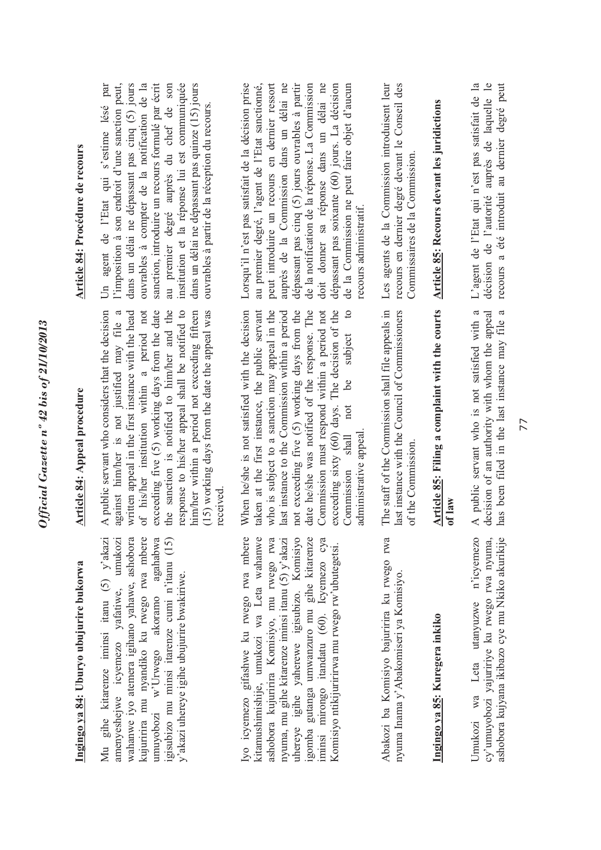| ,                     |
|-----------------------|
|                       |
|                       |
|                       |
| 5                     |
|                       |
| 0.001110715           |
|                       |
| ∍<br>0                |
|                       |
| h T C<br>31           |
| $\ddot{o}$ L:<br>١    |
|                       |
|                       |
| $\circ$               |
| $\mathbf{z}$          |
|                       |
| 2707                  |
|                       |
|                       |
| ₹                     |
|                       |
|                       |
| ົ $\mathcal{L}$ ເມື່ອ |
|                       |
|                       |
| j                     |
|                       |

## **Ingingo ya 84: Uburyo ubujurire bukorwa**  Ingingo ya 84: Uburyo ubujurire bukorwa

wahanwe iyo atemera igihano yahawe, ashobora kujuririra mu nyandiko ku rwego rwa mbere Mu gihe kitarenze iminsi itanu (5) y'akazi amenyeshejwe icyemezo yafatiwe, umukozi amenyeshejwe icyemezo yafatiwe, umukozi wahanwe iyo atemera igihano yahawe, ashobora kujuririra mu nyandiko ku rwego rwa mbere umuyobozi w'Urwego akoramo agahabwa igisubizo mu minsi itarenze cumi n'itanu (15) igisubizo mu minsi itarenze cumi n'itanu (15) Mu gihe kitarenze iminsi itanu (5) y'akazi agahabwa y'akazi uhereye igihe ubujurire bwakiriwe. y'akazi uhereye igihe ubujurire bwakiriwe. umuyobozi w'Urwego akoramo

yo icyemezo gifashwe ku rwego rwa mbere kitamushimishije, umukozi wa Leta wahanwe uhereye igihe yaherewe igisubizo. Komisiyo gomba gutanga umwanzuro mu gihe kitarenze Iyo icyemezo gifashwe ku rwego rwa mbere kitamushimishije, umukozi wa Leta wahanwe ashobora kujuririra Komisiyo, mu rwego rwa ashobora kujuririra Komisiyo, mu rwego rwa nyuma, mu gihe kitarenze iminsi itanu (5) y'akazi nyuma, mu gihe kitarenze iminsi itanu (5) y'akazi uhereye igihe yaherewe igisubizo. Komisiyo igomba gutanga umwanzuro mu gihe kitarenze minsi mirongo itandatu (60). Icyemezo cya iminsi mirongo itandatu (60). Icyemezo cya Komisiyo ntikijuririrwa mu rwego rw'ubutegetsi. Komisiyo ntikijuririrwa mu rwego rw'ubutegetsi. Abakozi ba Komisiyo bajuririra ku rwego rwa Abakozi ba Komisiyo bajuririra ku rwego rwa nyuma Inama y'Abakomiseri ya Komisiyo. nyuma Inama y'Abakomiseri ya Komisiyo.

### **Ingingo ya 85: Kuregera inkiko**  Ingingo ya 85: Kuregera inkiko

Jmukozi wa Leta utanyuzwe n'icyemezo cy'umuyobozi yajuririye ku rwego rwa nyuma, Umukozi wa Leta utanyuzwe n'icyemezo cy'umuyobozi yajuririye ku rwego rwa nyuma, ashobora kujyana ikibazo cye mu Nkiko akurikije ashobora kujyana ikibazo cye mu Nkiko akurikije

### Article 84: Appeal procedure **Article 84: Appeal procedure**

written appeal in the first instance with the head A public servant who considers that the decision A public servant who considers that the decision against him/her is not justified may file a against him/her is not justified may file a written appeal in the first instance with the head of his/her institution within a period not exceeding five (5) working days from the date the sanction is notified to him/her and the the sanction is notified to him/her and the response to his/her appeal shall be notified to response to his/her appeal shall be notified to him/her within a period not exceeding fifteen him/her within a period not exceeding fifteen (15) working days from the date the appeal was (15) working days from the date the appeal was of his/her institution within a period not exceeding five (5) working days from the date received. When he/she is not satisfied with the decision be subject to When he/she is not satisfied with the decision taken at the first instance, the public servant taken at the first instance, the public servant who is subject to a sanction may appeal in the last instance to the Commission within a period last instance to the Commission within a period not exceeding five (5) working days from the date he/she was notified of the response. The date he/she was notified of the response. The Commission must respond within a period not Commission must respond within a period not exceeding sixty (60) days. The decision of the exceeding sixty (60) days. The decision of the Commission shall not be subject to who is subject to a sanction may appeal in the not exceeding five (5) working days from the not Commission shall administrative appeal. administrative appeal

The staff of the Commission shall file appeals in The staff of the Commission shall file appeals in last instance with the Council of Commissioners last instance with the Council of Commissioners of the Commission. of the Commission.

### Article 85: Filing a complaint with the courts **Article 85: Filing a complaint with the courts of law**

A public servant who is not satisfied with a decision of an authority with whom the appeal has been filed in the last instance may file a A public servant who is not satisfied with a decision of an authority with whom the appeal has been filed in the last instance may file a

### **Article 84: Procédure de recours**  Article 84: Procédure de recours

Un agent de l'Etat qui s'estime lésé par l'imposition à son endroit d'une sanction peut, dans un délai ne dépassant pas cinq (5) jours ouvrables à compter de la notification de la sanction, introduire un recours formulé par écrit au premier degré auprès du chef de son son institution et la réponse lui est communiquée institution et la réponse lui est communiquée dans un délai ne dépassant pas quinze (15) jours Un agent de l'Etat qui s'estime lésé par<br>l'imposition à son endroit d'une sanction peut, dans un délai ne dépassant pas cinq (5) jours ouvrables à compter de la notification de la sanction, introduire un recours formulé par écrit dans un délai ne dépassant pas quinze (15) jours ouvrables à partir de la réception du recours. ouvrables à partir de la réception du recours. au premier degré auprès du chef de

Lorsqu'il n'est pas satisfait de la décision prise au premier degré, l'agent de l'Etat sanctionné, peut introduire un recours en dernier ressort auprès de la Commission dans un délai ne dépassant pas cinq (5) jours ouvrables à partir dépassant pas cinq (5) jours ouvrables à partir de la notification de la réponse. La Commission de la notification de la réponse. La Commission doit donner sa réponse dans un délai ne doit donner sa réponse dans un délai ne dépassant pas soixante (60) jours. La décision dépassant pas soixante (60) jours. La décision de la Commission ne peut faire objet d'aucun Lorsqu'il n'est pas satisfait de la décision prise peut introduire un recours en dernier ressort auprès de la Commission dans un délai ne de la Commission ne peut faire objet d'aucun au premier degré, l'agent de l'Etat sanctionné, recours administratif. recours administratif.

Les agents de la Commission introduisent leur Les agents de la Commission introduisent leur recours en dernier degré devant le Conseil des recours en dernier degré devant le Conseil des Commissaires de la Commission. Commissaires de la Commission.

# **Article 85: Recours devant les juridictions**  Article 85: Recours devant les juridictions

L'agent de l'Etat qui n'est pas satisfait de la L'agent de l'Etat qui n'est pas satisfait de la décision de l'autorité auprès de laquelle le décision de l'autorité auprès de laquelle le recours a été introduit au dernier degré peut recours a été introduit au dernier degré peut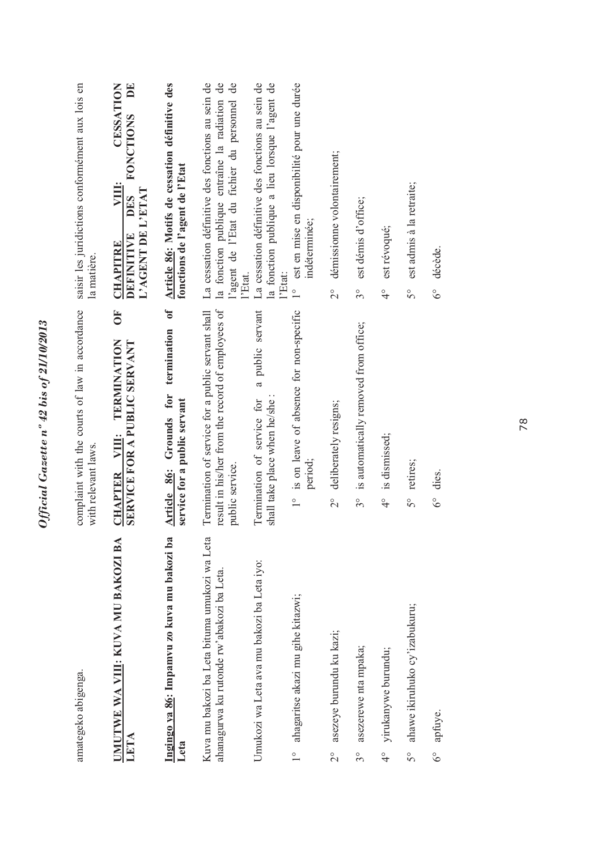|                       | amategeko abigenga.                                                                        | complaint with the courts of law in accordance<br>with relevant laws.                                                     | saisir les juridictions conformément aux lois en<br>la matière.                                                                                                 |
|-----------------------|--------------------------------------------------------------------------------------------|---------------------------------------------------------------------------------------------------------------------------|-----------------------------------------------------------------------------------------------------------------------------------------------------------------|
|                       | <b>IMUTWE WA VIII: KUVA MU BAKOZI BA</b><br>LETA                                           | $\overline{0}$<br>TERMINATION<br>SERVICE FOR A PUBLIC SERVANT<br>VIII:<br><b>CHAPTER</b>                                  | EQ<br>CESSATION<br><b>FONCTIONS</b><br><b>VIII:</b><br>L'AGENT DE L'ETAT<br>DES<br>DEFINITIVE<br><b>CHAPITRE</b>                                                |
| Leta                  | Ingingo ya 86: Impamvu zo kuva mu bakozi ba                                                | $\mathfrak{o}\mathfrak{f}$<br>termination<br>Grounds for<br>service for a public servant<br>Article 86:                   | Article 86: Motifs de cessation définitive des<br>fonctions de l'agent de l'Etat                                                                                |
|                       | Kuva mu bakozi ba Leta bituma umukozi wa Leta<br>ahanagurwa ku rutonde rw'abakozi ba Leta. | result in his/her from the record of employees of<br>Termination of service for a public servant shall<br>public service. | La cessation définitive des fonctions au sein de<br>la fonction publique entraîne la radiation de<br>de<br>l'agent de l'Etat du fichier du personnel<br>l'Etat. |
|                       | Umukozi wa Leta ava mu bakozi ba Leta iyo:                                                 | a public servant<br>shall take place when he/she:<br>Termination of service for                                           | La cessation définitive des fonctions au sein de<br>la fonction publique a lieu lorsque l'agent de<br>l'Etat:                                                   |
| $\frac{1}{\sqrt{2}}$  | ahagaritse akazi mu gihe kitazwi;                                                          | 1° is on leave of absence for non-specific<br>period;                                                                     | est en mise en disponibilité pour une durée<br>indéterminée;<br>$\frac{1}{1}$                                                                                   |
| $\frac{1}{2}$         | asezeye burundu ku kazi;                                                                   | deliberately resigns;<br>$\frac{1}{2}$                                                                                    | démissionne volontairement;<br>$\frac{1}{2}$                                                                                                                    |
| $3^{\circ}$           | asezerewe nta mpaka;                                                                       | is automatically removed from office;<br>$3^{\circ}$                                                                      | est démis d'office;<br>$3^{\circ}$                                                                                                                              |
| $\frac{1}{4}$         | yirukanywe burundu;                                                                        | is dismissed;<br>$\frac{1}{4}$                                                                                            | est révoqué;<br>$\frac{1}{4}$                                                                                                                                   |
| $\mathcal{S}^{\circ}$ | ahawe ikiruhuko cy'izabukuru;                                                              | retires;<br>$\tilde{5}^{\circ}$                                                                                           | est admis à la retraite;<br>$\mathcal{S}^{\circ}$                                                                                                               |
| $6^\circ$             | apfuye.                                                                                    | dies.<br>$6^\circ$                                                                                                        | décède.<br>$6^\circ$                                                                                                                                            |
|                       |                                                                                            |                                                                                                                           |                                                                                                                                                                 |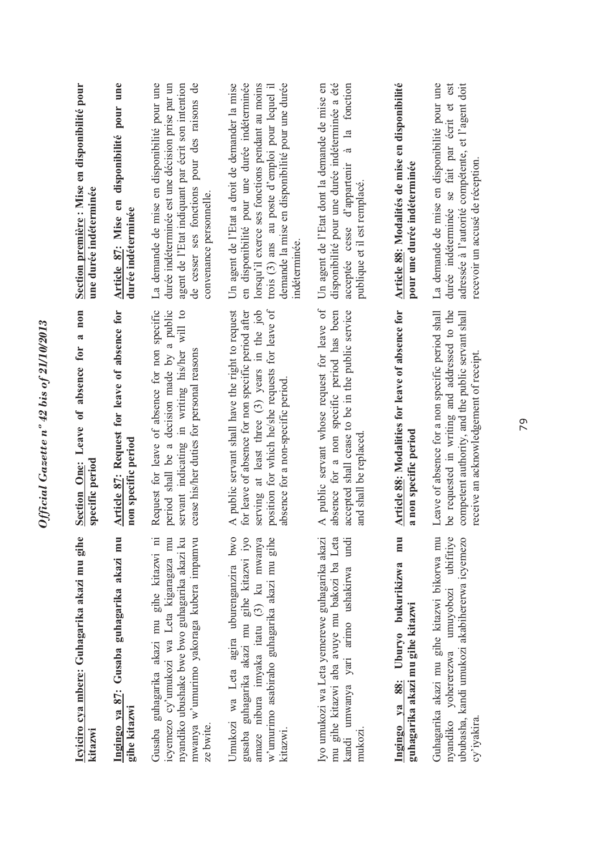| Icyiciro cya mbere: Guhagarika akazi mu gihe<br>kitazwi                                                                                                                                           | non<br>$\overline{\mathbf{a}}$<br>Section One: Leave of absence for<br>specific period                                                                                                                                                        | Section première : Mise en disponibilité pour<br>une durée indéterminée                                                                                                                                                                                                |
|---------------------------------------------------------------------------------------------------------------------------------------------------------------------------------------------------|-----------------------------------------------------------------------------------------------------------------------------------------------------------------------------------------------------------------------------------------------|------------------------------------------------------------------------------------------------------------------------------------------------------------------------------------------------------------------------------------------------------------------------|
| Ingingo ya 87: Gusaba guhagarika akazi mu<br>gihe kitazwi                                                                                                                                         | Article 87: Request for leave of absence for<br>non specific period                                                                                                                                                                           | disponibilité pour une<br>Article 87: Mise en<br>durée indéterminée                                                                                                                                                                                                    |
| mwanya w'umurimo yakoraga kubera impamvu<br>nyandiko ubushake bwe bwo guhagarika akazi ku<br>Gusaba guhagarika akazi mu gihe kitazwi ni<br>icyemezo cy'umukozi wa Leta kigaragaza mu<br>ze bwite. | Request for leave of absence for non specific<br>period shall be a decision made by a public<br>servant indicating in writing his/her will to<br>cease his/her duties for personal reasons                                                    | La demande de mise en disponibilité pour une<br>agent de l'Etat indiquant par écrit son intention<br>de cesser ses fonctions pour des raisons de<br>durée indéterminée est une décision prise par un<br>convenance personnelle.                                        |
| w'umurimo asabiraho guhagarika akazi mu gihe<br>Umukozi wa Leta agira uburenganzira bwo<br>gusaba guhagarika akazi mu gihe kitazwi iyo<br>amaze nibura imyaka itatu (3) ku mwanya<br>kitazwi      | position for which he/she requests for leave of<br>A public servant shall have the right to request<br>for leave of absence for non specific period after<br>serving at least three (3) years in the job<br>absence for a non-specific period | en disponibilité pour une durée indéterminée<br>demande la mise en disponibilité pour une durée<br>Un agent de l'Etat a droit de demander la mise<br>lorsqu'il exerce ses fonctions pendant au moins<br>trois (3) ans au poste d'emploi pour lequel il<br>indéterminée |
| Iyo umukozi wa Leta yemerewe guhagarika akazi<br>mu gihe kitazwi aba avuye mu bakozi ba Leta<br>kandi umwanya yari arimo ushakirwa undi<br>mukozi.                                                | A public servant whose request for leave of<br>absence for a non specific period has been<br>accepted shall cease to be in the public service<br>and shall be replaced                                                                        | disponibilité pour une durée indéterminée a été<br>Un agent de l'Etat dont la demande de mise en<br>à la fonction<br>acceptée cesse d'appartenir<br>publique et il est remplacé.                                                                                       |
| mu<br>Ingingo ya 88: Uburyo bukurikizwa<br>guhagarika akazi mu gihe kitazwi                                                                                                                       | Article 88: Modalities for leave of absence for<br>a non specific period                                                                                                                                                                      | Article 88: Modalités de mise en disponibilité<br>pour une durée indéterminée                                                                                                                                                                                          |
| ubifitive<br>Guhagarika akazi mu gihe kitazwi bikorwa mu<br>ububasha, kandi umukozi akabihererwa icyemezo<br>nyandiko yohererezwa umuyobozi<br>cy'iyakira.                                        | Leave of absence for a non specific period shall<br>be requested in writing and addressed to the<br>competent authority, and the public servant shall<br>receive an acknowledgement of receipt.                                               | La demande de mise en disponibilité pour une<br>est<br>adressée à l'autorité compétente, et l'agent doit<br>durée indéterminée se fait par écrit et<br>recevoir un accusé de réception.                                                                                |
|                                                                                                                                                                                                   |                                                                                                                                                                                                                                               |                                                                                                                                                                                                                                                                        |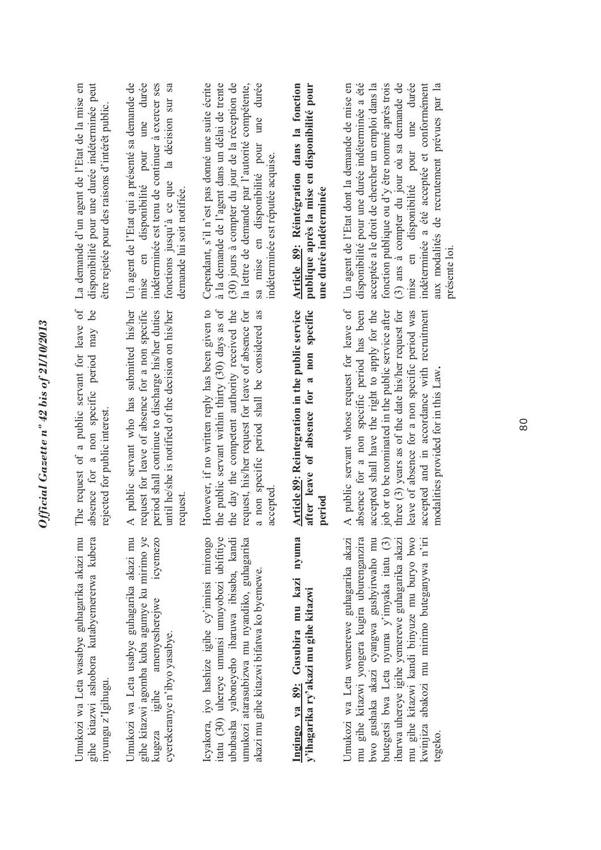| ¢<br>ì<br>L VUVV L/LU.   |
|--------------------------|
|                          |
|                          |
|                          |
|                          |
| ć                        |
| 0                        |
| Î                        |
| $-11.7$<br>ľ             |
|                          |
|                          |
|                          |
|                          |
| $\overline{\mathcal{L}}$ |

gihe kitazwi ashobora kutabyemererwa kubera Jmukozi wa Leta wasabye guhagarika akazi mu Umukozi wa Leta wasabye guhagarika akazi mu gihe kitazwi ashobora kutabyemererwa kubera inyungu z'Igihugu. inyungu z'Igihugu

Jmukozi wa Leta usabye guhagarika akazi mu gihe kitazwi agomba kuba agumye ku mirimo ye icyemezo Umukozi wa Leta usabye guhagarika akazi mu gihe kitazwi agomba kuba agumye ku mirimo ye kugeza igihe amenyesherejwe icyemezo amenyesherejwe cyerekeranye n'ibyo yasabye. cyerekeranye n'ibyo yasabye. kugeza igihe

tatu (30) uhereye umunsi umuyobozi ubifitiye cyakora, iyo hashize igihe cy'iminsi mirongo imukozi atarasubizwa mu nyandiko, guhagarika Icyakora, iyo hashize igihe cy'iminsi mirongo itatu (30) uhereye umunsi umuyobozi ubifitiye ububasha yaboneyeho ibaruwa ibisaba, kandi ububasha yaboneyeho ibaruwa ibisaba, kandi umukozi atarasubizwa mu nyandiko, guhagarika akazi mu gihe kitazwi bifatwa ko byemewe. akazi mu gihe kitazwi bifatwa ko byemewe.

Ingingo ya 89: Gusubira mu kazi nyuma **Ingingo ya 89: Gusubira mu kazi nyuma**  y'ihagarika ry'akazi mu gihe kitazwi **y'ihagarika ry'akazi mu gihe kitazwi** Jmukozi wa Leta wemerewe guhagarika akazi mu gihe kitazwi yongera kugira uburenganzira mu gihe kitazwi kandi binyuze mu buryo bwo Umukozi wa Leta wemerewe guhagarika akazi mu gihe kitazwi yongera kugira uburenganzira bwo gushaka akazi cyangwa gushyirwaho mu butegetsi bwa Leta nyuma y'imyaka itatu (3) barwa uhereye igihe yemerewe guhagarika akazi ibarwa uhereye igihe yemerewe guhagarika akazi mu gihe kitazwi kandi binyuze mu buryo bwo kwinjiza abakozi mu mirimo buteganywa n'iri bwo gushaka akazi cyangwa gushyirwaho mu butegetsi bwa Leta nyuma y'imyaka itatu (3) kwinjiza abakozi mu mirimo buteganywa n'iri tegeko.

The request of a public servant for leave of absence for a non specific period may be The request of a public servant for leave of absence for a non specific period may be rejected for public interest. rejected for public interest.

A public servant who has submitted his/her A public servant who has submitted his/her request for leave of absence for a non specific request for leave of absence for a non specific period shall continue to discharge his/her duties until he/she is notified of the decision on his/her until he/she is notified of the decision on his/her period shall continue to discharge his/her duties request. However, if no written reply has been given to the public servant within thirty (30) days as of the day the competent authority received the However, if no written reply has been given to the public servant within thirty (30) days as of the day the competent authority received the request, his/her request for leave of absence for request, his/her request for leave of absence for a non specific period shall be considered as a non specific period shall be considered as accepted. Article 89: Reintegration in the public service **Article 89: Reintegration in the public service**  after leave of absence for a non specific **after leave of absence for a non specific period**

absence for a non specific period has been A public servant whose request for leave of A public servant whose request for leave of absence for a non specific period has been accepted shall have the right to apply for the accepted shall have the right to apply for the job or to be nominated in the public service after job or to be nominated in the public service after three (3) years as of the date his/her request for three (3) years as of the date his/her request for leave of absence for a non specific period was leave of absence for a non specific period was accepted and in accordance with recruitment accepted and in accordance with recruitment modalities provided for in this Law**.**  modalities provided for in this Law.

La demande d'un agent de l'Etat de la mise en La demande d'un agent de l'Etat de la mise en disponibilité pour une durée indéterminée peut disponibilité pour une durée indéterminée peut être rejetée pour des raisons d'intérêt public. être rejetée pour des raisons d'intérêt public.

Un agent de l'Etat qui a présenté sa demande de durée mise en disponibilité pour une durée indéterminée est tenu de continuer à exercer ses fonctions jusqu'à ce que la décision sur sa Un agent de l'Etat qui a présenté sa demande de indéterminée est tenu de continuer à exercer ses la décision sur sa une pour fonctions jusqu'à ce que en disponibilité demande lui soit notifiée. demande lui soit notifiée. mise

Cependant, s'il n'est pas donné une suite écrite à la demande de l'agent dans un délai de trente (30) jours à compter du jour de la réception de la lettre de demande par l'autorité compétente, sa mise en disponibilité pour une durée Cependant, s'il n'est pas donné une suite écrite à la demande de l'agent dans un délai de trente (30) jours à compter du jour de la réception de sa mise en disponibilité pour une durée la lettre de demande par l'autorité compétente, indéterminée est réputée acquise. indéterminée est réputée acquise.

**Article 89: Réintégration dans la fonction publique après la mise en disponibilité pour**  Article 89: Réintégration dans la fonction publique après la mise en disponibilité pour une durée indéterminée **une durée indéterminée**

Un agent de l'Etat dont la demande de mise en disponibilité pour une durée indéterminée a été acceptée a le droit de chercher un emploi dans la fonction publique ou d'y être nommé après trois fonction publique ou d'y être nommé après trois (3) ans à compter du jour où sa demande de mise en disponibilité pour une durée indéterminée a été acceptée et conformément indéterminée a été acceptée et conformément aux modalités de recrutement prévues par la Un agent de l'Etat dont la demande de mise en disponibilité pour une durée indéterminée a été acceptée a le droit de chercher un emploi dans la  $(3)$  ans à compter du jour où sa demande de mise en disponibilité pour une durée aux modalités de recrutement prévues par la présente loi.présente loi.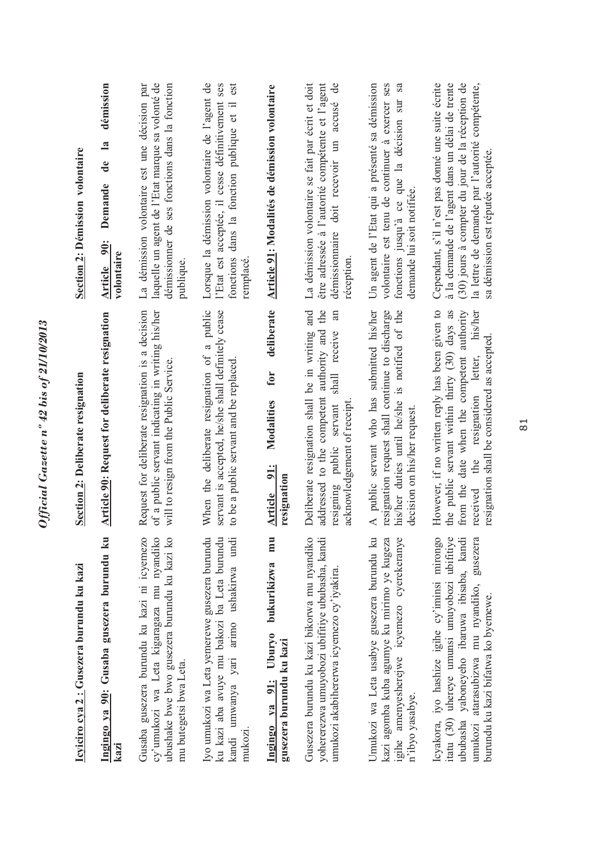| <u>Icyiciro cya 2 : Gusezera burundu ku kazi</u>                                                                                                                                                                                  | Section 2: Deliberate resignation                                                                                                                                                                                                                     | <b>Section 2: Démission volontaire</b>                                                                                                                                                                                                          |
|-----------------------------------------------------------------------------------------------------------------------------------------------------------------------------------------------------------------------------------|-------------------------------------------------------------------------------------------------------------------------------------------------------------------------------------------------------------------------------------------------------|-------------------------------------------------------------------------------------------------------------------------------------------------------------------------------------------------------------------------------------------------|
| Ingingo ya 90: Gusaba gusezera burundu ku<br>kazi                                                                                                                                                                                 | Article 90: Request for deliberate resignation                                                                                                                                                                                                        | démission<br>$\mathbf{a}$<br>de<br>Demande<br><b>90:</b><br>volontaire<br><b>Article</b>                                                                                                                                                        |
| cy'umukozi wa Leta kigaragaza mu nyandiko<br>ubushake bwe bwo gusezera burundu ku kazi ko<br>Gusaba gusezera burundu ku kazi ni icyemezo<br>mu butegetsi bwa Leta.                                                                | Request for deliberate resignation is a decision<br>of a public servant indicating in writing his/her<br>will to resign from the Public Service.                                                                                                      | laquelle un agent de l'Etat marque sa volonté de<br>La démission volontaire est une décision par<br>démissionner de ses fonctions dans la fonction<br>publique                                                                                  |
| Iyo umukozi wa Leta yemerewe gusezera burundu<br>ku kazi aba avuye mu bakozi ba Leta burundu<br>kandi umwanya yari arimo ushakirwa undi<br>mukozi.                                                                                | When the deliberate resignation of a public<br>servant is accepted, he/she shall definitely cease<br>to be a public servant and be replaced                                                                                                           | Lorsque la démission volontaire de l'agent de<br>l'Etat est acceptée, il cesse définitivement ses<br>est<br>dans la fonction publique et il<br>fonctions<br>remplacé                                                                            |
| mu<br>bukurikizwa<br>Ubury <sub>0</sub><br>gusezera burundu ku kazi<br>Ingingo ya 91:                                                                                                                                             | deliberate<br>for<br>Modalities<br>91:<br>resignation<br><b>Article</b>                                                                                                                                                                               | Article 91: Modalités de démission volontaire                                                                                                                                                                                                   |
| Gusezera burundu ku kazi bikorwa mu nyandiko<br>yohererezwa umuyobozi ubifitiye ububasha, kandi<br>umukozi akabihererwa icyemezo cy'iyakira.                                                                                      | Deliberate resignation shall be in writing and<br>addressed to the competent authority and the<br>an<br>shall receive<br>acknowledgement of receipt<br>servant<br>resigning public                                                                    | La démission volontaire se fait par écrit et doit<br>$\overline{d}$<br>être adressée à l'autorité compétente et l'agent<br>démissionnaire doit recevoir un accusé<br>réception                                                                  |
| Umukozi wa Leta usabye gusezera burundu ku<br>igihe amenyesherejwe icyemezo cyerekeranye<br>kazi agomba kuba agumye ku mirimo ye kugeza<br>n'ibyo yasabye.                                                                        | A public servant who has submitted his/her<br>his/her duties until he/she is notified of the<br>resignation request shall continue to discharge<br>decision on his/her request.                                                                       | Un agent de l'Etat qui a présenté sa démission<br>volontaire est tenu de continuer à exercer ses<br>sa<br>fonctions jusqu'à ce que la décision sur<br>demande lui soit notifiée.                                                                |
| Icyakora, iyo hashize igihe cy'iminsi mirongo<br>itatu (30) uhereye umunsi umuyobozi ubifitiye<br>ububasha yaboneyeho ibaruwa ibisaba, kandi<br>umukozi atarasubizwa mu nyandiko, gusezera<br>burundu ku kazi bifatwa ko byemewe. | However, if no written reply has been given to<br>the public servant within thirty (30) days as<br>date when the competent authority<br>his/her<br>resignation shall be considered as accepted.<br>resignation letter,<br>the<br>from the<br>received | Cependant, s'il n'est pas donné une suite écrite<br>à la demande de l'agent dans un délai de trente<br>(30) jours à compter du jour de la réception de<br>la lettre de demande par l'autorité compétente,<br>sa démission est réputée acceptée. |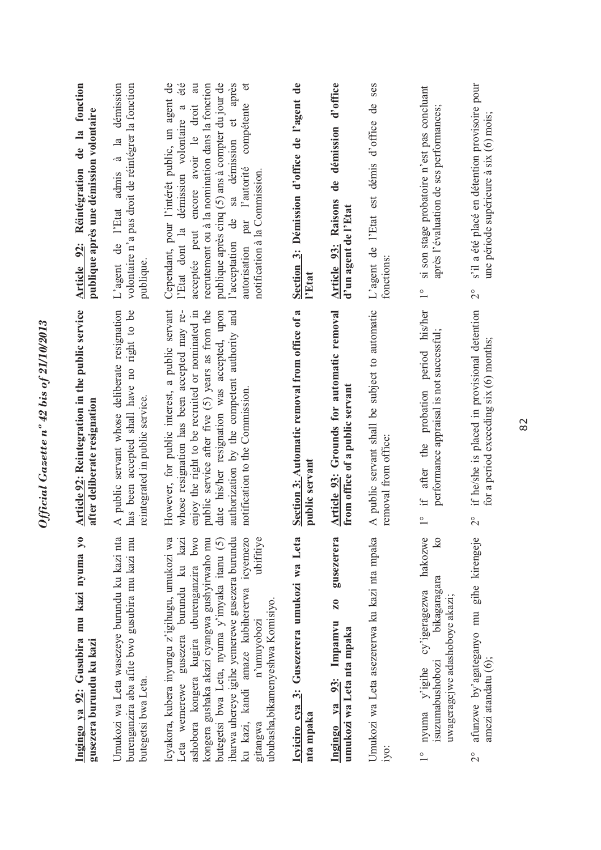| Ingingo ya 92: Gusubira mu kazi nyuma yo                                                                                                                                                                                                                                                                                                                                                                             | Article 92: Reintegration in the public service                                                                                                                                                                                                                                                                                       | Article 92: Réintégration de la fonction                                                                                                                                                                                                                                                                                                                                                                |
|----------------------------------------------------------------------------------------------------------------------------------------------------------------------------------------------------------------------------------------------------------------------------------------------------------------------------------------------------------------------------------------------------------------------|---------------------------------------------------------------------------------------------------------------------------------------------------------------------------------------------------------------------------------------------------------------------------------------------------------------------------------------|---------------------------------------------------------------------------------------------------------------------------------------------------------------------------------------------------------------------------------------------------------------------------------------------------------------------------------------------------------------------------------------------------------|
| gusezera burundu ku kazi                                                                                                                                                                                                                                                                                                                                                                                             | after deliberate resignation                                                                                                                                                                                                                                                                                                          | publique après une démission volontaire                                                                                                                                                                                                                                                                                                                                                                 |
| Umukozi wa Leta wasezeye burundu ku kazi nta<br>burenganzira aba afite bwo gusubira mu kazi mu<br>butegetsi bwa Leta.                                                                                                                                                                                                                                                                                                | A public servant whose deliberate resignation<br>has been accepted shall have no right to be<br>reintegrated in public service.                                                                                                                                                                                                       | de l'Etat admis à la démission<br>volontaire n'a pas droit de réintégrer la fonction<br>L'agent<br>publique.                                                                                                                                                                                                                                                                                            |
| ashobora kongera kugira uburenganzira bwo<br>ibarwa uhereye igihe yemerewe gusezera burundu<br>ubifitiye<br>Icyakora, kubera inyungu z'igihugu, umukozi wa<br>gusezera burundu ku kazi<br>kongera gushaka akazi cyangwa gushyirwaho mu<br>ku kazi, kandi amaze kubihererwa icyemezo<br>butegetsi bwa Leta, nyuma y'imyaka itanu (5)<br>ububasha, bikamenyeshwa Komisiyo.<br>n'umuyobozi<br>Leta wemerewe<br>gitangwa | However, for public interest, a public servant<br>authorization by the competent authority and<br>whose resignation has been accepted may re-<br>public service after five (5) years as from the<br>date his/her resignation was accepted, upon<br>enjoy the right to be recruited or nominated in<br>notification to the Commission. | Cependant, pour l'intérêt public, un agent de<br>été<br>$\overline{a}$<br>publique après cinq (5) ans à compter du jour de<br>l'acceptation de sa démission et après<br>$\sigma$<br>recrutement ou à la nomination dans la fonction<br>compétente<br>encore avoir le droit<br>l'Etat dont la démission volontaire a<br>par l'autorité<br>notification à la Commission.<br>acceptée peut<br>autorisation |
| Icyiciro cya 3: Gusezerera umukozi wa Leta                                                                                                                                                                                                                                                                                                                                                                           | Section 3: Automatic removal from office of a                                                                                                                                                                                                                                                                                         | Section 3: Démission d'office de l'agent de                                                                                                                                                                                                                                                                                                                                                             |
| nta mpaka                                                                                                                                                                                                                                                                                                                                                                                                            | public servant                                                                                                                                                                                                                                                                                                                        | l'Etat                                                                                                                                                                                                                                                                                                                                                                                                  |
| gusezerera<br>Z <sub>0</sub><br>Ingingo ya 93: Impamvu<br>umukozi wa Leta nta mpaka                                                                                                                                                                                                                                                                                                                                  | Article 93: Grounds for automatic removal<br>from office of a public servant                                                                                                                                                                                                                                                          | d'office<br>de démission<br>Article 93: Raisons<br>d'un agent de l'Etat                                                                                                                                                                                                                                                                                                                                 |
| Umukozi wa Leta asezererwa ku kazi nta mpaka                                                                                                                                                                                                                                                                                                                                                                         | A public servant shall be subject to automatic                                                                                                                                                                                                                                                                                        | L'agent de l'Etat est démis d'office de ses                                                                                                                                                                                                                                                                                                                                                             |
| iyo:                                                                                                                                                                                                                                                                                                                                                                                                                 | removal from office:                                                                                                                                                                                                                                                                                                                  | fonctions:                                                                                                                                                                                                                                                                                                                                                                                              |
| hakozwe<br>ko<br>bikagaragara<br>cy'igeragezwa<br>uwageragejwe adashoboye akazi;<br>isuzumabushobozi<br>nyuma y'igihe                                                                                                                                                                                                                                                                                                | probation period his/her<br>performance appraisal is not successful;<br>if after the<br>$\frac{1}{\sqrt{2}}$                                                                                                                                                                                                                          | si son stage probatoire n'est pas concluant<br>après l'évaluation de ses performances;<br>$\overset{\circ}{\phantom{0}}$                                                                                                                                                                                                                                                                                |
| afunzwe by'agateganyo mu gihe kirengeje                                                                                                                                                                                                                                                                                                                                                                              | if he/she is placed in provisional detention                                                                                                                                                                                                                                                                                          | s'il a été placé en détention provisoire pour                                                                                                                                                                                                                                                                                                                                                           |
| amezi atandatu (6);                                                                                                                                                                                                                                                                                                                                                                                                  | for a period exceeding six (6) months;                                                                                                                                                                                                                                                                                                | une période supérieure à six (6) mois;                                                                                                                                                                                                                                                                                                                                                                  |
| $\overset{\circ}{\sim}$                                                                                                                                                                                                                                                                                                                                                                                              | $\overset{\circ}{\sim}$                                                                                                                                                                                                                                                                                                               | $\overset{\circ}{\sim}$                                                                                                                                                                                                                                                                                                                                                                                 |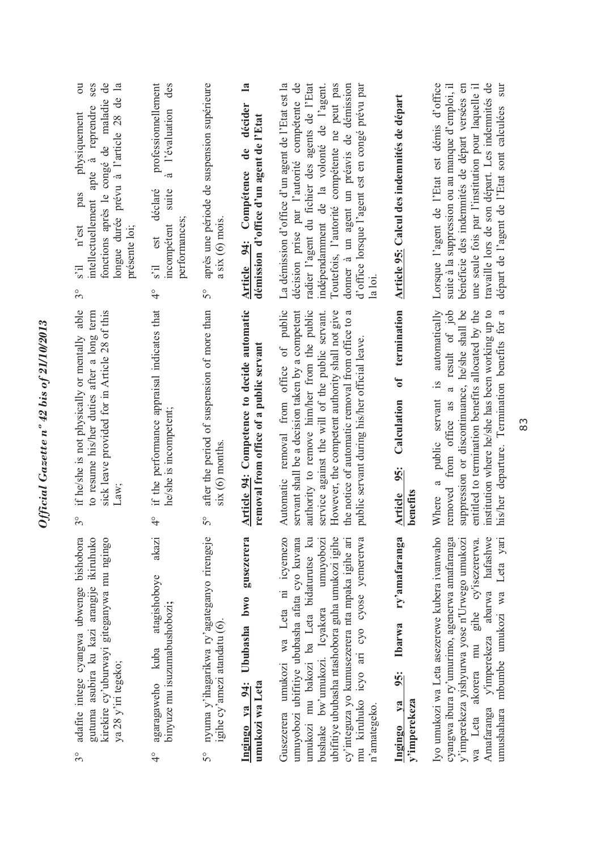| fonctions après le congé de maladie de<br>$\overline{\mathrm{c}}$<br>ses<br>$\mathbf{a}$<br>longue durée prévu à l'article 28 de<br>intellectuellement apte à reprendre<br>physiquement<br>pas<br>n'est<br>présente loi;<br>$\mathbb{I}$ . S<br>$\mathcal{S}^{\circ}$ | professionnellement<br>des<br>l'évaluation<br>à<br>déclaré<br>suite<br>performances;<br>incompétent<br>est<br>s'il<br>$\frac{1}{4}$ | après une période de suspension supérieure<br>$a$ six $(6)$ mois.<br>$\mathcal{S}^{\circ}$ | $\mathbf{a}$<br>décider<br>démission d'office d'un agent de l'Etat<br>de<br>Compétence<br>Article 94: | La démission d'office d'un agent de l'Etat est la<br>décision prise par l'autorité compétente de<br>radier l'agent du fichier des agents de l'Etat<br>Toutefois, l'autorité compétente ne peut pas<br>donner à un agent un préavis de démission<br>d'office lorsque l'agent est en congé prévu par<br>indépendamment de la volonté de l'agent.        | Article 95: Calcul des indemnités de départ                                                | Lorsque l'agent de l'Etat est démis d'office<br>travaille lors de son départ. Les indemnités de<br>suite à la suppression ou au manque d'emploi, il<br>bénéficie des indemnités de départ versées en<br>une seule fois par l'institution pour laquelle il<br>sur<br>départ de l'agent de l'Etat sont calculées     |
|-----------------------------------------------------------------------------------------------------------------------------------------------------------------------------------------------------------------------------------------------------------------------|-------------------------------------------------------------------------------------------------------------------------------------|--------------------------------------------------------------------------------------------|-------------------------------------------------------------------------------------------------------|-------------------------------------------------------------------------------------------------------------------------------------------------------------------------------------------------------------------------------------------------------------------------------------------------------------------------------------------------------|--------------------------------------------------------------------------------------------|--------------------------------------------------------------------------------------------------------------------------------------------------------------------------------------------------------------------------------------------------------------------------------------------------------------------|
| if he/she is not physically or mentally able<br>to resume his/her duties after a long term<br>sick leave provided for in Article 28 of this<br>$3^{\circ}$                                                                                                            | if the performance appraisal indicates that<br>he/she is incompetent;<br>$\frac{1}{4}$                                              | after the period of suspension of more than<br>$six(6)$ months<br>S°                       | Article 94: Competence to decide automatic<br>removal from office of a public servant                 | Automatic removal from office of public<br>servant shall be a decision taken by a competent<br>authority to remove him/her from the public<br>service against the will of the public servant.<br>However, the competent authority shall not give<br>the notice of automatic removal from office to a<br>public servant during his/her official leave. | termination<br>$\mathbf{d}$<br>Calculation<br>$\frac{95}{3}$<br>benefits<br><b>Article</b> | suppression or discontinuance, he/she shall be<br>entitled to termination benefits allocated by the<br>institution where he/she has been working up to<br>automatically<br>removed from office as a result of job<br>his/her departure. Termination benefits for a<br>public servant is<br>$\mathfrak{a}$<br>Where |
| adafite intege cyangwa ubwenge bishobora<br>gutuma asubira ku kazi arangije ikiruhuko<br>kirekire cy'uburwayi giteganywa mu ngingo<br>ya 28 y'iri tegeko;<br>$3^{\circ}$                                                                                              | akazi<br>atagishoboye<br>binyuze mu isuzumabushobozi;<br>kuba<br>agaragaweho<br>$\frac{1}{4}$                                       | nyuma y'ihagarikwa ry'agateganyo rirengeje<br>igihe cy'amezi atandatu (6).<br>$5^{\circ}$  | gusezerera<br>Ububasha bwo<br>umukozi wa Leta<br>Ingingo ya 94:                                       | umukozi mu bakozi ba Leta bidaturutse ku<br>umukozi wa Leta ni icyemezo<br>ubifitiye ububasha ntashobora guha umukozi igihe<br>mu kiruhuko icyo ari cyo cyose yemererwa<br>umuyobozi ubifitiye ububasha afata cyo kuvana<br>cy'integuza yo kumusezerera nta mpaka igihe ari<br>bushake bw'umukozi. Icyakora umuyobozi<br>n'amategeko.<br>Gusezerera   | ry'amafaranga<br>Ibarwa<br>$\frac{5}{3}$<br>y'imperekeza<br>$Y$<br>Ingingo                 | Iyo umukozi wa Leta asezerewe kubera ivanwaho<br>abarwa hafashwe<br>mbumbe umukozi wa Leta yari<br>cyangwa ibura ry'umurimo, agenerwa amafaranga<br>y'imperekeza yishyurwa yose n'Urwego umukozi<br>akorera mu gihe cy'isezererwa.<br>y'imperekeza<br>Amafaranga<br>umushahara<br>wa Leta                          |

Official Gazette nº 42 bis of 21/10/2013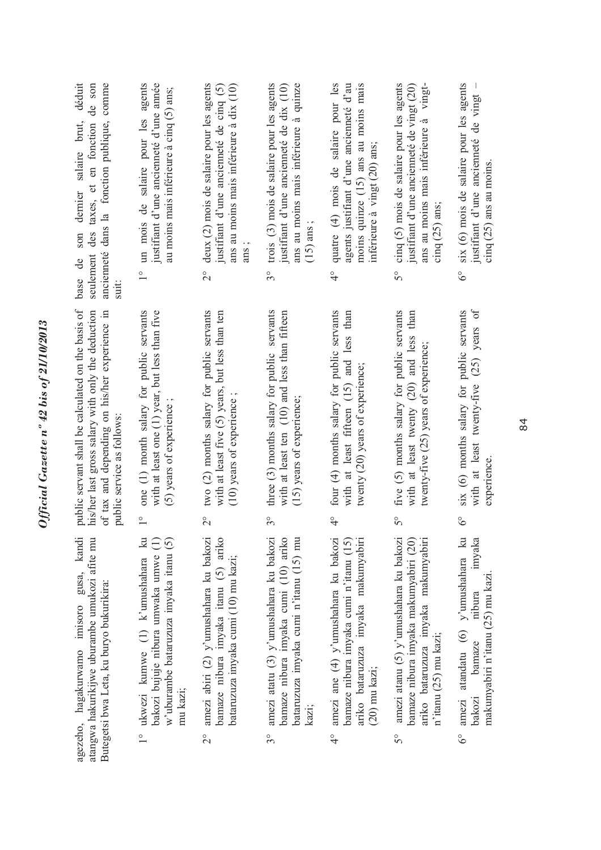| public servant shall be calculated on the basis of<br>one (1) month salary for public servants<br>two (2) months salary for public servants<br>three $(3)$ months salary for public servants<br>four (4) months salary for public servants<br>his/her last gross salary with only the deduction<br>with at least one (1) year, but less than five<br>five (5) months salary for public servants<br>of tax and depending on his/her experience in<br>with at least five (5) years, but less than ten<br>with at least ten (10) and less than fifteen<br>with at least fifteen (15) and less than<br>with at least twenty (20) and less than<br>twenty (20) years of experience;<br>(15) years of experience;<br>(10) years of experience<br>(5) years of experience;<br>public service as follows:<br>$\frac{6}{4}$<br>$\overline{2}^{\circ}$<br>$3^{\circ}$<br>50<br>$\frac{1}{1}$<br>$\mathbb{R}$ | ancienneté dans la fonction publique, comme<br>seulement des taxes, et en fonction<br>suit:                                                                 | deux (2) mois de salaire pour les agents<br>trois (3) mois de salaire pour les agents<br>justifiant d'une ancienneté de cinq $(5)$<br>$3^{\circ}$ | quatre (4) mois de salaire pour les<br>ans au moins mais inférieure à quinze<br>agents justifiant d'une ancienneté d'au<br>justifiant d'une ancienneté de dix (10)<br>$(15)$ ans;<br>$\frac{1}{4}$ | moins quinze $(15)$ ans au moins mais<br>cinq (5) mois de salaire pour les agents<br>justifiant d'une ancienneté de vingt (20)<br>inférieure à vingt (20) ans;<br>$\mathcal{S}^{\circ}$ | six (6) mois de salaire pour les agents<br>justifiant d'une ancienneté de vingt<br>ans au moins mais inférieure à<br>$\text{cing}$ (25) ans au moins.<br>cinq $(25)$ ans:<br>$6^\circ$            |
|----------------------------------------------------------------------------------------------------------------------------------------------------------------------------------------------------------------------------------------------------------------------------------------------------------------------------------------------------------------------------------------------------------------------------------------------------------------------------------------------------------------------------------------------------------------------------------------------------------------------------------------------------------------------------------------------------------------------------------------------------------------------------------------------------------------------------------------------------------------------------------------------------|-------------------------------------------------------------------------------------------------------------------------------------------------------------|---------------------------------------------------------------------------------------------------------------------------------------------------|----------------------------------------------------------------------------------------------------------------------------------------------------------------------------------------------------|-----------------------------------------------------------------------------------------------------------------------------------------------------------------------------------------|---------------------------------------------------------------------------------------------------------------------------------------------------------------------------------------------------|
|                                                                                                                                                                                                                                                                                                                                                                                                                                                                                                                                                                                                                                                                                                                                                                                                                                                                                                    |                                                                                                                                                             |                                                                                                                                                   |                                                                                                                                                                                                    |                                                                                                                                                                                         | with at least twenty-five (25) years of<br>six (6) months salary for public servants<br>twenty-five (25) years of experience;<br>experience<br>$6^\circ$                                          |
| agezeho, hagakurwamo imisoro gusa, kandi<br>bamaze nibura imyaka cumi (10) ariko<br>atangwa hakurikijwe uburambe umukozi afite mu<br>Butegetsi bwa Leta, ku buryo bukurikira:<br>$(20)$ mu kazi;<br>mu kazi;<br>kazı;<br>$\frac{1}{2}$<br>$3^{\circ}$<br>$\frac{1}{4}$<br>$5^{\circ}$<br>$\overline{2}^{\circ}$                                                                                                                                                                                                                                                                                                                                                                                                                                                                                                                                                                                    | amezi abiri (2) y'umushahara ku bakozi<br>w'uburambe bataruzuza imyaka itanu (5)<br>bakozi bujuje nibura umwaka umwe (1)<br>ukwezi kumwe $(1)$ k'umushahara | bamaze nibura imyaka itanu (5) ariko<br>amezi atatu (3) y'umushahara ku bakozi<br>bataruzuza imyaka cumi (10) mu kazi;                            | bataruzuza imyaka cumi n'itanu (15) mu<br>amezi ane (4) y'umushahara ku bakozi<br>bamaze nibura imyaka cumi n'itanu (15)                                                                           | amezi atanu (5) y'umushahara ku bakozi<br>ariko bataruzuza imyaka makumyabiri<br>bamaze nibura imyaka makumyabiri (20)                                                                  | atandatu (6) y'umushahara ku<br>imyaka<br>ariko bataruzuza imyaka makumyabiri<br>makumyabiri n'itanu (25) mu kazi<br>nibura<br>$n$ 'itanu (25) mu kazi;<br>bamaze<br>amezi<br>bakozi<br>$6^\circ$ |

Official Gazette nº 42 bis of 21/10/2013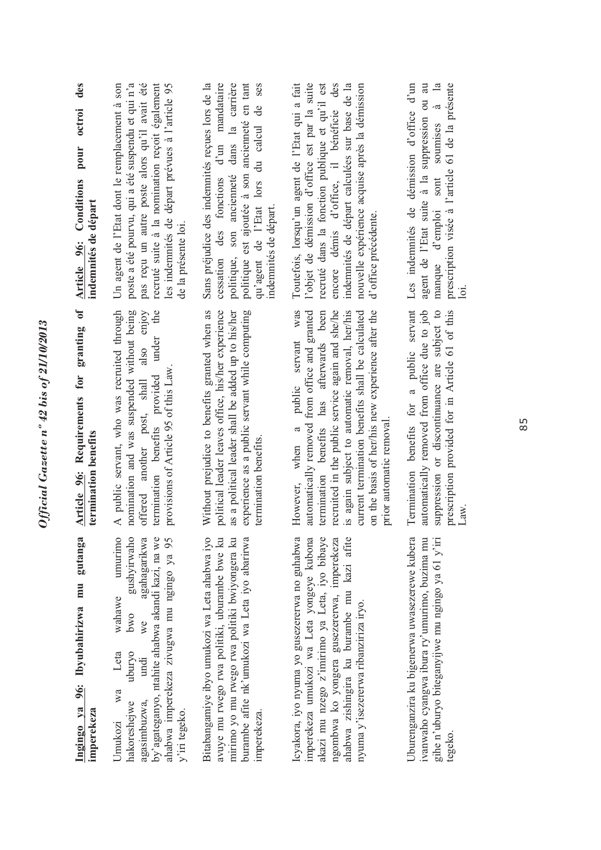| des<br>octroi<br>pour<br>Article 96: Conditions<br>indemnités de départ | recruté suite à la nomination reçoit également<br>pas reçu un autre poste alors qu'il avait été<br>Un agent de l'Etat dont le remplacement à son<br>poste a été pourvu, qui a été suspendu et qui n'a<br>les indemnités de départ prévues à l'article 95<br>de la présente loi. | politique est ajoutée à son ancienneté en tant<br>Sans préjudice des indemnités reçues lors de la<br>d'un mandataire<br>politique, son ancienneté dans la carrière<br><b>Ses</b><br>qu'agent de l'Etat lors du calcul de<br>des fonctions<br>indemnités de départ.<br>cessation | Toutefois, lorsqu'un agent de l'Etat qui a fait<br>l'objet de démission d'office est par la suite<br>recruté dans la fonction publique et qu'il est<br>encore démis d'office, il bénéficie des<br>indemnités de départ calculées sur base de la<br>nouvelle expérience acquise après la démission<br>d'office précédente.                                                                       | Les indemnités de démission d'office d'un<br>agent de l'Etat suite à la suppression ou au<br>soumises à la<br>prescription visée à l'article 61 de la présente<br>sont<br>manque d'emploi<br>$\overline{\text{ol}}$ |
|-------------------------------------------------------------------------|---------------------------------------------------------------------------------------------------------------------------------------------------------------------------------------------------------------------------------------------------------------------------------|---------------------------------------------------------------------------------------------------------------------------------------------------------------------------------------------------------------------------------------------------------------------------------|-------------------------------------------------------------------------------------------------------------------------------------------------------------------------------------------------------------------------------------------------------------------------------------------------------------------------------------------------------------------------------------------------|---------------------------------------------------------------------------------------------------------------------------------------------------------------------------------------------------------------------|
| granting of<br>Article 96: Requirements for<br>termination benefits     | nomination and was suspended without being<br>A public servant, who was recruited through<br>also enjoy<br>termination benefits provided under the<br>provisions of Article 95 of this Law.<br>offered another post, shall                                                      | Without prejudice to benefits granted when as<br>political leader leaves office, his/her experience<br>as a political leader shall be added up to his/her<br>experience as a public servant while computing<br>termination benefits.                                            | was<br>termination benefits has afterwards been<br>automatically removed from office and granted<br>current termination benefits shall be calculated<br>recruited in the public service again and she/he<br>is again subject to automatic removal, her/his<br>on the basis of her/his new experience after the<br>public servant<br>prior automatic removal.<br>$\mathfrak{a}$<br>However, when | Termination benefits for a public servant<br>suppression or discontinuance are subject to<br>automatically removed from office due to job<br>prescription provided for in Article 61 of this<br>Law.                |
| gutanga<br>Ingingo ya 96: Ibyubahirizwa mu<br>imperekeza                | gushyirwaho<br>umurimo<br>agahagarikwa<br>by'agateganyo, ntahite ahabwa akandi kazi, na we<br>ahabwa imperekeza zivugwa mu ngingo ya 95<br>wahawe<br>owo<br>we<br>uburyo<br>Leta<br>undi<br>wa<br>agasimbuzwa,<br>hakoreshejwe<br>y'iri tegeko.<br>Jmukozi                      | avuye mu rwego rwa politiki, uburambe bwe ku<br>Bitabangamiye ibyo umukozi wa Leta ahabwa iyo<br>burambe afite nk'umukozi wa Leta iyo abarirwa<br>mirimo yo mu rwego rwa politiki bwiyongera ku<br>imperekeza.                                                                  | Icyakora, iyo nyuma yo gusezererwa no guhabwa<br>imperekeza umukozi wa Leta yongeye kubona<br>akazi mu nzego z'imirimo ya Leta, iyo bibaye<br>ngombwa ko yongera gusezererwa, imperekeza<br>ahabwa zishingira ku burambe mu kazi afite<br>nyuma y'isezererwa ribanziriza iryo.                                                                                                                  | Jburenganzira ku bigenerwa uwasezerewe kubera<br>gihe n'uburyo biteganyijwe mu ngingo ya 61 y'iri<br>ivanwaho cyangwa ibura ry'umurimo, buzima mu<br>tegeko.                                                        |

Official Gazette nº 42 bis of 21/10/2013

85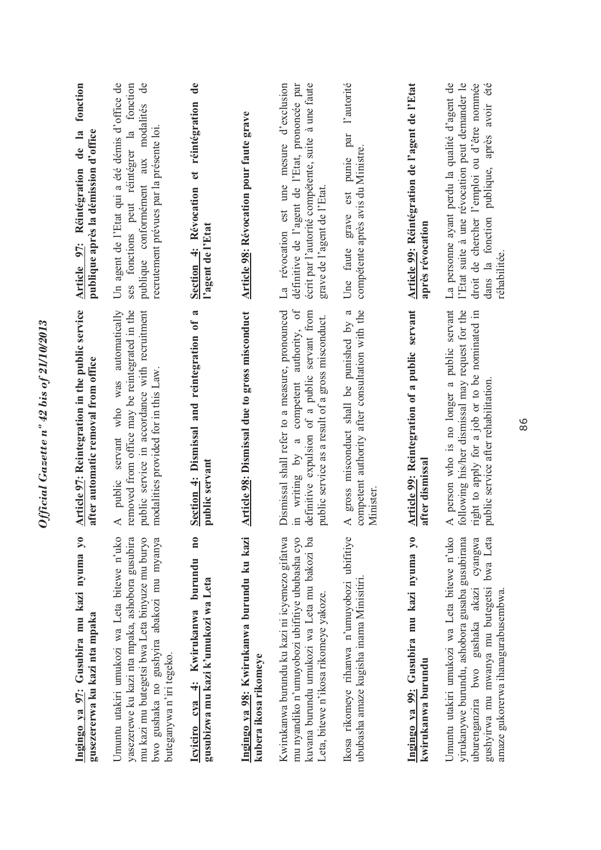| Ingingo ya 97: Gusubira mu kazi nyuma yo<br>gusezererwa ku kazi nta mpaka                                                                                                                                                      | Article 97: Reintegration in the public service<br>after automatic removal from office                                                                                                             | fonction<br>publique après la démission d'office<br>de la<br>Article 97: Réintégration                                                                                                                       |
|--------------------------------------------------------------------------------------------------------------------------------------------------------------------------------------------------------------------------------|----------------------------------------------------------------------------------------------------------------------------------------------------------------------------------------------------|--------------------------------------------------------------------------------------------------------------------------------------------------------------------------------------------------------------|
| Umuntu utakiri umukozi wa Leta bitewe n'uko<br>yasezerewe ku kazi nta mpaka, ashobora gusubira<br>mu kazi mu butegetsi bwa Leta binyuze mu buryo<br>bwo gushaka no gushyira abakozi mu myanya<br>buteganywa n'iri tegeko.      | removed from office may be reintegrated in the<br>public service in accordance with recruitment<br>A public servant who was automatically<br>modalities provided for in this Law.                  | Un agent de l'Etat qui a été démis d'office de<br>$\mathbf{d}$<br>ses fonctions peut réintégrer la fonction<br>publique conformément aux modalités<br>recrutement prévues par la présente loi                |
| $\mathbf{n}$ 0<br>burundu<br>gusubizwa mu kazi k'umukozi wa Leta<br>Icyiciro cya 4: Kwirukanwa                                                                                                                                 | $\boldsymbol{\mathfrak{a}}$<br>Section 4: Dismissal and reintegration of<br>public servant                                                                                                         | $\mathbf{d}\mathbf{e}$<br>Section 4: Révocation et réintégration<br>l'agent de l'Etat                                                                                                                        |
| Ingingo ya 98: Kwirukanwa burundu ku kazi<br>kubera ikosa rikomeye                                                                                                                                                             | Article 98: Dismissal due to gross misconduct                                                                                                                                                      | Article 98: Révocation pour faute grave                                                                                                                                                                      |
| Kwirukanwa burundu ku kazi ni icyemezo gifatwa<br>mu nyandiko n'umuyobozi ubifitiye ububasha cyo<br>kuvana burundu umukozi wa Leta mu bakozi ba<br>Leta, bitewe n'ikosa rikomeye yakoze.                                       | competent authority, of<br>Dismissal shall refer to a measure, pronounced<br>definitive expulsion of a public servant from<br>public service as a result of a gross misconduct.<br>in writing by a | La révocation est une mesure d'exclusion<br>écrit par l'autorité compétente, suite à une faute<br>définitive de l'agent de l'Etat, prononcée par<br>grave de l'agent de l'Etat.                              |
| Ikosa rikomeye rihanwa n'umuyobozi ubifitiye<br>ububasha amaze kugisha inama Minisitiri                                                                                                                                        | gross misconduct shall be punished by a<br>competent authority after consultation with the<br><b>Minister</b><br>$\prec$                                                                           | l'autorité<br>grave est punie par<br>compétente après avis du Ministre.<br>Une faute                                                                                                                         |
| Ingingo ya 99: Gusubira mu kazi nyuma yo<br>kwirukanwa burundu                                                                                                                                                                 | Article 99: Reintegration of a public servant<br>after dismissal                                                                                                                                   | Article 99: Réintégration de l'agent de l'Etat<br>après révocation                                                                                                                                           |
| Umuntu utakiri umukozi wa Leta bitewe n'uko<br>yirukanywe burundu, ashobora gusaba gusubirana<br>cyangwa<br>gushyirwa mu mwanya mu butegetsi bwa Leta<br>uburenganzira bwo gushaka akazi<br>amaze gukorerwa ihanagurabusembwa. | A person who is no longer a public servant<br>following his/her dismissal may request for the<br>right to apply for a job or to be nominated in<br>public service after rehabilitation.            | La personne ayant perdu la qualité d'agent de<br>l'Etat suite à une révocation peut demander le<br>droit de chercher l'emploi ou d'être nommée<br>dans la fonction publique, après avoir été<br>réhabilitée. |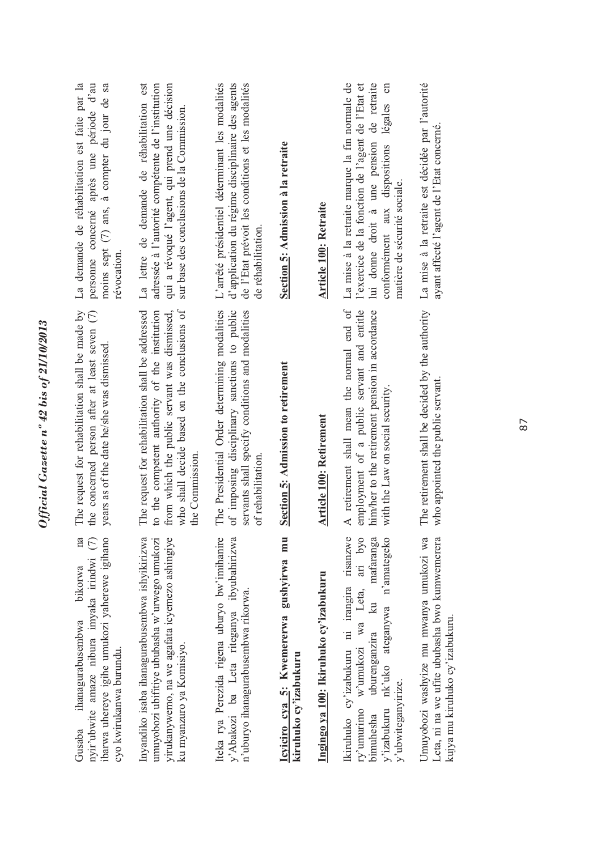| na<br>ibarwa uhereye igihe umukozi yaherewe igihano<br>nyir'ubwite amaze nibura imyaka irindwi (7)<br>bikorwa<br>ihanagurabusembwa<br>cyo kwirukanwa burundu.<br>Gusaba                                                               | The request for rehabilitation shall be made by<br>the concerned person after at least seven (7)<br>years as of the date he/she was dismissed.                                                                       | La demande de réhabilitation est faite par la<br>moins sept (7) ans, à compter du jour de sa<br>personne concerné après une période d'au<br>révocation                                                                             |
|---------------------------------------------------------------------------------------------------------------------------------------------------------------------------------------------------------------------------------------|----------------------------------------------------------------------------------------------------------------------------------------------------------------------------------------------------------------------|------------------------------------------------------------------------------------------------------------------------------------------------------------------------------------------------------------------------------------|
| Inyandiko isaba ihanagurabusembwa ishyikirizwa<br>yirukanywemo, na we agafata icyemezo ashingiye<br>umuyobozi ubifitiye ububasha w'urwego umukozi<br>ku myanzuro ya Komisiyo.                                                         | who shall decide based on the conclusions of<br>The request for rehabilitation shall be addressed<br>from which the public servant was dismissed,<br>to the competent authority of the institution<br>the Commission | La lettre de demande de réhabilitation est<br>qui a révoqué l'agent, qui prend une décision<br>adressée à l'autorité compétente de l'institution<br>sur base des conclusions de la Commission.                                     |
| Iteka rya Perezida rigena uburyo bw'imihanire<br>y'Abakozi ba Leta riteganya ibyubahirizwa<br>n'uburyo ihanagurabusembwa rikorwa.                                                                                                     | The Presidential Order determining modalities<br>of imposing disciplinary sanctions to public<br>servants shall specify conditions and modalities<br>of rehabilitation.                                              | L'arrêté présidentiel déterminant les modalités<br>d'application du régime disciplinaire des agents<br>de l'Etat prévoit les conditions et les modalités<br>de réhabilitation                                                      |
| Icyiciro cya 5: Kwemererwa gushyirwa mu<br>kiruhuko cy'izabukuru                                                                                                                                                                      | Section 5: Admission to retirement                                                                                                                                                                                   | Section 5: Admission à la retraite                                                                                                                                                                                                 |
| Ingingo ya 100: Ikiruhuko cy'izabukuru                                                                                                                                                                                                | Article 100: Retirement                                                                                                                                                                                              | <b>Article 100: Retraite</b>                                                                                                                                                                                                       |
| w'umukozi wa Leta, ari byo<br>Ikiruhuko cy'izabukuru ni irangira risanzwe<br>mafaranga<br>n'amategeko<br>$\overline{\mathbb{Z}}$<br>nk'uko ateganywa<br>uburenganzira<br>y'ubwiteganyirize.<br>y'izabukuru<br>ry'umurimo<br>bimuhesha | A retirement shall mean the normal end of<br>employment of a public servant and entitle<br>him/her to the retirement pension in accordance<br>with the Law on social security.                                       | La mise à la retraite marque la fin normale de<br>lui donne droit à une pension de retraite<br>l'exercice de la fonction de l'agent de l'Etat et<br>en<br>légales<br>conformément aux dispositions<br>matière de sécurité sociale. |
| Umuyobozi washyize mu mwanya umukozi wa<br>Leta, ni na we ufite ububasha bwo kumwemerera<br>kujya mu kiruhuko cy'izabukuru.                                                                                                           | The retirement shall be decided by the authority<br>who appointed the public servant.                                                                                                                                | La mise à la retraite est décidée par l'autorité<br>ayant affecté l'agent de l'Etat concerné.                                                                                                                                      |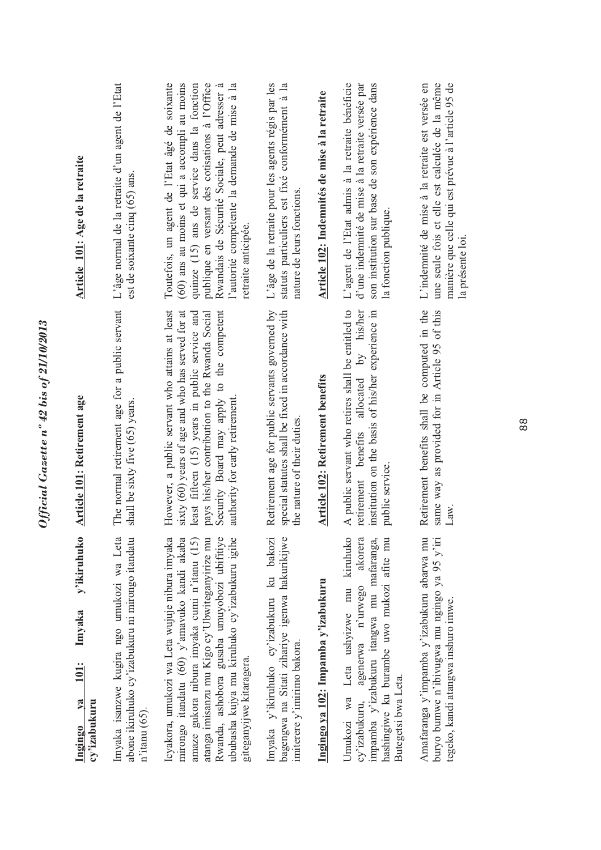| y'ikiruhuko<br>Imyaka<br><b>101:</b><br>Ingingo ya<br>cy'izabukuru                                                                                                                                                                                                                                                         | Article 101: Retirement age                                                                                                                                                                                                                                                             | Article 101: Age de la retraite                                                                                                                                                                                                                                                                                         |
|----------------------------------------------------------------------------------------------------------------------------------------------------------------------------------------------------------------------------------------------------------------------------------------------------------------------------|-----------------------------------------------------------------------------------------------------------------------------------------------------------------------------------------------------------------------------------------------------------------------------------------|-------------------------------------------------------------------------------------------------------------------------------------------------------------------------------------------------------------------------------------------------------------------------------------------------------------------------|
| Imyaka isanzwe kugira ngo umukozi wa Leta<br>abone ikiruhuko cy'izabukuru ni mirongo itandatu<br>$n$ 'itanu $(65)$ .                                                                                                                                                                                                       | The normal retirement age for a public servant<br>shall be sixty five (65) years.                                                                                                                                                                                                       | L'âge normal de la retraite d'un agent de l'Etat<br>est de soixante cinq (65) ans.                                                                                                                                                                                                                                      |
| Rwanda, ashobora gusaba umuyobozi ubifitiye<br>ububasha kujya mu kiruhuko cy'izabukuru igihe<br>Icyakora, umukozi wa Leta wujuje nibura imyaka<br>mirongo itandatu (60) y'amavuko kandi akaba<br>atanga imisanzu mu Kigo cy'Ubwiteganyirize mu<br>amaze gukora nibura imyaka cumi n'itanu (15)<br>giteganyijwe kitaragera. | However, a public servant who attains at least<br>Security Board may apply to the competent<br>sixty (60) years of age and who has served for at<br>least fifteen (15) years in public service and<br>pays his/her contribution to the Rwanda Social<br>authority for early retirement. | Toutefois, un agent de l'Etat âgé de soixante<br>(60) ans au moins et qui a accompli au moins<br>quinze (15) ans de service dans la fonction<br>publique en versant des cotisations à l'Office<br>Rwandais de Sécurité Sociale, peut adresser à<br>l'autorité compétente la demande de mise à la<br>retraite anticipée. |
| Imyaka y'ikiruhuko cy'izabukuru ku bakozi<br>bagengwa na Sitati zihariye igenwa hakurikijwe<br>imiterere y'imirimo bakora.                                                                                                                                                                                                 | Retirement age for public servants governed by<br>special statutes shall be fixed in accordance with<br>the nature of their duties                                                                                                                                                      | L'âge de la retraite pour les agents régis par les<br>statuts particuliers est fixé conformément à la<br>nature de leurs fonctions.                                                                                                                                                                                     |
| Ingingo ya 102: Impamba y'izabukuru                                                                                                                                                                                                                                                                                        | Article 102: Retirement benefits                                                                                                                                                                                                                                                        | Article 102: Indemnités de mise à la retraite                                                                                                                                                                                                                                                                           |
| kiruhuko<br>akorera<br>impamba y'izabukuru itangwa mu mafaranga,<br>hashingiwe ku burambe uwo mukozi afite mu<br>Umukozi wa Leta ushyizwe mu<br>agenerwa n'urwego<br>Butegetsi bwa Leta.<br>cy'izabukuru,                                                                                                                  | A public servant who retires shall be entitled to<br>allocated by his/her<br>institution on the basis of his/her experience in<br>retirement benefits<br>public service.                                                                                                                | L'agent de l'Etat admis à la retraite bénéficie<br>son institution sur base de son expérience dans<br>d'une indemnité de mise à la retraite versée par<br>la fonction publique.                                                                                                                                         |
| Amafaranga y'impamba y'izabukuru abarwa mu<br>buryo bumwe n'ibivugwa mu ngingo ya 95 y'iri<br>tegeko, kandi atangwa inshuro imwe.                                                                                                                                                                                          | Retirement benefits shall be computed in the<br>same way as provided for in Article 95 of this<br>Law.                                                                                                                                                                                  | L'indemnité de mise à la retraite est versée en<br>une seule fois et elle est calculée de la même<br>manière que celle qui est prévue à l'article 95 de<br>la présente loi                                                                                                                                              |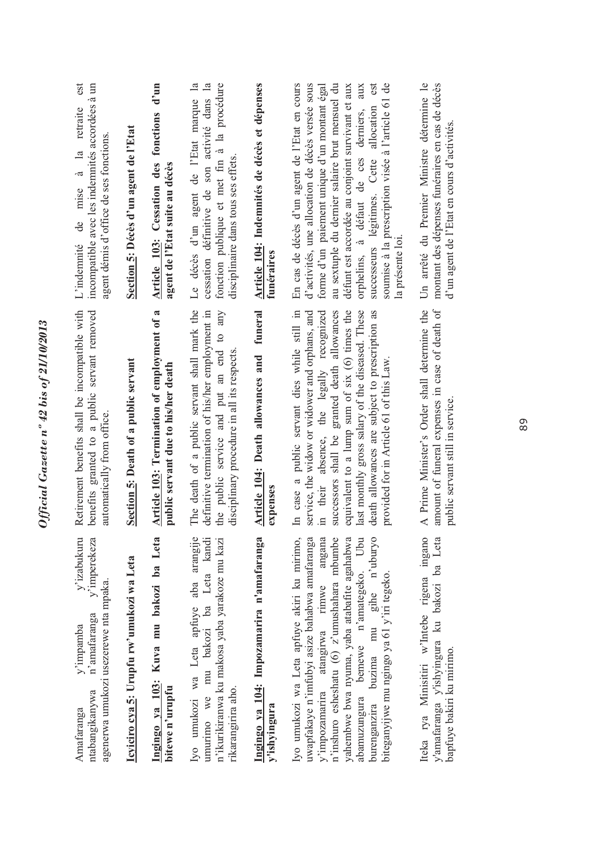| est<br>incompatible avec les indemnités accordées à un<br>L'indemnité de mise à la retraite<br>agent démis d'office de ses fonctions.<br>Retirement benefits shall be incompatible with<br>benefits granted to a public servant removed | Section 5: Décès d'un agent de l'Etat     | $d'$ un<br>Article 103: Cessation des fonctions<br>agent de l'Etat suite au décès<br>Article 103: Termination of employment of a | fonction publique et met fin à la procédure<br>$\mathbf{a}$<br>cessation définitive de son activité dans la<br>Le décès d'un agent de l'Etat marque<br>disciplinaire dans tous ses effets<br>The death of a public servant shall mark the<br>definitive termination of his/her employment in<br>the public service and put an end to any | Article 104: Indemnités de décès et dépenses<br>funéraires<br>Article 104: Death allowances and funeral | d'activités, une allocation de décès versée sous<br>au sextuple du dernier salaire brut mensuel du<br>soumise à la prescription visée à l'article 61 de<br>En cas de décès d'un agent de l'Etat en cours<br>défunt est accordée au conjoint survivant et aux<br>successeurs légitimes. Cette allocation est<br>forme d'un paiement unique d'un montant égal<br>aux<br>orphelins, à défaut de ces derniers,<br>la présente loi<br>In case a public servant dies while still in<br>successors shall be granted death allowances<br>equivalent to a lump sum of six (6) times the<br>last monthly gross salary of the diseased. These<br>death allowances are subject to prescription as<br>service, the widow or widower and orphans, and<br>in their absence, the legally recognized | Un arrêté du Premier Ministre détermine le<br>montant des dépenses funéraires en cas de décès<br>A Prime Minister's Order shall determine the<br>amount of funeral expenses in case of death of |
|-----------------------------------------------------------------------------------------------------------------------------------------------------------------------------------------------------------------------------------------|-------------------------------------------|----------------------------------------------------------------------------------------------------------------------------------|------------------------------------------------------------------------------------------------------------------------------------------------------------------------------------------------------------------------------------------------------------------------------------------------------------------------------------------|---------------------------------------------------------------------------------------------------------|-------------------------------------------------------------------------------------------------------------------------------------------------------------------------------------------------------------------------------------------------------------------------------------------------------------------------------------------------------------------------------------------------------------------------------------------------------------------------------------------------------------------------------------------------------------------------------------------------------------------------------------------------------------------------------------------------------------------------------------------------------------------------------------|-------------------------------------------------------------------------------------------------------------------------------------------------------------------------------------------------|
| automatically from office.                                                                                                                                                                                                              | Section 5: Death of a public servant      | public servant due to his/her death                                                                                              | disciplinary procedure in all its respects                                                                                                                                                                                                                                                                                               | expenses                                                                                                | provided for in Article 61 of this Law.                                                                                                                                                                                                                                                                                                                                                                                                                                                                                                                                                                                                                                                                                                                                             |                                                                                                                                                                                                 |
| agenerwa umukozi usezerewe nta mpaka.                                                                                                                                                                                                   | Icyiciro cya 5: Urupfu rw'umukozi wa Leta | Ingingo ya 103: Kuva mu bakozi ba Leta                                                                                           | umurimo we mu bakozi ba Leta kandi<br>Iyo umukozi wa Leta apfuye aba arangije<br>n'ikurikiranwa ku makosa yaba yarakoze mu kazi                                                                                                                                                                                                          | Ingingo ya 104: Impozamarira n'amafaranga                                                               | Iyo umukozi wa Leta apfuye akiri ku mirimo,<br>uwapfakaye n'imfubyi asize bahabwa amafaranga<br>n'inshuro esheshatu (6) z'umushahara mbumbe<br>yahembwe bwa nyuma, yaba atabafite agahabwa<br>abamuzungura bemewe n'amategeko. Ubu<br>burenganzira buzima mu gihe n'uburyo<br>y'impozamarira atangirwa rimwe angana<br>biteganyijwe mu ngingo ya 61 y'iri tegeko.                                                                                                                                                                                                                                                                                                                                                                                                                   | Iteka rya Minisitiri w'Intebe rigena ingano<br>y'amafaranga y'ishyingura ku bakozi ba Leta                                                                                                      |
| n'amafaranga<br>ntabangikanywa                                                                                                                                                                                                          |                                           | bitewe n'urupfu                                                                                                                  | rikarangirira aho.                                                                                                                                                                                                                                                                                                                       | y'ishyingura                                                                                            |                                                                                                                                                                                                                                                                                                                                                                                                                                                                                                                                                                                                                                                                                                                                                                                     |                                                                                                                                                                                                 |

Official Gazette nº 42 bis of 21/10/2013

 $y'$ amafaranga  $y'$ ishyingura ku bakozi ba Leta bapfuye bakiri ku mirimo. Iteka rya Minisitiri w'Intebe rigena ingano y'amafaranga y'ishyingura ku bakozi ba Leta bapfuye bakiri ku mirimo. Iteka

amount of funeral expenses in case of death of amount of funeral expenses in case of death of public servant still in service. public servant still in service.

d'un agent de l'Etat en cours d'activités.

d'un agent de l'Etat en cours d'activités.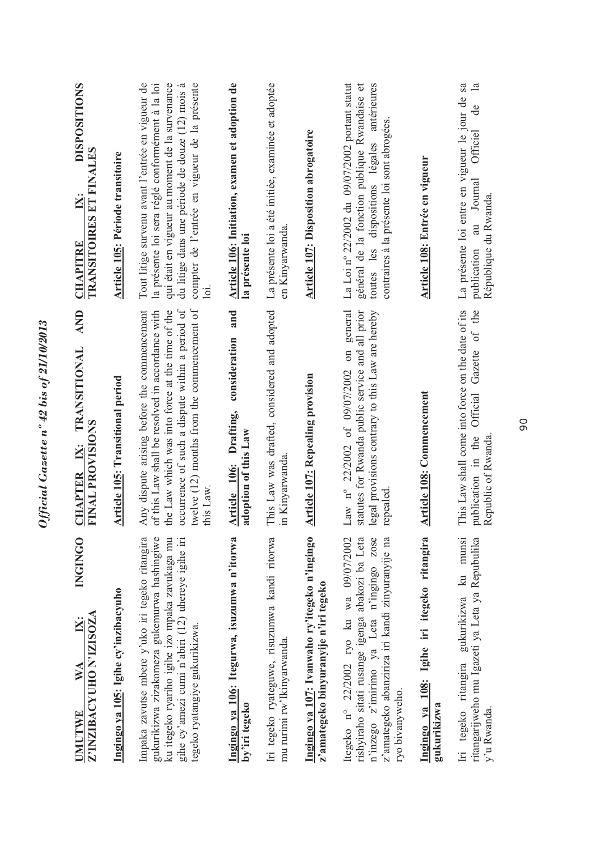| <b>INGINGO</b><br>Z'INZIBACYUHO N'IZISOZA<br>WA<br>UMUTWE                                                                                                                                                                               | AND<br><b>TRANSITIONAL</b><br><b>FINAL PROVISIONS</b><br>IX:<br><b>CHAPTER</b>                                                                                                                                                                                   | <b>DISPOSITIONS</b><br>TRANSITOIRES ET FINALES<br>$\mathbf{X}$ :<br><b>CHAPITRE</b>                                                                                                                                                                                |
|-----------------------------------------------------------------------------------------------------------------------------------------------------------------------------------------------------------------------------------------|------------------------------------------------------------------------------------------------------------------------------------------------------------------------------------------------------------------------------------------------------------------|--------------------------------------------------------------------------------------------------------------------------------------------------------------------------------------------------------------------------------------------------------------------|
| Ingingo ya 105: Igihe cy'inzibacyuho                                                                                                                                                                                                    | <b>Article 105: Transitional period</b>                                                                                                                                                                                                                          | Article 105: Période transitoire                                                                                                                                                                                                                                   |
| Impaka zavutse mbere y'uko iri tegeko ritangira<br>gukurikizwa zizakomeza gukemurwa hashingiwe<br>ku itegeko ryariho igihe izo mpaka zavukaga mu<br>gihe cy'amezi cumi n'abiri (12) uhereye igihe iri<br>tegeko ryatangiye gukurikizwa. | twelve (12) months from the commencement of<br>occurrence of such a dispute within a period of<br>Any dispute arising before the commencement<br>the Law which was into force at the time of the<br>of this Law shall be resolved in accordance with<br>this Law | compter de l'entrée en vigueur de la présente<br>Tout litige survenu avant l'entrée en vigueur de<br>la présente loi sera réglé conformément à la loi<br>qui était en vigueur au moment de la survenance<br>du litige dans une période de douze (12) mois à<br>loi |
| Ingingo ya 106: Itegurwa, isuzumwa n'itorwa<br>by'iri tegeko                                                                                                                                                                            | and<br>consideration<br>Article 106: Drafting,<br>adoption of this Law                                                                                                                                                                                           | Article 106: Initiation, examen et adoption de<br>la présente loi                                                                                                                                                                                                  |
| Iri tegeko ryateguwe, risuzumwa kandi ritorwa<br>mu rurimi rw'Ikinyarwanda.                                                                                                                                                             | This Law was drafted, considered and adopted<br>in Kinyarwanda.                                                                                                                                                                                                  | La présente loi a été initiée, examinée et adoptée<br>en Kinyarwanda.                                                                                                                                                                                              |
| Ingingo ya 107: Ivanwaho ry'itegeko n'ingingo<br>z'amategeko binyuranyije n'iri tegeko                                                                                                                                                  | <b>Article 107: Repealing provision</b>                                                                                                                                                                                                                          | <b>Article 107: Disposition abrogatoire</b>                                                                                                                                                                                                                        |
| rishyiraho sitati rusange igenga abakozi ba Leta<br>n'inzego z'imirimo ya Leta n'ingingo zose<br>Itegeko nº 22/2002 ryo ku wa 09/07/2002<br>z'amategeko abanziriza iri kandi zinyuranyije na<br>ryo bivanyweho.                         | on general<br>statutes for Rwanda public service and all prior<br>legal provisions contrary to this Law are hereby<br>Law n° 22/2002 of 09/07/2002<br>repealed                                                                                                   | La Loi nº 22/2002 du 09/07/2002 portant statut<br>général de la fonction publique Rwandaise et<br>toutes les dispositions légales antérieures<br>contraires à la présente loi sont abrogées.                                                                       |
| Ingingo ya 108: Igihe iri itegeko ritangira<br>gukurikizwa                                                                                                                                                                              | Article 108: Commencement                                                                                                                                                                                                                                        | Article 108: Entrée en vigueur                                                                                                                                                                                                                                     |
| Iri tegeko ritangira gukurikizwa ku munsi<br>ritangarijweho mu Igazeti ya Leta ya Repubulika<br>y'u Rwanda.                                                                                                                             | This Law shall come into force on the date of its<br>Gazette of the<br><b>Official</b><br>publication in the<br>Republic of Rwanda                                                                                                                               | La présente loi entre en vigueur le jour de sa<br>$\mathbf{a}$<br>de<br>Officiel<br>Journal<br>République du Rwanda.<br>au<br>publication                                                                                                                          |